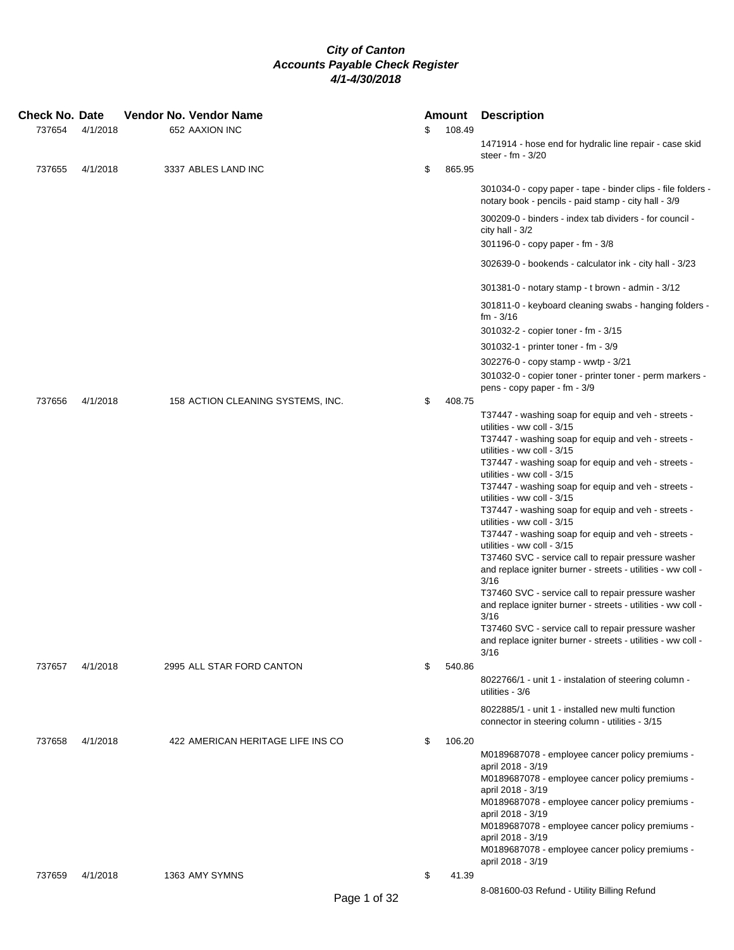| Check No. Date<br>737654 | 4/1/2018 | Vendor No. Vendor Name | 652 AAXION INC                    |              | \$<br>Amount<br>108.49 | <b>Description</b>                                                                                                          |
|--------------------------|----------|------------------------|-----------------------------------|--------------|------------------------|-----------------------------------------------------------------------------------------------------------------------------|
|                          |          |                        |                                   |              |                        | 1471914 - hose end for hydralic line repair - case skid<br>steer - fm - 3/20                                                |
| 737655                   | 4/1/2018 |                        | 3337 ABLES LAND INC               |              | \$<br>865.95           |                                                                                                                             |
|                          |          |                        |                                   |              |                        | 301034-0 - copy paper - tape - binder clips - file folders -<br>notary book - pencils - paid stamp - city hall - 3/9        |
|                          |          |                        |                                   |              |                        | 300209-0 - binders - index tab dividers - for council -<br>city hall - $3/2$<br>301196-0 - copy paper - fm - 3/8            |
|                          |          |                        |                                   |              |                        | 302639-0 - bookends - calculator ink - city hall - 3/23                                                                     |
|                          |          |                        |                                   |              |                        | 301381-0 - notary stamp - t brown - admin - 3/12                                                                            |
|                          |          |                        |                                   |              |                        | 301811-0 - keyboard cleaning swabs - hanging folders -<br>fm - 3/16                                                         |
|                          |          |                        |                                   |              |                        | 301032-2 - copier toner - fm - 3/15                                                                                         |
|                          |          |                        |                                   |              |                        | 301032-1 - printer toner - fm - 3/9                                                                                         |
|                          |          |                        |                                   |              |                        | 302276-0 - copy stamp - wwtp - 3/21                                                                                         |
|                          |          |                        |                                   |              |                        | 301032-0 - copier toner - printer toner - perm markers -<br>pens - copy paper - fm - 3/9                                    |
| 737656                   | 4/1/2018 |                        | 158 ACTION CLEANING SYSTEMS, INC. |              | \$<br>408.75           |                                                                                                                             |
|                          |          |                        |                                   |              |                        | T37447 - washing soap for equip and veh - streets -<br>utilities - ww coll - 3/15                                           |
|                          |          |                        |                                   |              |                        | T37447 - washing soap for equip and veh - streets -<br>utilities - ww coll - 3/15                                           |
|                          |          |                        |                                   |              |                        | T37447 - washing soap for equip and veh - streets -<br>utilities - ww coll - 3/15                                           |
|                          |          |                        |                                   |              |                        | T37447 - washing soap for equip and veh - streets -<br>utilities - ww coll - 3/15                                           |
|                          |          |                        |                                   |              |                        | T37447 - washing soap for equip and veh - streets -                                                                         |
|                          |          |                        |                                   |              |                        | utilities - ww coll - 3/15<br>T37447 - washing soap for equip and veh - streets -                                           |
|                          |          |                        |                                   |              |                        | utilities - ww coll - 3/15<br>T37460 SVC - service call to repair pressure washer                                           |
|                          |          |                        |                                   |              |                        | and replace igniter burner - streets - utilities - ww coll -<br>3/16                                                        |
|                          |          |                        |                                   |              |                        | T37460 SVC - service call to repair pressure washer<br>and replace igniter burner - streets - utilities - ww coll -         |
|                          |          |                        |                                   |              |                        | 3/16                                                                                                                        |
|                          |          |                        |                                   |              |                        | T37460 SVC - service call to repair pressure washer<br>and replace igniter burner - streets - utilities - ww coll -<br>3/16 |
| 737657                   | 4/1/2018 |                        | 2995 ALL STAR FORD CANTON         |              | \$<br>540.86           |                                                                                                                             |
|                          |          |                        |                                   |              |                        | 8022766/1 - unit 1 - instalation of steering column -<br>utilities - 3/6                                                    |
|                          |          |                        |                                   |              |                        | 8022885/1 - unit 1 - installed new multi function<br>connector in steering column - utilities - 3/15                        |
| 737658                   | 4/1/2018 |                        | 422 AMERICAN HERITAGE LIFE INS CO |              | \$<br>106.20           |                                                                                                                             |
|                          |          |                        |                                   |              |                        | M0189687078 - employee cancer policy premiums -<br>april 2018 - 3/19                                                        |
|                          |          |                        |                                   |              |                        | M0189687078 - employee cancer policy premiums -<br>april 2018 - 3/19                                                        |
|                          |          |                        |                                   |              |                        | M0189687078 - employee cancer policy premiums -<br>april 2018 - 3/19                                                        |
|                          |          |                        |                                   |              |                        | M0189687078 - employee cancer policy premiums -                                                                             |
|                          |          |                        |                                   |              |                        | april 2018 - 3/19<br>M0189687078 - employee cancer policy premiums -                                                        |
|                          |          |                        | 1363 AMY SYMNS                    |              | \$                     | april 2018 - 3/19                                                                                                           |
| 737659                   | 4/1/2018 |                        |                                   |              | 41.39                  | 8-081600-03 Refund - Utility Billing Refund                                                                                 |
|                          |          |                        |                                   | Page 1 of 32 |                        |                                                                                                                             |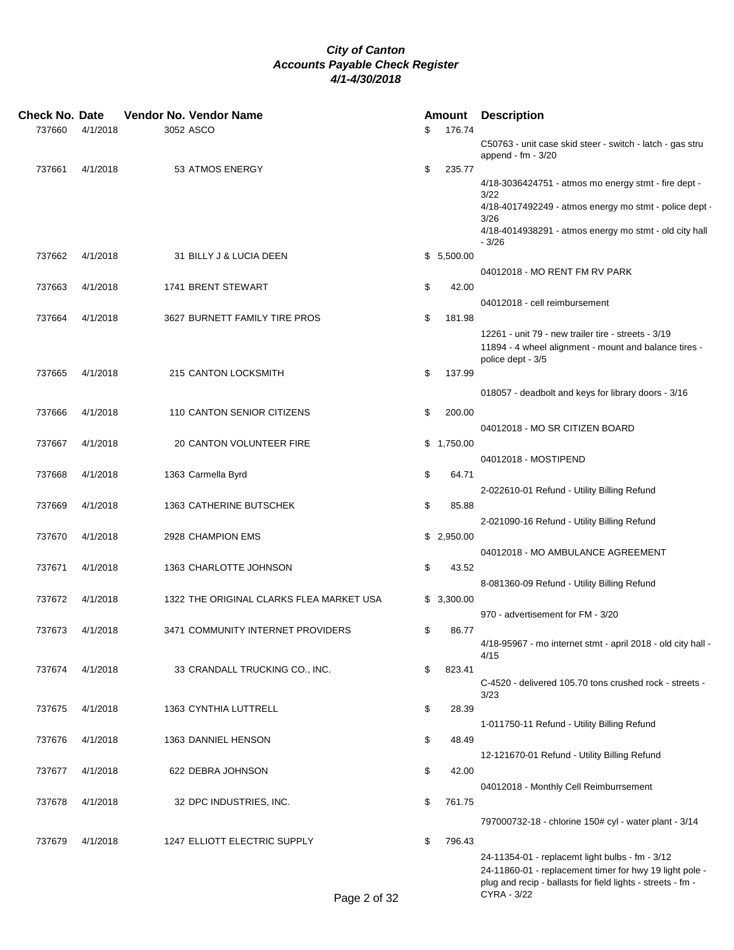| <b>Check No. Date</b> |          | Vendor No. Vendor Name                   |              | <b>Amount Description</b>                                                                                                         |  |
|-----------------------|----------|------------------------------------------|--------------|-----------------------------------------------------------------------------------------------------------------------------------|--|
| 737660                | 4/1/2018 | 3052 ASCO                                | \$<br>176.74 |                                                                                                                                   |  |
|                       |          |                                          |              | C50763 - unit case skid steer - switch - latch - gas stru<br>append - $fm - 3/20$                                                 |  |
| 737661                | 4/1/2018 | 53 ATMOS ENERGY                          | \$<br>235.77 |                                                                                                                                   |  |
|                       |          |                                          |              | 4/18-3036424751 - atmos mo energy stmt - fire dept -<br>3/22                                                                      |  |
|                       |          |                                          |              | 4/18-4017492249 - atmos energy mo stmt - police dept -<br>3/26                                                                    |  |
|                       |          |                                          |              | 4/18-4014938291 - atmos energy mo stmt - old city hall<br>$-3/26$                                                                 |  |
| 737662                | 4/1/2018 | 31 BILLY J & LUCIA DEEN                  | \$5,500.00   |                                                                                                                                   |  |
|                       |          |                                          |              | 04012018 - MO RENT FM RV PARK                                                                                                     |  |
| 737663                | 4/1/2018 | 1741 BRENT STEWART                       | \$<br>42.00  |                                                                                                                                   |  |
|                       |          |                                          |              | 04012018 - cell reimbursement                                                                                                     |  |
| 737664                | 4/1/2018 | 3627 BURNETT FAMILY TIRE PROS            | \$<br>181.98 |                                                                                                                                   |  |
|                       |          |                                          |              | 12261 - unit 79 - new trailer tire - streets - 3/19<br>11894 - 4 wheel alignment - mount and balance tires -<br>police dept - 3/5 |  |
| 737665                | 4/1/2018 | 215 CANTON LOCKSMITH                     | \$<br>137.99 |                                                                                                                                   |  |
|                       |          |                                          |              | 018057 - deadbolt and keys for library doors - 3/16                                                                               |  |
| 737666                | 4/1/2018 | 110 CANTON SENIOR CITIZENS               | \$<br>200.00 |                                                                                                                                   |  |
|                       |          |                                          |              | 04012018 - MO SR CITIZEN BOARD                                                                                                    |  |
| 737667                | 4/1/2018 | 20 CANTON VOLUNTEER FIRE                 | \$1,750.00   |                                                                                                                                   |  |
|                       |          |                                          |              | 04012018 - MOSTIPEND                                                                                                              |  |
| 737668                | 4/1/2018 | 1363 Carmella Byrd                       | \$<br>64.71  |                                                                                                                                   |  |
|                       |          |                                          |              | 2-022610-01 Refund - Utility Billing Refund                                                                                       |  |
| 737669                | 4/1/2018 | 1363 CATHERINE BUTSCHEK                  | \$<br>85.88  |                                                                                                                                   |  |
|                       |          |                                          |              | 2-021090-16 Refund - Utility Billing Refund                                                                                       |  |
| 737670                | 4/1/2018 | 2928 CHAMPION EMS                        | \$2,950.00   | 04012018 - MO AMBULANCE AGREEMENT                                                                                                 |  |
| 737671                | 4/1/2018 | 1363 CHARLOTTE JOHNSON                   | \$<br>43.52  |                                                                                                                                   |  |
|                       |          |                                          |              | 8-081360-09 Refund - Utility Billing Refund                                                                                       |  |
| 737672                | 4/1/2018 | 1322 THE ORIGINAL CLARKS FLEA MARKET USA | \$3,300.00   |                                                                                                                                   |  |
|                       |          |                                          |              | 970 - advertisement for FM - 3/20                                                                                                 |  |
| 737673                | 4/1/2018 | 3471 COMMUNITY INTERNET PROVIDERS        | \$<br>86.77  |                                                                                                                                   |  |
|                       |          |                                          |              | 4/18-95967 - mo internet stmt - april 2018 - old city hall -<br>4/15                                                              |  |
| 737674                | 4/1/2018 | 33 CRANDALL TRUCKING CO., INC.           | \$<br>823.41 |                                                                                                                                   |  |
|                       |          |                                          |              | C-4520 - delivered 105.70 tons crushed rock - streets -<br>3/23                                                                   |  |
| 737675                | 4/1/2018 | 1363 CYNTHIA LUTTRELL                    | \$<br>28.39  |                                                                                                                                   |  |
|                       |          |                                          |              | 1-011750-11 Refund - Utility Billing Refund                                                                                       |  |
| 737676                | 4/1/2018 | 1363 DANNIEL HENSON                      | \$<br>48.49  |                                                                                                                                   |  |
|                       |          |                                          |              | 12-121670-01 Refund - Utility Billing Refund                                                                                      |  |
| 737677                | 4/1/2018 | 622 DEBRA JOHNSON                        | \$<br>42.00  |                                                                                                                                   |  |
|                       |          |                                          |              | 04012018 - Monthly Cell Reimburrsement                                                                                            |  |
| 737678                | 4/1/2018 | 32 DPC INDUSTRIES, INC.                  | \$<br>761.75 |                                                                                                                                   |  |
|                       |          |                                          |              | 797000732-18 - chlorine 150# cyl - water plant - 3/14                                                                             |  |
| 737679                | 4/1/2018 | 1247 ELLIOTT ELECTRIC SUPPLY             | \$<br>796.43 |                                                                                                                                   |  |
|                       |          |                                          |              | 24-11354-01 - replacemt light bulbs - fm - 3/12                                                                                   |  |
|                       |          |                                          |              | 24-11860-01 - replacement timer for hwy 19 light pole -<br>plug and recip - ballasts for field lights - streets - fm -            |  |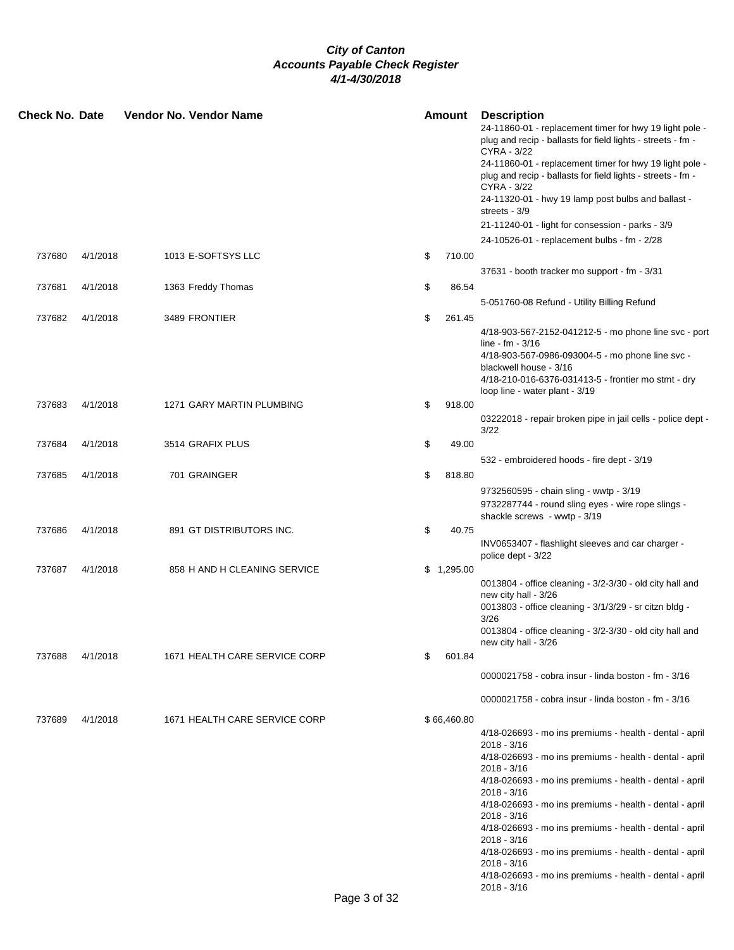| <b>Check No. Date</b> |          | Vendor No. Vendor Name        |    | <b>Amount</b> | <b>Description</b><br>24-11860-01 - replacement timer for hwy 19 light pole -<br>plug and recip - ballasts for field lights - streets - fm -<br>CYRA - 3/22<br>24-11860-01 - replacement timer for hwy 19 light pole -<br>plug and recip - ballasts for field lights - streets - fm - |
|-----------------------|----------|-------------------------------|----|---------------|---------------------------------------------------------------------------------------------------------------------------------------------------------------------------------------------------------------------------------------------------------------------------------------|
|                       |          |                               |    |               | CYRA - 3/22<br>24-11320-01 - hwy 19 lamp post bulbs and ballast -                                                                                                                                                                                                                     |
|                       |          |                               |    |               | streets - 3/9<br>21-11240-01 - light for consession - parks - 3/9                                                                                                                                                                                                                     |
|                       |          |                               |    |               | 24-10526-01 - replacement bulbs - fm - 2/28                                                                                                                                                                                                                                           |
| 737680                | 4/1/2018 | 1013 E-SOFTSYS LLC            | \$ | 710.00        |                                                                                                                                                                                                                                                                                       |
|                       |          |                               |    |               | 37631 - booth tracker mo support - fm - 3/31                                                                                                                                                                                                                                          |
| 737681                | 4/1/2018 | 1363 Freddy Thomas            | \$ | 86.54         |                                                                                                                                                                                                                                                                                       |
|                       |          |                               |    |               | 5-051760-08 Refund - Utility Billing Refund                                                                                                                                                                                                                                           |
| 737682                | 4/1/2018 | 3489 FRONTIER                 | \$ | 261.45        |                                                                                                                                                                                                                                                                                       |
|                       |          |                               |    |               | 4/18-903-567-2152-041212-5 - mo phone line svc - port<br>line - $fm - 3/16$                                                                                                                                                                                                           |
|                       |          |                               |    |               | 4/18-903-567-0986-093004-5 - mo phone line svc -                                                                                                                                                                                                                                      |
|                       |          |                               |    |               | blackwell house - 3/16<br>4/18-210-016-6376-031413-5 - frontier mo stmt - dry                                                                                                                                                                                                         |
| 737683                | 4/1/2018 | 1271 GARY MARTIN PLUMBING     | \$ | 918.00        | loop line - water plant - 3/19                                                                                                                                                                                                                                                        |
|                       |          |                               |    |               | 03222018 - repair broken pipe in jail cells - police dept -<br>3/22                                                                                                                                                                                                                   |
| 737684                | 4/1/2018 | 3514 GRAFIX PLUS              | \$ | 49.00         |                                                                                                                                                                                                                                                                                       |
|                       |          |                               |    |               | 532 - embroidered hoods - fire dept - 3/19                                                                                                                                                                                                                                            |
| 737685                | 4/1/2018 | 701 GRAINGER                  | \$ | 818.80        |                                                                                                                                                                                                                                                                                       |
|                       |          |                               |    |               | 9732560595 - chain sling - wwtp - 3/19<br>9732287744 - round sling eyes - wire rope slings -<br>shackle screws - wwtp - 3/19                                                                                                                                                          |
| 737686                | 4/1/2018 | 891 GT DISTRIBUTORS INC.      | \$ | 40.75         |                                                                                                                                                                                                                                                                                       |
|                       |          |                               |    |               | INV0653407 - flashlight sleeves and car charger -<br>police dept - 3/22                                                                                                                                                                                                               |
| 737687                | 4/1/2018 | 858 H AND H CLEANING SERVICE  |    | \$1,295.00    |                                                                                                                                                                                                                                                                                       |
|                       |          |                               |    |               | 0013804 - office cleaning - 3/2-3/30 - old city hall and<br>new city hall - 3/26<br>0013803 - office cleaning - 3/1/3/29 - sr citzn bldg -                                                                                                                                            |
|                       |          |                               |    |               | 3/26                                                                                                                                                                                                                                                                                  |
|                       |          |                               |    |               | 0013804 - office cleaning - 3/2-3/30 - old city hall and                                                                                                                                                                                                                              |
| 737688                | 4/1/2018 | 1671 HEALTH CARE SERVICE CORP | \$ | 601.84        | new city hall - 3/26                                                                                                                                                                                                                                                                  |
|                       |          |                               |    |               |                                                                                                                                                                                                                                                                                       |
|                       |          |                               |    |               | 0000021758 - cobra insur - linda boston - fm - 3/16                                                                                                                                                                                                                                   |
|                       |          |                               |    |               | 0000021758 - cobra insur - linda boston - fm - 3/16                                                                                                                                                                                                                                   |
| 737689                | 4/1/2018 | 1671 HEALTH CARE SERVICE CORP |    | \$66,460.80   |                                                                                                                                                                                                                                                                                       |
|                       |          |                               |    |               | 4/18-026693 - mo ins premiums - health - dental - april<br>2018 - 3/16                                                                                                                                                                                                                |
|                       |          |                               |    |               | 4/18-026693 - mo ins premiums - health - dental - april                                                                                                                                                                                                                               |
|                       |          |                               |    |               | 2018 - 3/16<br>4/18-026693 - mo ins premiums - health - dental - april                                                                                                                                                                                                                |
|                       |          |                               |    |               | $2018 - 3/16$<br>4/18-026693 - mo ins premiums - health - dental - april                                                                                                                                                                                                              |
|                       |          |                               |    |               | 2018 - 3/16<br>4/18-026693 - mo ins premiums - health - dental - april                                                                                                                                                                                                                |
|                       |          |                               |    |               | $2018 - 3/16$<br>4/18-026693 - mo ins premiums - health - dental - april                                                                                                                                                                                                              |
|                       |          |                               |    |               | $2018 - 3/16$<br>4/18-026693 - mo ins premiums - health - dental - april<br>$2018 - 3/16$                                                                                                                                                                                             |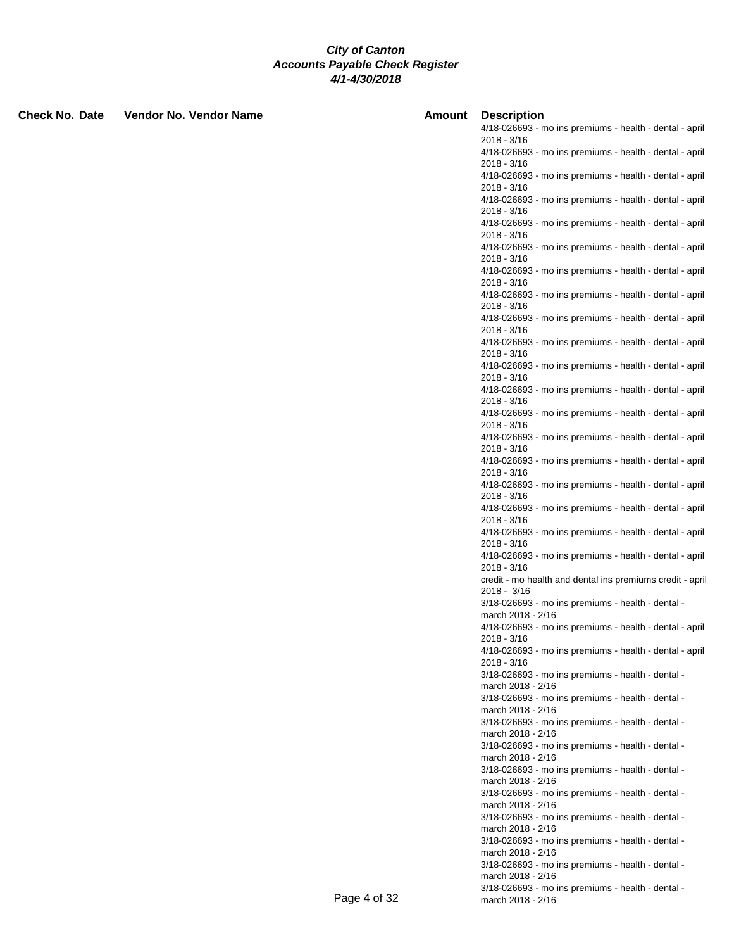| <b>Check No. Date</b> | Vendor No. Vendor Name | Amount       | <b>Description</b>                                                         |
|-----------------------|------------------------|--------------|----------------------------------------------------------------------------|
|                       |                        |              | 4/18-026693 - mo ins premiums - health - dental - april                    |
|                       |                        |              | $2018 - 3/16$<br>4/18-026693 - mo ins premiums - health - dental - april   |
|                       |                        |              | $2018 - 3/16$                                                              |
|                       |                        |              | 4/18-026693 - mo ins premiums - health - dental - april                    |
|                       |                        |              | 2018 - 3/16                                                                |
|                       |                        |              | 4/18-026693 - mo ins premiums - health - dental - april<br>$2018 - 3/16$   |
|                       |                        |              | 4/18-026693 - mo ins premiums - health - dental - april                    |
|                       |                        |              | $2018 - 3/16$                                                              |
|                       |                        |              | 4/18-026693 - mo ins premiums - health - dental - april                    |
|                       |                        |              | $2018 - 3/16$<br>4/18-026693 - mo ins premiums - health - dental - april   |
|                       |                        |              | 2018 - 3/16                                                                |
|                       |                        |              | 4/18-026693 - mo ins premiums - health - dental - april                    |
|                       |                        |              | 2018 - 3/16<br>4/18-026693 - mo ins premiums - health - dental - april     |
|                       |                        |              | $2018 - 3/16$                                                              |
|                       |                        |              | 4/18-026693 - mo ins premiums - health - dental - april                    |
|                       |                        |              | 2018 - 3/16                                                                |
|                       |                        |              | 4/18-026693 - mo ins premiums - health - dental - april<br>2018 - 3/16     |
|                       |                        |              | 4/18-026693 - mo ins premiums - health - dental - april                    |
|                       |                        |              | $2018 - 3/16$                                                              |
|                       |                        |              | 4/18-026693 - mo ins premiums - health - dental - april<br>2018 - 3/16     |
|                       |                        |              | 4/18-026693 - mo ins premiums - health - dental - april                    |
|                       |                        |              | $2018 - 3/16$                                                              |
|                       |                        |              | 4/18-026693 - mo ins premiums - health - dental - april                    |
|                       |                        |              | $2018 - 3/16$<br>4/18-026693 - mo ins premiums - health - dental - april   |
|                       |                        |              | $2018 - 3/16$                                                              |
|                       |                        |              | 4/18-026693 - mo ins premiums - health - dental - april                    |
|                       |                        |              | $2018 - 3/16$<br>4/18-026693 - mo ins premiums - health - dental - april   |
|                       |                        |              | 2018 - 3/16                                                                |
|                       |                        |              | 4/18-026693 - mo ins premiums - health - dental - april                    |
|                       |                        |              | $2018 - 3/16$<br>credit - mo health and dental ins premiums credit - april |
|                       |                        |              | $2018 - 3/16$                                                              |
|                       |                        |              | 3/18-026693 - mo ins premiums - health - dental -                          |
|                       |                        |              | march 2018 - 2/16                                                          |
|                       |                        |              | 4/18-026693 - mo ins premiums - health - dental - april<br>2018 - 3/16     |
|                       |                        |              | 4/18-026693 - mo ins premiums - health - dental - april                    |
|                       |                        |              | 2018 - 3/16                                                                |
|                       |                        |              | 3/18-026693 - mo ins premiums - health - dental -<br>march 2018 - 2/16     |
|                       |                        |              | 3/18-026693 - mo ins premiums - health - dental -                          |
|                       |                        |              | march 2018 - 2/16                                                          |
|                       |                        |              | 3/18-026693 - mo ins premiums - health - dental -<br>march 2018 - 2/16     |
|                       |                        |              | 3/18-026693 - mo ins premiums - health - dental -                          |
|                       |                        |              | march 2018 - 2/16                                                          |
|                       |                        |              | 3/18-026693 - mo ins premiums - health - dental -<br>march 2018 - 2/16     |
|                       |                        |              | 3/18-026693 - mo ins premiums - health - dental -                          |
|                       |                        |              | march 2018 - 2/16                                                          |
|                       |                        |              | 3/18-026693 - mo ins premiums - health - dental -                          |
|                       |                        |              | march 2018 - 2/16<br>3/18-026693 - mo ins premiums - health - dental -     |
|                       |                        |              | march 2018 - 2/16                                                          |
|                       |                        |              | 3/18-026693 - mo ins premiums - health - dental -                          |
|                       |                        |              | march 2018 - 2/16<br>3/18-026693 - mo ins premiums - health - dental -     |
|                       |                        | Page 4 of 32 | march 2018 - 2/16                                                          |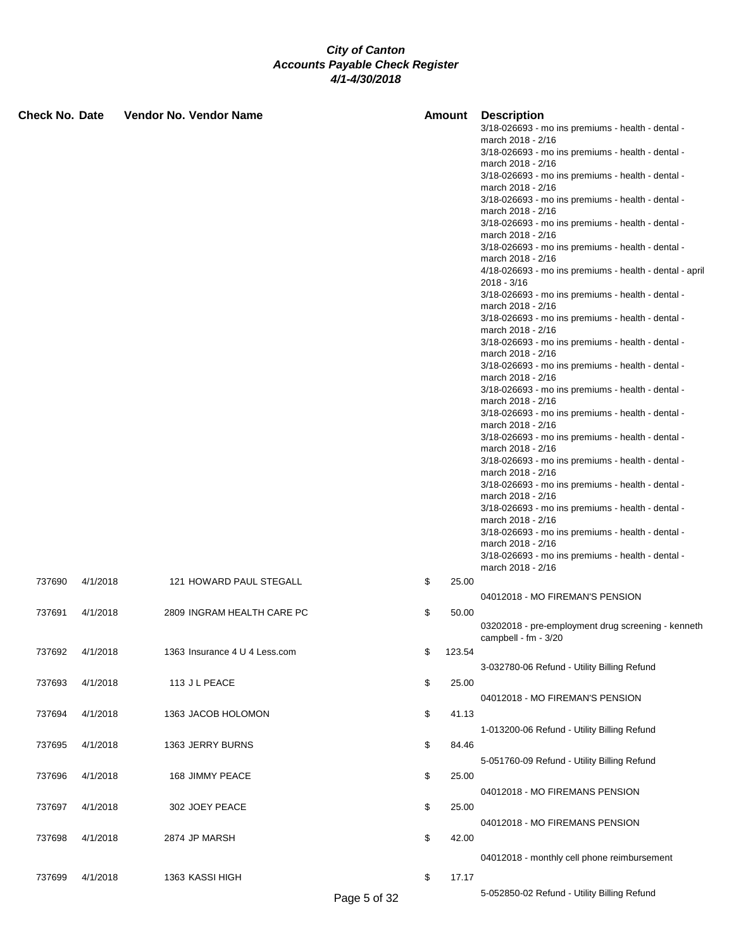| <b>Check No. Date</b> |          | Vendor No. Vendor Name        |              | Amount       | Description<br>3/18-026693 - mo ins premiums - health - dental -<br>march 2018 - 2/16<br>3/18-026693 - mo ins premiums - health - dental -<br>march 2018 - 2/16<br>3/18-026693 - mo ins premiums - health - dental -<br>march 2018 - 2/16<br>3/18-026693 - mo ins premiums - health - dental -<br>march 2018 - 2/16<br>3/18-026693 - mo ins premiums - health - dental -<br>march 2018 - 2/16<br>3/18-026693 - mo ins premiums - health - dental -<br>march 2018 - 2/16<br>4/18-026693 - mo ins premiums - health - dental - april<br>$2018 - 3/16$<br>3/18-026693 - mo ins premiums - health - dental -<br>march 2018 - 2/16<br>3/18-026693 - mo ins premiums - health - dental -<br>march 2018 - 2/16<br>3/18-026693 - mo ins premiums - health - dental -<br>march 2018 - 2/16<br>3/18-026693 - mo ins premiums - health - dental -<br>march 2018 - 2/16<br>3/18-026693 - mo ins premiums - health - dental -<br>march 2018 - 2/16<br>3/18-026693 - mo ins premiums - health - dental -<br>march 2018 - 2/16<br>3/18-026693 - mo ins premiums - health - dental -<br>march 2018 - 2/16<br>3/18-026693 - mo ins premiums - health - dental -<br>march 2018 - 2/16<br>3/18-026693 - mo ins premiums - health - dental -<br>march 2018 - 2/16<br>3/18-026693 - mo ins premiums - health - dental -<br>march 2018 - 2/16<br>3/18-026693 - mo ins premiums - health - dental - |
|-----------------------|----------|-------------------------------|--------------|--------------|------------------------------------------------------------------------------------------------------------------------------------------------------------------------------------------------------------------------------------------------------------------------------------------------------------------------------------------------------------------------------------------------------------------------------------------------------------------------------------------------------------------------------------------------------------------------------------------------------------------------------------------------------------------------------------------------------------------------------------------------------------------------------------------------------------------------------------------------------------------------------------------------------------------------------------------------------------------------------------------------------------------------------------------------------------------------------------------------------------------------------------------------------------------------------------------------------------------------------------------------------------------------------------------------------------------------------------------------------------------------------|
|                       |          |                               |              |              | march 2018 - 2/16<br>3/18-026693 - mo ins premiums - health - dental -<br>march 2018 - 2/16                                                                                                                                                                                                                                                                                                                                                                                                                                                                                                                                                                                                                                                                                                                                                                                                                                                                                                                                                                                                                                                                                                                                                                                                                                                                                  |
| 737690                | 4/1/2018 | 121 HOWARD PAUL STEGALL       |              | \$<br>25.00  | 04012018 - MO FIREMAN'S PENSION                                                                                                                                                                                                                                                                                                                                                                                                                                                                                                                                                                                                                                                                                                                                                                                                                                                                                                                                                                                                                                                                                                                                                                                                                                                                                                                                              |
| 737691                | 4/1/2018 | 2809 INGRAM HEALTH CARE PC    |              | \$<br>50.00  | 03202018 - pre-employment drug screening - kenneth                                                                                                                                                                                                                                                                                                                                                                                                                                                                                                                                                                                                                                                                                                                                                                                                                                                                                                                                                                                                                                                                                                                                                                                                                                                                                                                           |
| 737692                | 4/1/2018 | 1363 Insurance 4 U 4 Less.com |              | \$<br>123.54 | campbell - fm - 3/20                                                                                                                                                                                                                                                                                                                                                                                                                                                                                                                                                                                                                                                                                                                                                                                                                                                                                                                                                                                                                                                                                                                                                                                                                                                                                                                                                         |
| 737693                | 4/1/2018 | 113 J L PEACE                 |              | \$<br>25.00  | 3-032780-06 Refund - Utility Billing Refund                                                                                                                                                                                                                                                                                                                                                                                                                                                                                                                                                                                                                                                                                                                                                                                                                                                                                                                                                                                                                                                                                                                                                                                                                                                                                                                                  |
|                       |          |                               |              |              | 04012018 - MO FIREMAN'S PENSION                                                                                                                                                                                                                                                                                                                                                                                                                                                                                                                                                                                                                                                                                                                                                                                                                                                                                                                                                                                                                                                                                                                                                                                                                                                                                                                                              |
| 737694                | 4/1/2018 | 1363 JACOB HOLOMON            |              | \$<br>41.13  | 1-013200-06 Refund - Utility Billing Refund                                                                                                                                                                                                                                                                                                                                                                                                                                                                                                                                                                                                                                                                                                                                                                                                                                                                                                                                                                                                                                                                                                                                                                                                                                                                                                                                  |
| 737695                | 4/1/2018 | 1363 JERRY BURNS              |              | \$<br>84.46  |                                                                                                                                                                                                                                                                                                                                                                                                                                                                                                                                                                                                                                                                                                                                                                                                                                                                                                                                                                                                                                                                                                                                                                                                                                                                                                                                                                              |
| 737696                | 4/1/2018 | 168 JIMMY PEACE               |              | \$<br>25.00  | 5-051760-09 Refund - Utility Billing Refund                                                                                                                                                                                                                                                                                                                                                                                                                                                                                                                                                                                                                                                                                                                                                                                                                                                                                                                                                                                                                                                                                                                                                                                                                                                                                                                                  |
| 737697                | 4/1/2018 | 302 JOEY PEACE                |              | \$<br>25.00  | 04012018 - MO FIREMANS PENSION                                                                                                                                                                                                                                                                                                                                                                                                                                                                                                                                                                                                                                                                                                                                                                                                                                                                                                                                                                                                                                                                                                                                                                                                                                                                                                                                               |
| 737698                | 4/1/2018 | 2874 JP MARSH                 |              | \$<br>42.00  | 04012018 - MO FIREMANS PENSION                                                                                                                                                                                                                                                                                                                                                                                                                                                                                                                                                                                                                                                                                                                                                                                                                                                                                                                                                                                                                                                                                                                                                                                                                                                                                                                                               |
|                       |          |                               |              |              | 04012018 - monthly cell phone reimbursement                                                                                                                                                                                                                                                                                                                                                                                                                                                                                                                                                                                                                                                                                                                                                                                                                                                                                                                                                                                                                                                                                                                                                                                                                                                                                                                                  |
| 737699                | 4/1/2018 | 1363 KASSI HIGH               | Page 5 of 32 | \$<br>17.17  | 5-052850-02 Refund - Utility Billing Refund                                                                                                                                                                                                                                                                                                                                                                                                                                                                                                                                                                                                                                                                                                                                                                                                                                                                                                                                                                                                                                                                                                                                                                                                                                                                                                                                  |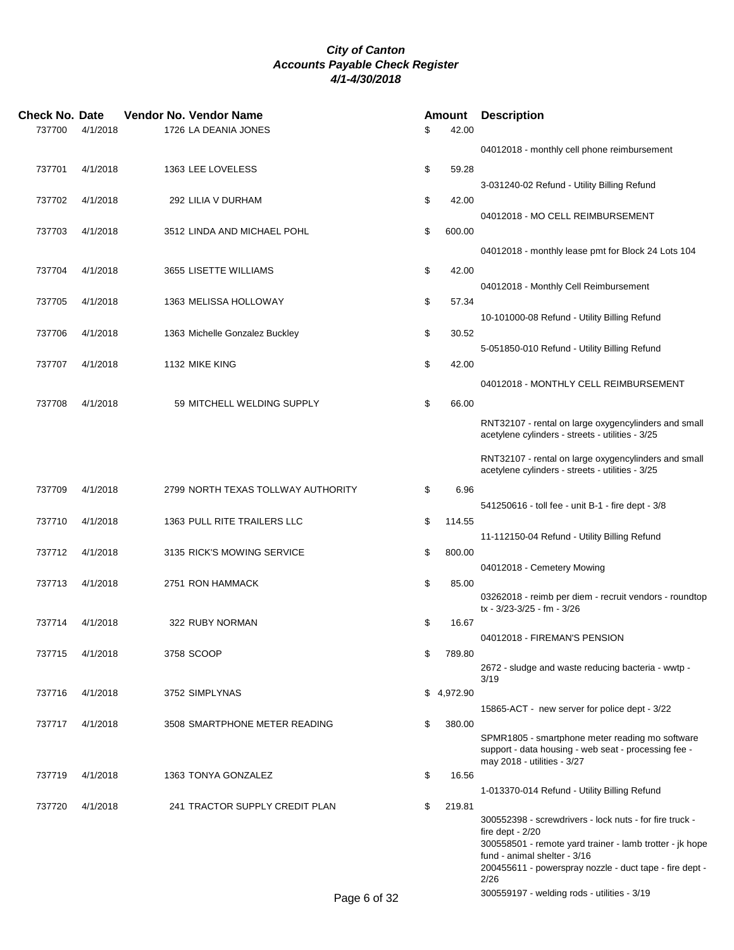| Check No. Date |          | Vendor No. Vendor Name             | Amount       | <b>Description</b>                                                                                      |  |
|----------------|----------|------------------------------------|--------------|---------------------------------------------------------------------------------------------------------|--|
| 737700         | 4/1/2018 | 1726 LA DEANIA JONES               | \$<br>42.00  |                                                                                                         |  |
|                |          |                                    |              | 04012018 - monthly cell phone reimbursement                                                             |  |
| 737701         | 4/1/2018 | 1363 LEE LOVELESS                  | \$<br>59.28  |                                                                                                         |  |
|                |          |                                    |              | 3-031240-02 Refund - Utility Billing Refund                                                             |  |
| 737702         | 4/1/2018 | 292 LILIA V DURHAM                 | \$<br>42.00  |                                                                                                         |  |
|                |          |                                    |              | 04012018 - MO CELL REIMBURSEMENT                                                                        |  |
| 737703         | 4/1/2018 | 3512 LINDA AND MICHAEL POHL        | \$<br>600.00 |                                                                                                         |  |
|                |          |                                    |              | 04012018 - monthly lease pmt for Block 24 Lots 104                                                      |  |
| 737704         | 4/1/2018 | 3655 LISETTE WILLIAMS              | \$<br>42.00  |                                                                                                         |  |
|                |          |                                    |              | 04012018 - Monthly Cell Reimbursement                                                                   |  |
| 737705         | 4/1/2018 | 1363 MELISSA HOLLOWAY              | \$<br>57.34  |                                                                                                         |  |
|                |          |                                    |              | 10-101000-08 Refund - Utility Billing Refund                                                            |  |
| 737706         | 4/1/2018 | 1363 Michelle Gonzalez Buckley     | \$<br>30.52  |                                                                                                         |  |
|                |          |                                    |              | 5-051850-010 Refund - Utility Billing Refund                                                            |  |
| 737707         | 4/1/2018 | 1132 MIKE KING                     | \$<br>42.00  |                                                                                                         |  |
|                |          |                                    |              | 04012018 - MONTHLY CELL REIMBURSEMENT                                                                   |  |
| 737708         | 4/1/2018 | 59 MITCHELL WELDING SUPPLY         | \$<br>66.00  |                                                                                                         |  |
|                |          |                                    |              | RNT32107 - rental on large oxygencylinders and small                                                    |  |
|                |          |                                    |              | acetylene cylinders - streets - utilities - 3/25                                                        |  |
|                |          |                                    |              | RNT32107 - rental on large oxygencylinders and small                                                    |  |
|                |          |                                    |              | acetylene cylinders - streets - utilities - 3/25                                                        |  |
| 737709         | 4/1/2018 | 2799 NORTH TEXAS TOLLWAY AUTHORITY | \$<br>6.96   |                                                                                                         |  |
|                |          |                                    |              | 541250616 - toll fee - unit B-1 - fire dept - 3/8                                                       |  |
| 737710         | 4/1/2018 | 1363 PULL RITE TRAILERS LLC        | \$<br>114.55 |                                                                                                         |  |
|                |          |                                    |              | 11-112150-04 Refund - Utility Billing Refund                                                            |  |
| 737712         | 4/1/2018 | 3135 RICK'S MOWING SERVICE         | \$<br>800.00 |                                                                                                         |  |
|                |          |                                    |              | 04012018 - Cemetery Mowing                                                                              |  |
| 737713         | 4/1/2018 | 2751 RON HAMMACK                   | \$<br>85.00  | 03262018 - reimb per diem - recruit vendors - roundtop                                                  |  |
|                |          |                                    |              | tx - 3/23-3/25 - fm - 3/26                                                                              |  |
| 737714         | 4/1/2018 | 322 RUBY NORMAN                    | \$<br>16.67  |                                                                                                         |  |
|                |          |                                    |              | 04012018 - FIREMAN'S PENSION                                                                            |  |
| 737715         | 4/1/2018 | 3758 SCOOP                         | \$<br>789.80 |                                                                                                         |  |
|                |          |                                    |              | 2672 - sludge and waste reducing bacteria - wwtp -<br>3/19                                              |  |
| 737716         | 4/1/2018 | 3752 SIMPLYNAS                     | \$4,972.90   |                                                                                                         |  |
|                |          |                                    |              | 15865-ACT - new server for police dept - 3/22                                                           |  |
| 737717         | 4/1/2018 | 3508 SMARTPHONE METER READING      | \$<br>380.00 |                                                                                                         |  |
|                |          |                                    |              | SPMR1805 - smartphone meter reading mo software<br>support - data housing - web seat - processing fee - |  |
|                |          |                                    |              | may 2018 - utilities - 3/27                                                                             |  |
| 737719         | 4/1/2018 | 1363 TONYA GONZALEZ                | \$<br>16.56  |                                                                                                         |  |
|                |          |                                    |              | 1-013370-014 Refund - Utility Billing Refund                                                            |  |
| 737720         | 4/1/2018 | 241 TRACTOR SUPPLY CREDIT PLAN     | \$<br>219.81 |                                                                                                         |  |
|                |          |                                    |              | 300552398 - screwdrivers - lock nuts - for fire truck -<br>fire dept - $2/20$                           |  |
|                |          |                                    |              | 300558501 - remote yard trainer - lamb trotter - jk hope                                                |  |
|                |          |                                    |              | fund - animal shelter - 3/16                                                                            |  |
|                |          |                                    |              | 200455611 - powerspray nozzle - duct tape - fire dept -<br>2/26                                         |  |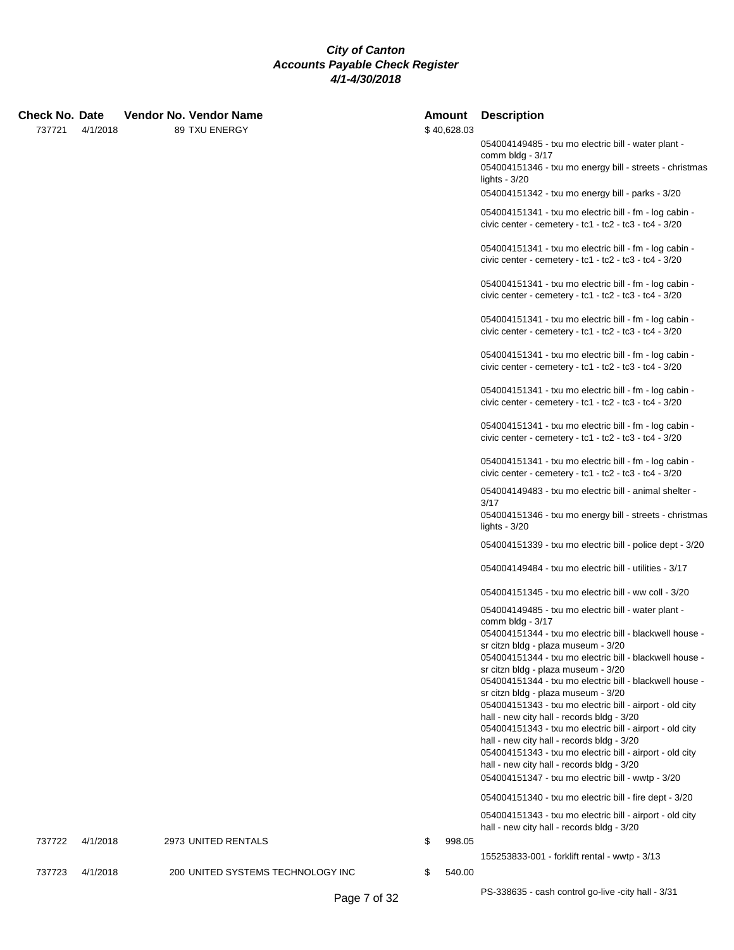### **Check No. Date Vendor No. Vendor Name Amount Description**

737721 4/1/2018 89 TXU ENERGY

| AMOUNT<br>\$40,628.03 | Description                                                                                                                                                                                                 |
|-----------------------|-------------------------------------------------------------------------------------------------------------------------------------------------------------------------------------------------------------|
|                       | 054004149485 - txu mo electric bill - water plant -<br>comm bldg - $3/17$<br>054004151346 - txu mo energy bill - streets - christmas<br>lights - $3/20$<br>054004151342 - txu mo energy bill - parks - 3/20 |
|                       | 054004151341 - txu mo electric bill - fm - log cabin -<br>civic center - cemetery - tc1 - tc2 - tc3 - tc4 - 3/20                                                                                            |
|                       | 054004151341 - txu mo electric bill - fm - log cabin -<br>civic center - cemetery - tc1 - tc2 - tc3 - tc4 - 3/20                                                                                            |
|                       | 054004151341 - txu mo electric bill - fm - log cabin -<br>civic center - cemetery - tc1 - tc2 - tc3 - tc4 - 3/20                                                                                            |
|                       | 054004151341 - txu mo electric bill - fm - log cabin -<br>civic center - cemetery - tc1 - tc2 - tc3 - tc4 - $3/20$                                                                                          |
|                       | 054004151341 - txu mo electric bill - fm - log cabin -<br>civic center - cemetery - tc1 - tc2 - tc3 - tc4 - 3/20                                                                                            |
|                       | 054004151341 - txu mo electric bill - fm - log cabin -<br>civic center - cemetery - $tc1 - tc2 - tc3 - tc4 - 3/20$                                                                                          |
|                       | 054004151341 - txu mo electric bill - fm - log cabin -<br>civic center - cemetery - tc1 - tc2 - tc3 - tc4 - $3/20$                                                                                          |
|                       | 054004151341 - txu mo electric bill - fm - log cabin -<br>civic center - cemetery - tc1 - tc2 - tc3 - tc4 - $3/20$                                                                                          |
|                       | 054004149483 - txu mo electric bill - animal shelter -<br>3/17<br>054004151346 - txu mo energy bill - streets - christmas                                                                                   |
|                       | lights - $3/20$                                                                                                                                                                                             |
|                       | 054004151339 - txu mo electric bill - police dept - 3/20                                                                                                                                                    |
|                       | 054004149484 - txu mo electric bill - utilities - 3/17                                                                                                                                                      |
|                       | 054004151345 - txu mo electric bill - ww coll - 3/20                                                                                                                                                        |
|                       | 054004149485 - txu mo electric bill - water plant -<br>comm bldg - $3/17$                                                                                                                                   |
|                       | 054004151344 - txu mo electric bill - blackwell house -<br>sr citzn bldg - plaza museum - 3/20                                                                                                              |
|                       | 054004151344 - txu mo electric bill - blackwell house -<br>sr citzn bldg - plaza museum - 3/20                                                                                                              |
|                       | 054004151344 - txu mo electric bill - blackwell house -                                                                                                                                                     |
|                       | sr citzn bldg - plaza museum - 3/20<br>054004151343 - txu mo electric bill - airport - old city                                                                                                             |
|                       | hall - new city hall - records bldg - 3/20<br>054004151343 - txu mo electric bill - airport - old city                                                                                                      |
|                       | hall - new city hall - records bldg - 3/20<br>054004151343 - txu mo electric bill - airport - old city<br>hall - new city hall - records bldg - 3/20                                                        |
|                       | 054004151347 - txu mo electric bill - wwtp - 3/20                                                                                                                                                           |
|                       | 054004151340 - txu mo electric bill - fire dept - 3/20                                                                                                                                                      |
| \$<br>998.05          | 054004151343 - txu mo electric bill - airport - old city<br>hall - new city hall - records bldg - 3/20                                                                                                      |
|                       | 155253833-001 - forklift rental - wwtp - 3/13                                                                                                                                                               |

737722 4/1/2018 2973 UNITED RENTALS

737723 4/1/2018 200 UNITED SYSTEMS TECHNOLOGY INC \$ 540.00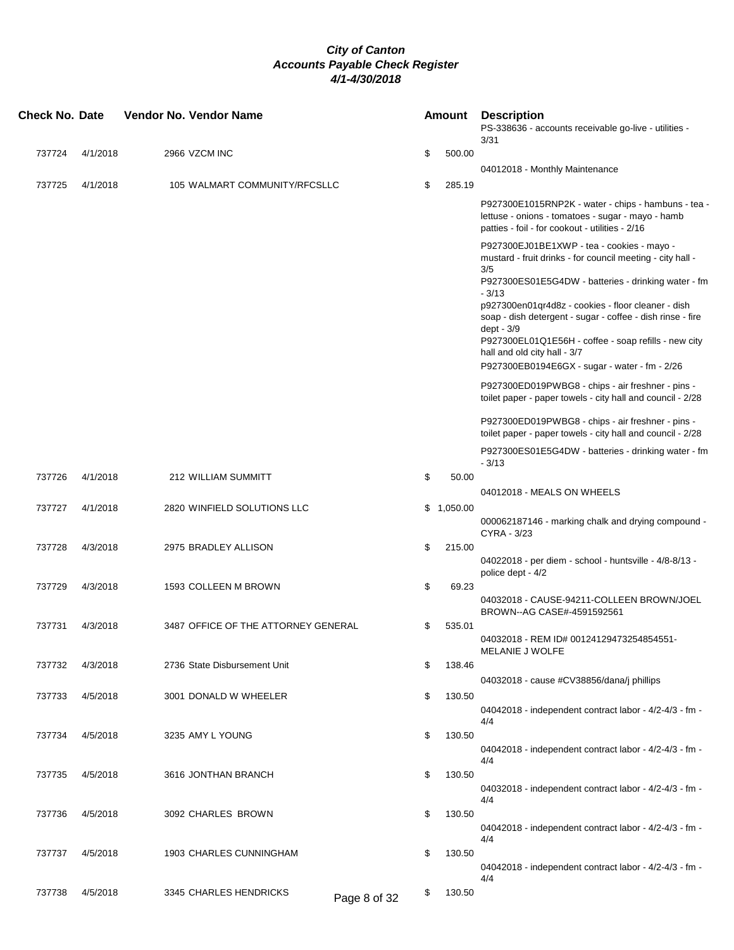| <b>Check No. Date</b> |          | Vendor No. Vendor Name              |                    | <b>Amount</b> | <b>Description</b><br>PS-338636 - accounts receivable go-live - utilities -<br>3/31                                                                                                                                                                                                                   |  |
|-----------------------|----------|-------------------------------------|--------------------|---------------|-------------------------------------------------------------------------------------------------------------------------------------------------------------------------------------------------------------------------------------------------------------------------------------------------------|--|
| 737724                | 4/1/2018 | 2966 VZCM INC                       | \$                 | 500.00        |                                                                                                                                                                                                                                                                                                       |  |
|                       |          |                                     |                    |               | 04012018 - Monthly Maintenance                                                                                                                                                                                                                                                                        |  |
| 737725                | 4/1/2018 | 105 WALMART COMMUNITY/RFCSLLC       | \$                 | 285.19        |                                                                                                                                                                                                                                                                                                       |  |
|                       |          |                                     |                    |               | P927300E1015RNP2K - water - chips - hambuns - tea -<br>lettuse - onions - tomatoes - sugar - mayo - hamb<br>patties - foil - for cookout - utilities - 2/16                                                                                                                                           |  |
|                       |          |                                     |                    |               | P927300EJ01BE1XWP - tea - cookies - mayo -<br>mustard - fruit drinks - for council meeting - city hall -<br>3/5<br>P927300ES01E5G4DW - batteries - drinking water - fm<br>$-3/13$<br>p927300en01qr4d8z - cookies - floor cleaner - dish<br>soap - dish detergent - sugar - coffee - dish rinse - fire |  |
|                       |          |                                     |                    |               | dept - 3/9<br>P927300EL01Q1E56H - coffee - soap refills - new city<br>hall and old city hall - 3/7<br>P927300EB0194E6GX - sugar - water - fm - 2/26                                                                                                                                                   |  |
|                       |          |                                     |                    |               | P927300ED019PWBG8 - chips - air freshner - pins -<br>toilet paper - paper towels - city hall and council - 2/28                                                                                                                                                                                       |  |
|                       |          |                                     |                    |               | P927300ED019PWBG8 - chips - air freshner - pins -<br>toilet paper - paper towels - city hall and council - 2/28                                                                                                                                                                                       |  |
|                       |          |                                     |                    |               | P927300ES01E5G4DW - batteries - drinking water - fm<br>$-3/13$                                                                                                                                                                                                                                        |  |
| 737726                | 4/1/2018 | 212 WILLIAM SUMMITT                 | \$                 | 50.00         |                                                                                                                                                                                                                                                                                                       |  |
|                       |          |                                     |                    |               | 04012018 - MEALS ON WHEELS                                                                                                                                                                                                                                                                            |  |
| 737727                | 4/1/2018 | 2820 WINFIELD SOLUTIONS LLC         |                    | \$1,050.00    | 000062187146 - marking chalk and drying compound -<br>CYRA - 3/23                                                                                                                                                                                                                                     |  |
| 737728                | 4/3/2018 | 2975 BRADLEY ALLISON                | \$                 | 215.00        | 04022018 - per diem - school - huntsville - 4/8-8/13 -<br>police dept - 4/2                                                                                                                                                                                                                           |  |
| 737729                | 4/3/2018 | 1593 COLLEEN M BROWN                | \$                 | 69.23         |                                                                                                                                                                                                                                                                                                       |  |
|                       |          |                                     |                    |               | 04032018 - CAUSE-94211-COLLEEN BROWN/JOEL<br>BROWN--AG CASE#-4591592561                                                                                                                                                                                                                               |  |
| 737731                | 4/3/2018 | 3487 OFFICE OF THE ATTORNEY GENERAL | \$                 | 535.01        | 04032018 - REM ID# 00124129473254854551-<br>MELANIE J WOLFE                                                                                                                                                                                                                                           |  |
| 737732                | 4/3/2018 | 2736 State Disbursement Unit        | \$                 | 138.46        |                                                                                                                                                                                                                                                                                                       |  |
|                       |          |                                     |                    |               | 04032018 - cause #CV38856/dana/j phillips                                                                                                                                                                                                                                                             |  |
| 737733                | 4/5/2018 | 3001 DONALD W WHEELER               | \$                 | 130.50        | 04042018 - independent contract labor - 4/2-4/3 - fm -<br>4/4                                                                                                                                                                                                                                         |  |
| 737734                | 4/5/2018 | 3235 AMY L YOUNG                    | \$                 | 130.50        | 04042018 - independent contract labor - 4/2-4/3 - fm -                                                                                                                                                                                                                                                |  |
| 737735                | 4/5/2018 | 3616 JONTHAN BRANCH                 | \$                 | 130.50        | 4/4<br>04032018 - independent contract labor - 4/2-4/3 - fm -                                                                                                                                                                                                                                         |  |
| 737736                | 4/5/2018 | 3092 CHARLES BROWN                  | \$                 | 130.50        | 4/4                                                                                                                                                                                                                                                                                                   |  |
|                       |          |                                     |                    |               | 04042018 - independent contract labor - 4/2-4/3 - fm -<br>4/4                                                                                                                                                                                                                                         |  |
| 737737                | 4/5/2018 | 1903 CHARLES CUNNINGHAM             | \$                 | 130.50        | 04042018 - independent contract labor - 4/2-4/3 - fm -                                                                                                                                                                                                                                                |  |
| 737738                | 4/5/2018 | 3345 CHARLES HENDRICKS              | \$<br>Page 8 of 32 | 130.50        | 4/4                                                                                                                                                                                                                                                                                                   |  |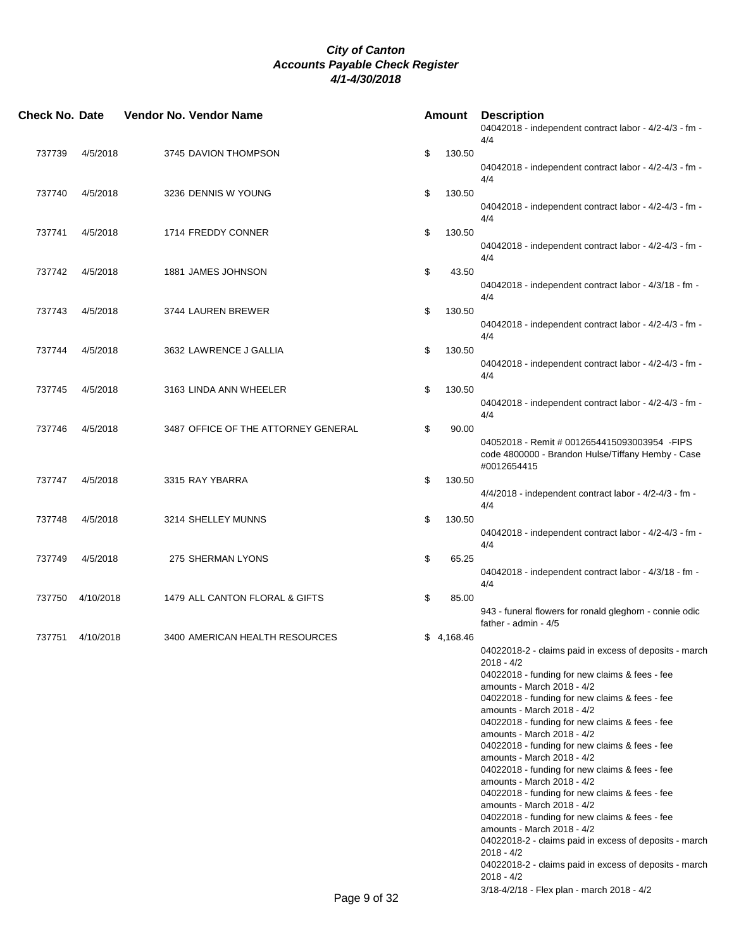| <b>Check No. Date</b> |           | Vendor No. Vendor Name              |                           |            | <b>Amount Description</b><br>04042018 - independent contract labor - 4/2-4/3 - fm -<br>4/4                                       |
|-----------------------|-----------|-------------------------------------|---------------------------|------------|----------------------------------------------------------------------------------------------------------------------------------|
| 737739                | 4/5/2018  | 3745 DAVION THOMPSON                | \$                        | 130.50     | 04042018 - independent contract labor - 4/2-4/3 - fm -                                                                           |
| 737740                | 4/5/2018  | 3236 DENNIS W YOUNG                 | \$                        | 130.50     | 4/4                                                                                                                              |
|                       |           |                                     |                           |            | 04042018 - independent contract labor - 4/2-4/3 - fm -<br>4/4                                                                    |
| 737741                | 4/5/2018  | 1714 FREDDY CONNER                  | \$                        | 130.50     | 04042018 - independent contract labor - 4/2-4/3 - fm -<br>4/4                                                                    |
| 737742                | 4/5/2018  | 1881 JAMES JOHNSON                  | \$                        | 43.50      | 04042018 - independent contract labor - 4/3/18 - fm -                                                                            |
| 737743                | 4/5/2018  | 3744 LAUREN BREWER                  | \$                        | 130.50     | 4/4<br>04042018 - independent contract labor - 4/2-4/3 - fm -                                                                    |
| 737744                | 4/5/2018  | 3632 LAWRENCE J GALLIA              | \$                        | 130.50     | 4/4                                                                                                                              |
|                       |           |                                     |                           |            | 04042018 - independent contract labor - 4/2-4/3 - fm -<br>4/4                                                                    |
| 737745                | 4/5/2018  | 3163 LINDA ANN WHEELER              | \$                        | 130.50     | 04042018 - independent contract labor - 4/2-4/3 - fm -<br>4/4                                                                    |
| 737746                | 4/5/2018  | 3487 OFFICE OF THE ATTORNEY GENERAL | \$                        | 90.00      | 04052018 - Remit # 0012654415093003954 - FIPS<br>code 4800000 - Brandon Hulse/Tiffany Hemby - Case<br>#0012654415                |
| 737747                | 4/5/2018  | 3315 RAY YBARRA                     | \$                        | 130.50     | 4/4/2018 - independent contract labor - 4/2-4/3 - fm -<br>4/4                                                                    |
| 737748                | 4/5/2018  | 3214 SHELLEY MUNNS                  | \$                        | 130.50     | 04042018 - independent contract labor - 4/2-4/3 - fm -                                                                           |
| 737749                | 4/5/2018  | 275 SHERMAN LYONS                   | \$                        | 65.25      | 4/4<br>04042018 - independent contract labor - 4/3/18 - fm -                                                                     |
| 737750                | 4/10/2018 | 1479 ALL CANTON FLORAL & GIFTS      | \$                        | 85.00      | 4/4                                                                                                                              |
|                       |           |                                     |                           |            | 943 - funeral flowers for ronald gleghorn - connie odic<br>father - admin - 4/5                                                  |
| 737751                | 4/10/2018 | 3400 AMERICAN HEALTH RESOURCES      |                           | \$4,168.46 | 04022018-2 - claims paid in excess of deposits - march<br>2018 - 4/2                                                             |
|                       |           |                                     |                           |            | 04022018 - funding for new claims & fees - fee<br>amounts - March 2018 - 4/2<br>04022018 - funding for new claims & fees - fee   |
|                       |           |                                     |                           |            | amounts - March 2018 - 4/2<br>04022018 - funding for new claims & fees - fee<br>amounts - March 2018 - 4/2                       |
|                       |           |                                     |                           |            | 04022018 - funding for new claims & fees - fee<br>amounts - March 2018 - 4/2<br>04022018 - funding for new claims & fees - fee   |
|                       |           |                                     |                           |            | amounts - March 2018 - 4/2<br>04022018 - funding for new claims & fees - fee<br>amounts - March 2018 - 4/2                       |
|                       |           |                                     |                           |            | 04022018 - funding for new claims & fees - fee<br>amounts - March 2018 - 4/2                                                     |
|                       |           |                                     |                           |            | 04022018-2 - claims paid in excess of deposits - march<br>$2018 - 4/2$<br>04022018-2 - claims paid in excess of deposits - march |
|                       |           |                                     | $Dess \wedge st \wedge r$ |            | 2018 - 4/2<br>3/18-4/2/18 - Flex plan - march 2018 - 4/2                                                                         |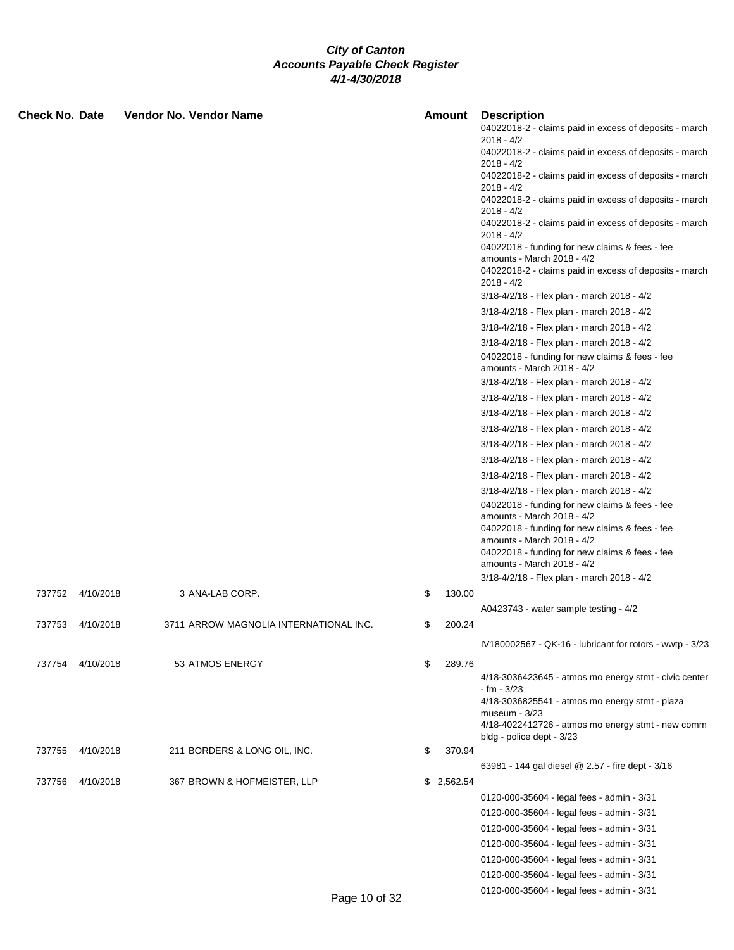| Check No. Date |           | Vendor No. Vendor Name                 |               | Amount     | <b>Description</b><br>04022018-2 - claims paid in excess of deposits - march<br>2018 - 4/2<br>04022018-2 - claims paid in excess of deposits - march<br>2018 - 4/2<br>04022018-2 - claims paid in excess of deposits - march                                                               |
|----------------|-----------|----------------------------------------|---------------|------------|--------------------------------------------------------------------------------------------------------------------------------------------------------------------------------------------------------------------------------------------------------------------------------------------|
|                |           |                                        |               |            | 2018 - 4/2<br>04022018-2 - claims paid in excess of deposits - march<br>2018 - 4/2                                                                                                                                                                                                         |
|                |           |                                        |               |            | 04022018-2 - claims paid in excess of deposits - march<br>$2018 - 4/2$                                                                                                                                                                                                                     |
|                |           |                                        |               |            | 04022018 - funding for new claims & fees - fee<br>amounts - March 2018 - 4/2<br>04022018-2 - claims paid in excess of deposits - march<br>$2018 - 4/2$                                                                                                                                     |
|                |           |                                        |               |            | 3/18-4/2/18 - Flex plan - march 2018 - 4/2                                                                                                                                                                                                                                                 |
|                |           |                                        |               |            | 3/18-4/2/18 - Flex plan - march 2018 - 4/2                                                                                                                                                                                                                                                 |
|                |           |                                        |               |            | 3/18-4/2/18 - Flex plan - march 2018 - 4/2                                                                                                                                                                                                                                                 |
|                |           |                                        |               |            | 3/18-4/2/18 - Flex plan - march 2018 - 4/2                                                                                                                                                                                                                                                 |
|                |           |                                        |               |            | 04022018 - funding for new claims & fees - fee<br>amounts - March 2018 - 4/2                                                                                                                                                                                                               |
|                |           |                                        |               |            | 3/18-4/2/18 - Flex plan - march 2018 - 4/2                                                                                                                                                                                                                                                 |
|                |           |                                        |               |            | 3/18-4/2/18 - Flex plan - march 2018 - 4/2                                                                                                                                                                                                                                                 |
|                |           |                                        |               |            | 3/18-4/2/18 - Flex plan - march 2018 - 4/2                                                                                                                                                                                                                                                 |
|                |           |                                        |               |            | 3/18-4/2/18 - Flex plan - march 2018 - 4/2                                                                                                                                                                                                                                                 |
|                |           |                                        |               |            | 3/18-4/2/18 - Flex plan - march 2018 - 4/2                                                                                                                                                                                                                                                 |
|                |           |                                        |               |            | 3/18-4/2/18 - Flex plan - march 2018 - 4/2                                                                                                                                                                                                                                                 |
|                |           |                                        |               |            | 3/18-4/2/18 - Flex plan - march 2018 - 4/2                                                                                                                                                                                                                                                 |
|                |           |                                        |               |            | 3/18-4/2/18 - Flex plan - march 2018 - 4/2<br>04022018 - funding for new claims & fees - fee<br>amounts - March 2018 - 4/2<br>04022018 - funding for new claims & fees - fee<br>amounts - March 2018 - 4/2<br>04022018 - funding for new claims & fees - fee<br>amounts - March 2018 - 4/2 |
|                |           |                                        |               |            | 3/18-4/2/18 - Flex plan - march 2018 - 4/2                                                                                                                                                                                                                                                 |
| 737752         | 4/10/2018 | 3 ANA-LAB CORP.                        | \$            | 130.00     |                                                                                                                                                                                                                                                                                            |
|                |           |                                        |               |            | A0423743 - water sample testing - 4/2                                                                                                                                                                                                                                                      |
| 737753         | 4/10/2018 | 3711 ARROW MAGNOLIA INTERNATIONAL INC. | \$            | 200.24     |                                                                                                                                                                                                                                                                                            |
|                |           |                                        |               |            | IV180002567 - QK-16 - lubricant for rotors - wwtp - 3/23                                                                                                                                                                                                                                   |
| 737754         | 4/10/2018 | 53 ATMOS ENERGY                        | \$            | 289.76     | 4/18-3036423645 - atmos mo energy stmt - civic center<br>$- fm - 3/23$                                                                                                                                                                                                                     |
|                |           |                                        |               |            | $4/18 - 3036825541 - 3 \times 3000$ energy stmt - plaza<br>museum - 3/23                                                                                                                                                                                                                   |
|                |           |                                        |               |            | 4/18-4022412726 - atmos mo energy stmt - new comm<br>bldg - police dept - 3/23                                                                                                                                                                                                             |
| 737755         | 4/10/2018 | 211 BORDERS & LONG OIL, INC.           | S             | 370.94     |                                                                                                                                                                                                                                                                                            |
|                |           |                                        |               |            | 63981 - 144 gal diesel @ 2.57 - fire dept - 3/16                                                                                                                                                                                                                                           |
| 737756         | 4/10/2018 | 367 BROWN & HOFMEISTER, LLP            |               | \$2,562.54 |                                                                                                                                                                                                                                                                                            |
|                |           |                                        |               |            | 0120-000-35604 - legal fees - admin - 3/31                                                                                                                                                                                                                                                 |
|                |           |                                        |               |            | 0120-000-35604 - legal fees - admin - 3/31                                                                                                                                                                                                                                                 |
|                |           |                                        |               |            | 0120-000-35604 - legal fees - admin - 3/31                                                                                                                                                                                                                                                 |
|                |           |                                        |               |            | 0120-000-35604 - legal fees - admin - 3/31                                                                                                                                                                                                                                                 |
|                |           |                                        |               |            | 0120-000-35604 - legal fees - admin - 3/31                                                                                                                                                                                                                                                 |
|                |           |                                        |               |            | 0120-000-35604 - legal fees - admin - 3/31                                                                                                                                                                                                                                                 |
|                |           |                                        | Page 10 of 32 |            | 0120-000-35604 - legal fees - admin - 3/31                                                                                                                                                                                                                                                 |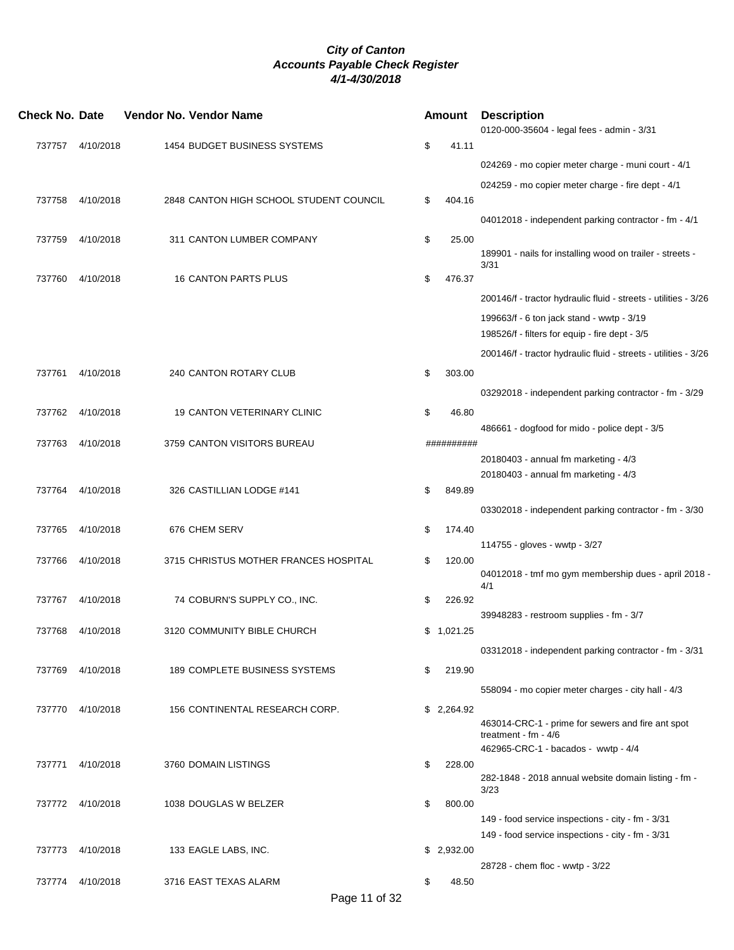| <b>Check No. Date</b> |                  | Vendor No. Vendor Name                  |    | Amount     | <b>Description</b><br>0120-000-35604 - legal fees - admin - 3/31  |
|-----------------------|------------------|-----------------------------------------|----|------------|-------------------------------------------------------------------|
| 737757                | 4/10/2018        | 1454 BUDGET BUSINESS SYSTEMS            | \$ | 41.11      |                                                                   |
|                       |                  |                                         |    |            | 024269 - mo copier meter charge - muni court - 4/1                |
|                       |                  |                                         |    |            | 024259 - mo copier meter charge - fire dept - 4/1                 |
| 737758                | 4/10/2018        | 2848 CANTON HIGH SCHOOL STUDENT COUNCIL | \$ | 404.16     |                                                                   |
|                       |                  |                                         |    |            | 04012018 - independent parking contractor - fm - 4/1              |
| 737759                | 4/10/2018        | 311 CANTON LUMBER COMPANY               | \$ | 25.00      |                                                                   |
|                       |                  |                                         |    |            | 189901 - nails for installing wood on trailer - streets -<br>3/31 |
| 737760                | 4/10/2018        | 16 CANTON PARTS PLUS                    | \$ | 476.37     |                                                                   |
|                       |                  |                                         |    |            | 200146/f - tractor hydraulic fluid - streets - utilities - 3/26   |
|                       |                  |                                         |    |            | 199663/f - 6 ton jack stand - wwtp - 3/19                         |
|                       |                  |                                         |    |            | 198526/f - filters for equip - fire dept - 3/5                    |
|                       |                  |                                         |    |            | 200146/f - tractor hydraulic fluid - streets - utilities - 3/26   |
| 737761                | 4/10/2018        | 240 CANTON ROTARY CLUB                  | \$ | 303.00     |                                                                   |
|                       |                  |                                         |    |            | 03292018 - independent parking contractor - fm - 3/29             |
| 737762                | 4/10/2018        | <b>19 CANTON VETERINARY CLINIC</b>      | \$ | 46.80      |                                                                   |
|                       |                  |                                         |    |            | 486661 - dogfood for mido - police dept - 3/5                     |
| 737763                | 4/10/2018        | 3759 CANTON VISITORS BUREAU             |    | ########## |                                                                   |
|                       |                  |                                         |    |            | 20180403 - annual fm marketing - 4/3                              |
|                       |                  |                                         |    |            | 20180403 - annual fm marketing - 4/3                              |
|                       | 737764 4/10/2018 | 326 CASTILLIAN LODGE #141               | \$ | 849.89     |                                                                   |
|                       |                  |                                         |    |            | 03302018 - independent parking contractor - fm - 3/30             |
| 737765                | 4/10/2018        | 676 CHEM SERV                           | \$ | 174.40     |                                                                   |
|                       |                  |                                         |    |            | 114755 - gloves - wwtp - 3/27                                     |
| 737766                | 4/10/2018        | 3715 CHRISTUS MOTHER FRANCES HOSPITAL   | \$ | 120.00     | 04012018 - tmf mo gym membership dues - april 2018 -              |
|                       |                  |                                         |    |            | 4/1                                                               |
| 737767                | 4/10/2018        | 74 COBURN'S SUPPLY CO., INC.            | \$ | 226.92     |                                                                   |
|                       |                  |                                         |    |            | 39948283 - restroom supplies - fm - 3/7                           |
| 737768                | 4/10/2018        | 3120 COMMUNITY BIBLE CHURCH             |    | \$1,021.25 |                                                                   |
|                       |                  |                                         |    |            | 03312018 - independent parking contractor - fm - 3/31             |
| 737769                | 4/10/2018        | <b>189 COMPLETE BUSINESS SYSTEMS</b>    | \$ | 219.90     |                                                                   |
|                       |                  |                                         |    |            | 558094 - mo copier meter charges - city hall - 4/3                |
|                       | 737770 4/10/2018 | 156 CONTINENTAL RESEARCH CORP.          |    | \$2,264.92 |                                                                   |
|                       |                  |                                         |    |            | 463014-CRC-1 - prime for sewers and fire ant spot                 |
|                       |                  |                                         |    |            | treatment - $fm - 4/6$                                            |
| 737771                | 4/10/2018        | 3760 DOMAIN LISTINGS                    | \$ | 228.00     | 462965-CRC-1 - bacados - wwtp - 4/4                               |
|                       |                  |                                         |    |            | 282-1848 - 2018 annual website domain listing - fm -              |
|                       |                  |                                         |    |            | 3/23                                                              |
|                       | 737772 4/10/2018 | 1038 DOUGLAS W BELZER                   | \$ | 800.00     |                                                                   |
|                       |                  |                                         |    |            | 149 - food service inspections - city - fm - 3/31                 |
|                       |                  |                                         |    |            | 149 - food service inspections - city - fm - 3/31                 |
|                       | 737773 4/10/2018 | 133 EAGLE LABS, INC.                    |    | \$2,932.00 | 28728 - chem floc - wwtp - 3/22                                   |
| 737774                | 4/10/2018        | 3716 EAST TEXAS ALARM                   | \$ | 48.50      |                                                                   |
|                       |                  |                                         |    |            |                                                                   |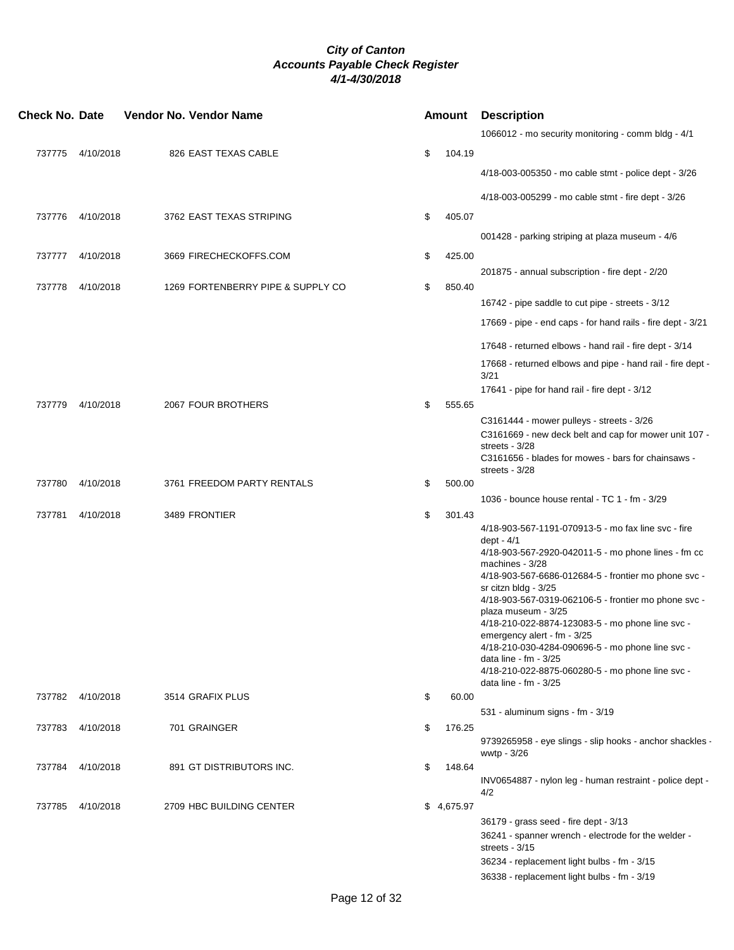| <b>Check No. Date</b> |                  | Vendor No. Vendor Name |                                   |    |            | <b>Amount</b> Description                                                                                                                                                                                                                                                                                                                                                                                                                                                                                                                                 |  |
|-----------------------|------------------|------------------------|-----------------------------------|----|------------|-----------------------------------------------------------------------------------------------------------------------------------------------------------------------------------------------------------------------------------------------------------------------------------------------------------------------------------------------------------------------------------------------------------------------------------------------------------------------------------------------------------------------------------------------------------|--|
|                       |                  |                        |                                   |    |            | 1066012 - mo security monitoring - comm bldg - 4/1                                                                                                                                                                                                                                                                                                                                                                                                                                                                                                        |  |
|                       | 737775 4/10/2018 |                        | 826 EAST TEXAS CABLE              | \$ | 104.19     |                                                                                                                                                                                                                                                                                                                                                                                                                                                                                                                                                           |  |
|                       |                  |                        |                                   |    |            | 4/18-003-005350 - mo cable stmt - police dept - 3/26                                                                                                                                                                                                                                                                                                                                                                                                                                                                                                      |  |
|                       |                  |                        |                                   |    |            | 4/18-003-005299 - mo cable stmt - fire dept - 3/26                                                                                                                                                                                                                                                                                                                                                                                                                                                                                                        |  |
|                       | 737776 4/10/2018 |                        | 3762 EAST TEXAS STRIPING          | \$ | 405.07     |                                                                                                                                                                                                                                                                                                                                                                                                                                                                                                                                                           |  |
|                       |                  |                        |                                   |    |            | 001428 - parking striping at plaza museum - 4/6                                                                                                                                                                                                                                                                                                                                                                                                                                                                                                           |  |
|                       | 737777 4/10/2018 |                        | 3669 FIRECHECKOFFS.COM            | \$ | 425.00     |                                                                                                                                                                                                                                                                                                                                                                                                                                                                                                                                                           |  |
|                       |                  |                        |                                   |    |            | 201875 - annual subscription - fire dept - 2/20                                                                                                                                                                                                                                                                                                                                                                                                                                                                                                           |  |
| 737778                | 4/10/2018        |                        | 1269 FORTENBERRY PIPE & SUPPLY CO | \$ | 850.40     | 16742 - pipe saddle to cut pipe - streets - 3/12                                                                                                                                                                                                                                                                                                                                                                                                                                                                                                          |  |
|                       |                  |                        |                                   |    |            | 17669 - pipe - end caps - for hand rails - fire dept - 3/21                                                                                                                                                                                                                                                                                                                                                                                                                                                                                               |  |
|                       |                  |                        |                                   |    |            | 17648 - returned elbows - hand rail - fire dept - 3/14                                                                                                                                                                                                                                                                                                                                                                                                                                                                                                    |  |
|                       |                  |                        |                                   |    |            | 17668 - returned elbows and pipe - hand rail - fire dept -<br>3/21                                                                                                                                                                                                                                                                                                                                                                                                                                                                                        |  |
|                       |                  |                        |                                   |    |            | 17641 - pipe for hand rail - fire dept - 3/12                                                                                                                                                                                                                                                                                                                                                                                                                                                                                                             |  |
| 737779                | 4/10/2018        |                        | 2067 FOUR BROTHERS                | \$ | 555.65     |                                                                                                                                                                                                                                                                                                                                                                                                                                                                                                                                                           |  |
|                       |                  |                        |                                   |    |            | C3161444 - mower pulleys - streets - 3/26<br>C3161669 - new deck belt and cap for mower unit 107 -<br>streets - 3/28<br>C3161656 - blades for mowes - bars for chainsaws -<br>streets - 3/28                                                                                                                                                                                                                                                                                                                                                              |  |
| 737780                | 4/10/2018        |                        | 3761 FREEDOM PARTY RENTALS        | \$ | 500.00     |                                                                                                                                                                                                                                                                                                                                                                                                                                                                                                                                                           |  |
|                       |                  |                        |                                   |    |            | 1036 - bounce house rental - TC 1 - fm - 3/29                                                                                                                                                                                                                                                                                                                                                                                                                                                                                                             |  |
| 737781                | 4/10/2018        | 3489 FRONTIER          |                                   | \$ | 301.43     | 4/18-903-567-1191-070913-5 - mo fax line svc - fire<br>dept - 4/1<br>4/18-903-567-2920-042011-5 - mo phone lines - fm cc<br>machines - 3/28<br>4/18-903-567-6686-012684-5 - frontier mo phone svc -<br>sr citzn bldg - 3/25<br>4/18-903-567-0319-062106-5 - frontier mo phone svc -<br>plaza museum - 3/25<br>4/18-210-022-8874-123083-5 - mo phone line svc -<br>emergency alert - fm - 3/25<br>4/18-210-030-4284-090696-5 - mo phone line svc -<br>data line - fm - 3/25<br>4/18-210-022-8875-060280-5 - mo phone line svc -<br>data line - $fm - 3/25$ |  |
|                       | 737782 4/10/2018 | 3514 GRAFIX PLUS       |                                   | \$ | 60.00      |                                                                                                                                                                                                                                                                                                                                                                                                                                                                                                                                                           |  |
|                       |                  |                        |                                   |    |            | 531 - aluminum signs - fm - 3/19                                                                                                                                                                                                                                                                                                                                                                                                                                                                                                                          |  |
|                       | 737783 4/10/2018 | 701 GRAINGER           |                                   | \$ | 176.25     | 9739265958 - eye slings - slip hooks - anchor shackles -<br>wwtp - 3/26                                                                                                                                                                                                                                                                                                                                                                                                                                                                                   |  |
|                       | 737784 4/10/2018 |                        | 891 GT DISTRIBUTORS INC.          | \$ | 148.64     |                                                                                                                                                                                                                                                                                                                                                                                                                                                                                                                                                           |  |
|                       |                  |                        |                                   |    |            | INV0654887 - nylon leg - human restraint - police dept -<br>4/2                                                                                                                                                                                                                                                                                                                                                                                                                                                                                           |  |
|                       | 737785 4/10/2018 |                        | 2709 HBC BUILDING CENTER          |    | \$4,675.97 |                                                                                                                                                                                                                                                                                                                                                                                                                                                                                                                                                           |  |
|                       |                  |                        |                                   |    |            | 36179 - grass seed - fire dept - 3/13<br>36241 - spanner wrench - electrode for the welder -<br>streets - $3/15$                                                                                                                                                                                                                                                                                                                                                                                                                                          |  |
|                       |                  |                        |                                   |    |            | 36234 - replacement light bulbs - fm - 3/15                                                                                                                                                                                                                                                                                                                                                                                                                                                                                                               |  |
|                       |                  |                        |                                   |    |            | 36338 - replacement light bulbs - fm - 3/19                                                                                                                                                                                                                                                                                                                                                                                                                                                                                                               |  |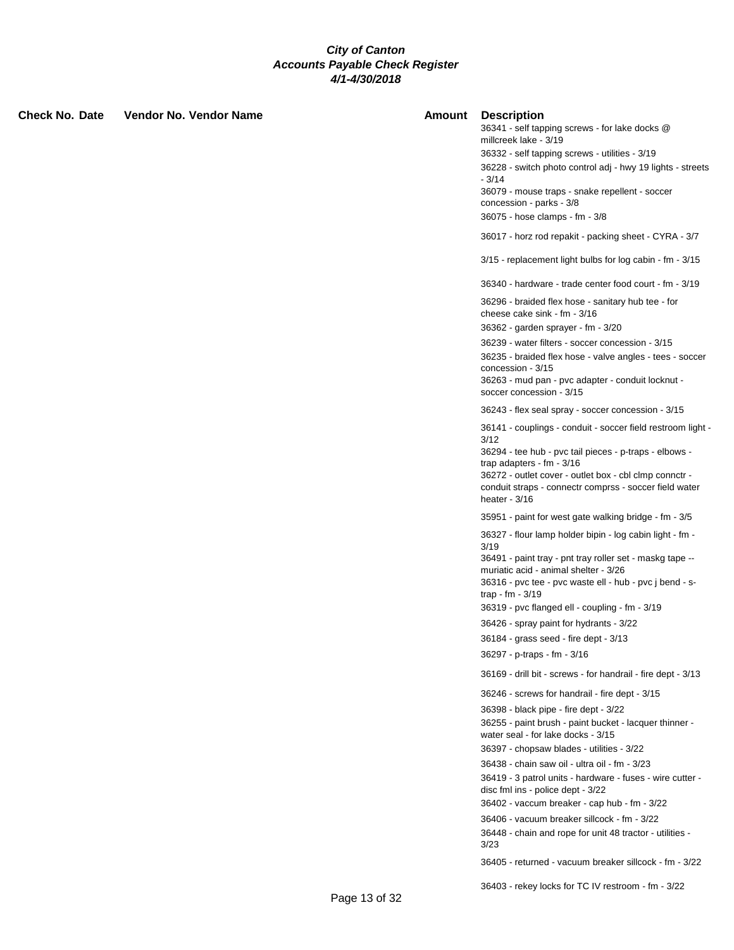| Check No. Date | Vendor No. Vendor Name | <b>Amount</b> | <b>Description</b><br>36341 - self tapping screws - for lake docks @<br>millcreek lake - 3/19<br>36332 - self tapping screws - utilities - 3/19<br>36228 - switch photo control adj - hwy 19 lights - streets<br>$-3/14$<br>36079 - mouse traps - snake repellent - soccer<br>concession - parks - 3/8<br>36075 - hose clamps - fm - 3/8<br>36017 - horz rod repakit - packing sheet - CYRA - 3/7<br>3/15 - replacement light bulbs for log cabin - fm - 3/15<br>36340 - hardware - trade center food court - fm - 3/19 |
|----------------|------------------------|---------------|-------------------------------------------------------------------------------------------------------------------------------------------------------------------------------------------------------------------------------------------------------------------------------------------------------------------------------------------------------------------------------------------------------------------------------------------------------------------------------------------------------------------------|
|                |                        |               | 36296 - braided flex hose - sanitary hub tee - for<br>cheese cake sink - fm - 3/16<br>36362 - garden sprayer - fm - 3/20                                                                                                                                                                                                                                                                                                                                                                                                |
|                |                        |               | 36239 - water filters - soccer concession - 3/15<br>36235 - braided flex hose - valve angles - tees - soccer<br>concession - 3/15<br>36263 - mud pan - pvc adapter - conduit locknut -<br>soccer concession - 3/15                                                                                                                                                                                                                                                                                                      |
|                |                        |               | 36243 - flex seal spray - soccer concession - 3/15<br>36141 - couplings - conduit - soccer field restroom light -<br>3/12<br>36294 - tee hub - pvc tail pieces - p-traps - elbows -<br>trap adapters - $fm - 3/16$<br>36272 - outlet cover - outlet box - cbl clmp connctr -<br>conduit straps - connectr comprss - soccer field water<br>heater - $3/16$                                                                                                                                                               |
|                |                        |               | 35951 - paint for west gate walking bridge - fm - 3/5                                                                                                                                                                                                                                                                                                                                                                                                                                                                   |
|                |                        |               | 36327 - flour lamp holder bipin - log cabin light - fm -<br>3/19<br>36491 - paint tray - pnt tray roller set - maskg tape --<br>muriatic acid - animal shelter - 3/26<br>36316 - pvc tee - pvc waste ell - hub - pvc j bend - s-<br>trap - fm - 3/19<br>36319 - pvc flanged ell - coupling - fm - 3/19<br>36426 - spray paint for hydrants - 3/22<br>36184 - grass seed - fire dept - 3/13<br>36297 - p-traps - fm - 3/16                                                                                               |
|                |                        |               | 36169 - drill bit - screws - for handrail - fire dept - 3/13                                                                                                                                                                                                                                                                                                                                                                                                                                                            |
|                |                        |               | 36246 - screws for handrail - fire dept - 3/15<br>36398 - black pipe - fire dept - 3/22<br>36255 - paint brush - paint bucket - lacquer thinner -                                                                                                                                                                                                                                                                                                                                                                       |
|                |                        |               | water seal - for lake docks - 3/15<br>36397 - chopsaw blades - utilities - 3/22<br>36438 - chain saw oil - ultra oil - fm - 3/23<br>36419 - 3 patrol units - hardware - fuses - wire cutter -<br>disc fml ins - police dept - 3/22<br>36402 - vaccum breaker - cap hub - fm - 3/22                                                                                                                                                                                                                                      |
|                |                        |               | 36406 - vacuum breaker sillcock - fm - 3/22<br>36448 - chain and rope for unit 48 tractor - utilities -<br>3/23<br>36405 - returned - vacuum breaker sillcock - fm - 3/22                                                                                                                                                                                                                                                                                                                                               |
|                |                        |               |                                                                                                                                                                                                                                                                                                                                                                                                                                                                                                                         |

36403 - rekey locks for TC IV restroom - fm - 3/22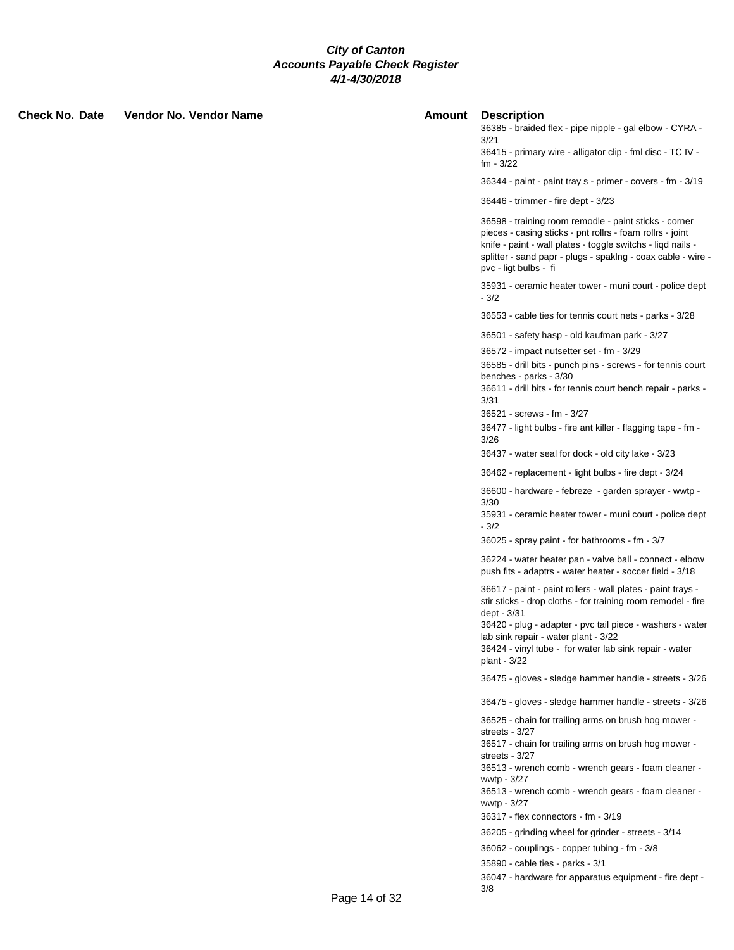|               | 36415 - primary wire<br>$fm - 3/22$                                                                                                                                                                                                                                               |
|---------------|-----------------------------------------------------------------------------------------------------------------------------------------------------------------------------------------------------------------------------------------------------------------------------------|
|               | 36344 - paint - paint                                                                                                                                                                                                                                                             |
|               | 36446 - trimmer - fir                                                                                                                                                                                                                                                             |
|               | 36598 - training roor<br>pieces - casing stick<br>knife - paint - wall pl<br>splitter - sand papr -<br>pvc - ligt bulbs - fi                                                                                                                                                      |
|               | 35931 - ceramic hea<br>$-3/2$                                                                                                                                                                                                                                                     |
|               | 36553 - cable ties fo                                                                                                                                                                                                                                                             |
|               | 36501 - safety hasp<br>36572 - impact nuts<br>36585 - drill bits - pu<br>benches - parks - 3/<br>36611 - drill bits - fo<br>3/31<br>36521 - screws - fm<br>36477 - light bulbs -<br>3/26                                                                                          |
|               | 36437 - water seal f                                                                                                                                                                                                                                                              |
|               | 36462 - replacemen<br>36600 - hardware - 1<br>3/30<br>35931 - ceramic hea<br>$-3/2$<br>36025 - spray paint                                                                                                                                                                        |
|               | 36224 - water heate<br>push fits - adaptrs -                                                                                                                                                                                                                                      |
|               | 36617 - paint - paint<br>stir sticks - drop clot<br>dept - 3/31<br>36420 - plug - adapt<br>lab sink repair - wate<br>36424 - vinyl tube -<br>plant - 3/22                                                                                                                         |
|               | 36475 - gloves - sle                                                                                                                                                                                                                                                              |
|               | 36475 - gloves - sle                                                                                                                                                                                                                                                              |
|               | 36525 - chain for tra<br>streets - 3/27<br>36517 - chain for tra<br>streets - 3/27<br>36513 - wrench com<br>wwtp - 3/27<br>36513 - wrench com<br>wwtp - 3/27<br>36317 - flex connect<br>36205 - grinding wh<br>36062 - couplings -<br>35890 - cable ties -<br>36047 - hardware fo |
| Page 14 of 32 | 3/8                                                                                                                                                                                                                                                                               |
|               |                                                                                                                                                                                                                                                                                   |

#### **Check No. Date Vendor No. Vendor Name Amount Description**

36385 - braided flex - pipe nipple - gal elbow - CYRA - 3/21

e - alligator clip - fml disc - TC IV -

 $3/19$  tray s - primer - covers - fm -  $3/19$ 

 $e$  dept -  $3/23$ 

m remodle - paint sticks - corner ss - pnt rollrs - foam rollrs - joint lates - toggle switchs - liqd nails plugs - spaklng - coax cable - wire -

ater tower - muni court - police dept

or tennis court nets - parks - 3/28

- old kaufman park - 3/27

setter set - fm - 3/29

anch pins - screws - for tennis court  $30<sub>2</sub>$ 

If tennis court bench repair - parks -

 $-3/27$ 

fire ant killer - flagging tape - fm -

for dock - old city lake - 3/23

1t - light bulbs - fire dept - 3/24

febreze - garden sprayer - wwtp -

ater tower - muni court - police dept

- for bathrooms - fm - 3/7

er pan - valve ball - connect - elbow water heater - soccer field - 3/18

rollers - wall plates - paint trays ths - for training room remodel - fire

ter - pvc tail piece - washers - water er plant - 3/22

for water lab sink repair - water

dge hammer handle - streets - 3/26

dge hammer handle - streets - 3/26

ailing arms on brush hog mower -

ailing arms on brush hog mower -

nb - wrench gears - foam cleaner -

nb - wrench gears - foam cleaner -

 $tors - fm - 3/19$ 

eel for grinder - streets - 3/14

copper tubing - fm - 3/8

parks - 3/1

or apparatus equipment - fire dept -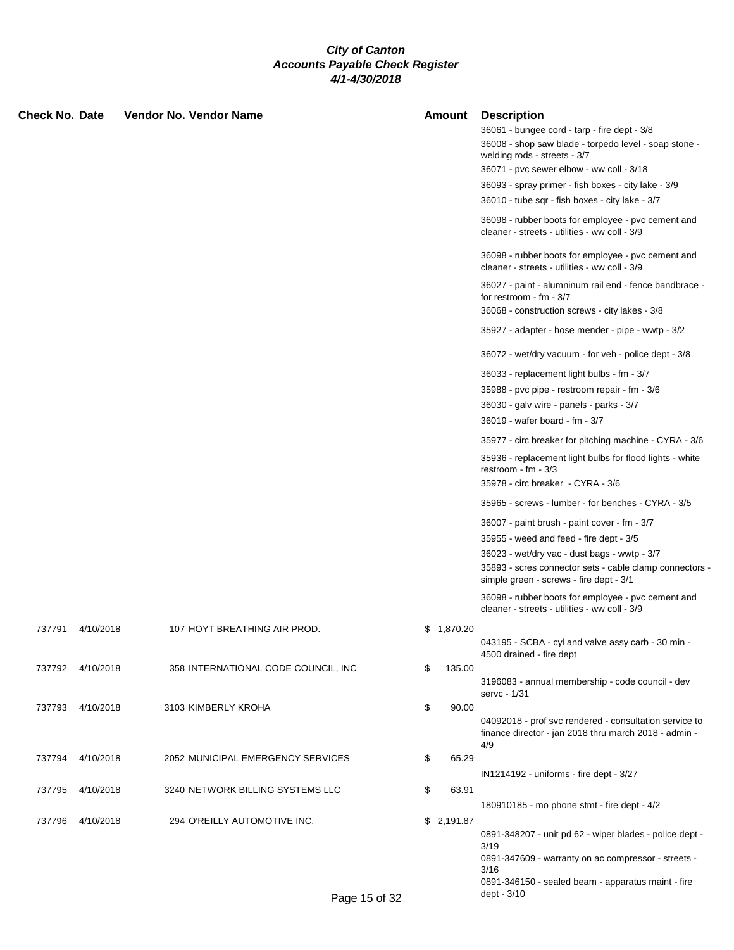| <b>Check No. Date</b> |                  | Vendor No. Vendor Name              | Amount       | <b>Description</b><br>36061 - bungee cord - tarp - fire dept - 3/8                                                             |
|-----------------------|------------------|-------------------------------------|--------------|--------------------------------------------------------------------------------------------------------------------------------|
|                       |                  |                                     |              | 36008 - shop saw blade - torpedo level - soap stone -<br>welding rods - streets - 3/7                                          |
|                       |                  |                                     |              | 36071 - pvc sewer elbow - ww coll - 3/18                                                                                       |
|                       |                  |                                     |              | 36093 - spray primer - fish boxes - city lake - 3/9                                                                            |
|                       |                  |                                     |              | 36010 - tube sqr - fish boxes - city lake - 3/7                                                                                |
|                       |                  |                                     |              | 36098 - rubber boots for employee - pvc cement and<br>cleaner - streets - utilities - ww coll - 3/9                            |
|                       |                  |                                     |              | 36098 - rubber boots for employee - pvc cement and<br>cleaner - streets - utilities - ww coll - 3/9                            |
|                       |                  |                                     |              | 36027 - paint - alumninum rail end - fence bandbrace -<br>for restroom - $fm - 3/7$                                            |
|                       |                  |                                     |              | 36068 - construction screws - city lakes - 3/8                                                                                 |
|                       |                  |                                     |              | 35927 - adapter - hose mender - pipe - wwtp - 3/2                                                                              |
|                       |                  |                                     |              | 36072 - wet/dry vacuum - for veh - police dept - 3/8                                                                           |
|                       |                  |                                     |              | 36033 - replacement light bulbs - fm - 3/7                                                                                     |
|                       |                  |                                     |              | 35988 - pvc pipe - restroom repair - fm - 3/6                                                                                  |
|                       |                  |                                     |              | 36030 - galv wire - panels - parks - 3/7                                                                                       |
|                       |                  |                                     |              | 36019 - wafer board - fm - 3/7                                                                                                 |
|                       |                  |                                     |              | 35977 - circ breaker for pitching machine - CYRA - 3/6                                                                         |
|                       |                  |                                     |              | 35936 - replacement light bulbs for flood lights - white<br>restroom - fm - $3/3$                                              |
|                       |                  |                                     |              | 35978 - circ breaker - CYRA - 3/6                                                                                              |
|                       |                  |                                     |              | 35965 - screws - lumber - for benches - CYRA - 3/5                                                                             |
|                       |                  |                                     |              | 36007 - paint brush - paint cover - fm - 3/7                                                                                   |
|                       |                  |                                     |              | 35955 - weed and feed - fire dept - 3/5                                                                                        |
|                       |                  |                                     |              | 36023 - wet/dry vac - dust bags - wwtp - 3/7                                                                                   |
|                       |                  |                                     |              | 35893 - scres connector sets - cable clamp connectors -<br>simple green - screws - fire dept - 3/1                             |
|                       |                  |                                     |              | 36098 - rubber boots for employee - pvc cement and<br>cleaner - streets - utilities - ww coll - 3/9                            |
|                       | 737791 4/10/2018 | 107 HOYT BREATHING AIR PROD.        | \$1,870.20   |                                                                                                                                |
|                       |                  |                                     |              | 043195 - SCBA - cyl and valve assy carb - 30 min -<br>4500 drained - fire dept                                                 |
|                       | 737792 4/10/2018 | 358 INTERNATIONAL CODE COUNCIL, INC | \$<br>135.00 | 3196083 - annual membership - code council - dev                                                                               |
|                       |                  |                                     |              | servc - 1/31                                                                                                                   |
|                       | 737793 4/10/2018 | 3103 KIMBERLY KROHA                 | \$<br>90.00  |                                                                                                                                |
|                       |                  |                                     |              | 04092018 - prof svc rendered - consultation service to<br>finance director - jan 2018 thru march 2018 - admin -<br>4/9         |
| 737794                | 4/10/2018        | 2052 MUNICIPAL EMERGENCY SERVICES   | \$<br>65.29  |                                                                                                                                |
|                       |                  |                                     |              | IN1214192 - uniforms - fire dept - 3/27                                                                                        |
| 737795                | 4/10/2018        | 3240 NETWORK BILLING SYSTEMS LLC    | \$<br>63.91  | 180910185 - mo phone stmt - fire dept - 4/2                                                                                    |
| 737796                | 4/10/2018        | 294 O'REILLY AUTOMOTIVE INC.        | \$2,191.87   |                                                                                                                                |
|                       |                  |                                     |              | 0891-348207 - unit pd 62 - wiper blades - police dept -<br>3/19<br>0891-347609 - warranty on ac compressor - streets -<br>3/16 |
|                       |                  |                                     |              | 0891-346150 - sealed beam - apparatus maint - fire                                                                             |
|                       |                  | Page 15 of 32                       |              | dept - 3/10                                                                                                                    |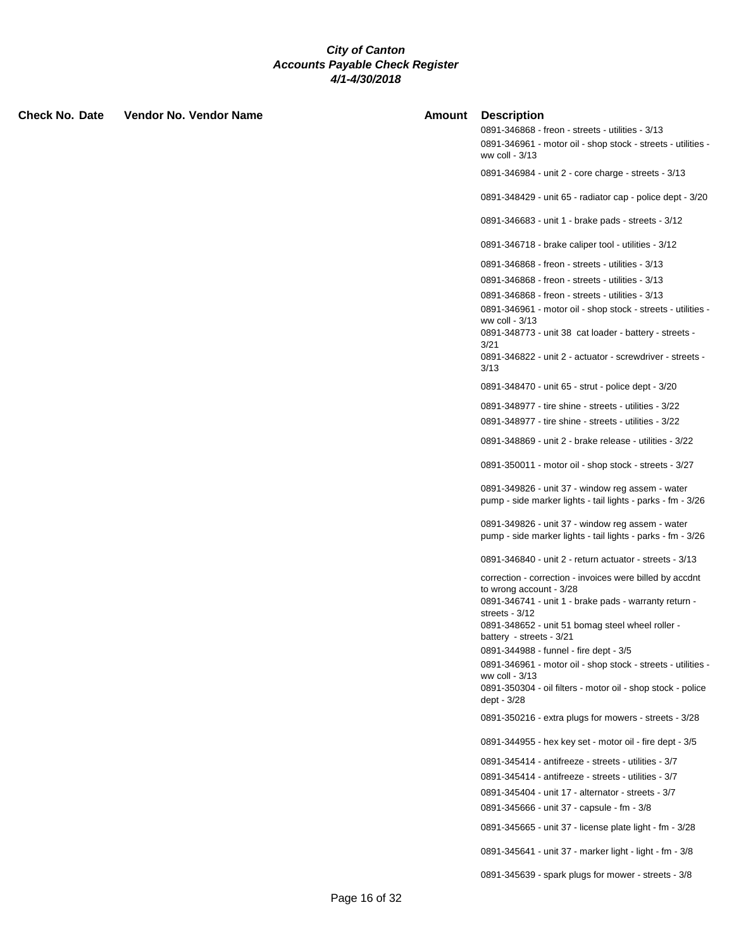| Check No. Date | Vendor No. Vendor Name | <b>Amount</b> | <b>Description</b>                                                                                                                                                                                                                               |
|----------------|------------------------|---------------|--------------------------------------------------------------------------------------------------------------------------------------------------------------------------------------------------------------------------------------------------|
|                |                        |               | 0891-346868 - freon - streets - utilities - 3/13<br>0891-346961 - motor oil - shop stock - streets - utilities -<br>ww coll - 3/13                                                                                                               |
|                |                        |               | 0891-346984 - unit 2 - core charge - streets - 3/13                                                                                                                                                                                              |
|                |                        |               | 0891-348429 - unit 65 - radiator cap - police dept - 3/20                                                                                                                                                                                        |
|                |                        |               | 0891-346683 - unit 1 - brake pads - streets - 3/12                                                                                                                                                                                               |
|                |                        |               | 0891-346718 - brake caliper tool - utilities - 3/12                                                                                                                                                                                              |
|                |                        |               | 0891-346868 - freon - streets - utilities - 3/13                                                                                                                                                                                                 |
|                |                        |               | 0891-346868 - freon - streets - utilities - 3/13                                                                                                                                                                                                 |
|                |                        |               | 0891-346868 - freon - streets - utilities - 3/13                                                                                                                                                                                                 |
|                |                        |               | 0891-346961 - motor oil - shop stock - streets - utilities -<br>ww coll - 3/13<br>0891-348773 - unit 38 cat loader - battery - streets -<br>3/21<br>0891-346822 - unit 2 - actuator - screwdriver - streets -                                    |
|                |                        |               | 3/13                                                                                                                                                                                                                                             |
|                |                        |               | 0891-348470 - unit 65 - strut - police dept - 3/20                                                                                                                                                                                               |
|                |                        |               | 0891-348977 - tire shine - streets - utilities - 3/22                                                                                                                                                                                            |
|                |                        |               | 0891-348977 - tire shine - streets - utilities - 3/22                                                                                                                                                                                            |
|                |                        |               | 0891-348869 - unit 2 - brake release - utilities - 3/22                                                                                                                                                                                          |
|                |                        |               | 0891-350011 - motor oil - shop stock - streets - 3/27                                                                                                                                                                                            |
|                |                        |               | 0891-349826 - unit 37 - window reg assem - water<br>pump - side marker lights - tail lights - parks - fm - 3/26                                                                                                                                  |
|                |                        |               | 0891-349826 - unit 37 - window reg assem - water<br>pump - side marker lights - tail lights - parks - fm - 3/26                                                                                                                                  |
|                |                        |               | 0891-346840 - unit 2 - return actuator - streets - 3/13                                                                                                                                                                                          |
|                |                        |               | correction - correction - invoices were billed by accdnt<br>to wrong account - 3/28<br>0891-346741 - unit 1 - brake pads - warranty return -<br>streets - $3/12$<br>0891-348652 - unit 51 bomag steel wheel roller -<br>battery - streets - 3/21 |
|                |                        |               | 0891-344988 - funnel - fire dept - 3/5                                                                                                                                                                                                           |
|                |                        |               | 0891-346961 - motor oil - shop stock - streets - utilities -<br>ww coll - 3/13<br>0891-350304 - oil filters - motor oil - shop stock - police<br>dept - 3/28                                                                                     |
|                |                        |               | 0891-350216 - extra plugs for mowers - streets - 3/28                                                                                                                                                                                            |
|                |                        |               | 0891-344955 - hex key set - motor oil - fire dept - 3/5                                                                                                                                                                                          |
|                |                        |               | 0891-345414 - antifreeze - streets - utilities - 3/7                                                                                                                                                                                             |
|                |                        |               | 0891-345414 - antifreeze - streets - utilities - 3/7                                                                                                                                                                                             |
|                |                        |               | 0891-345404 - unit 17 - alternator - streets - 3/7<br>0891-345666 - unit 37 - capsule - fm - 3/8                                                                                                                                                 |
|                |                        |               | 0891-345665 - unit 37 - license plate light - fm - 3/28                                                                                                                                                                                          |
|                |                        |               | 0891-345641 - unit 37 - marker light - light - fm - 3/8                                                                                                                                                                                          |
|                |                        |               | 0891-345639 - spark plugs for mower - streets - 3/8                                                                                                                                                                                              |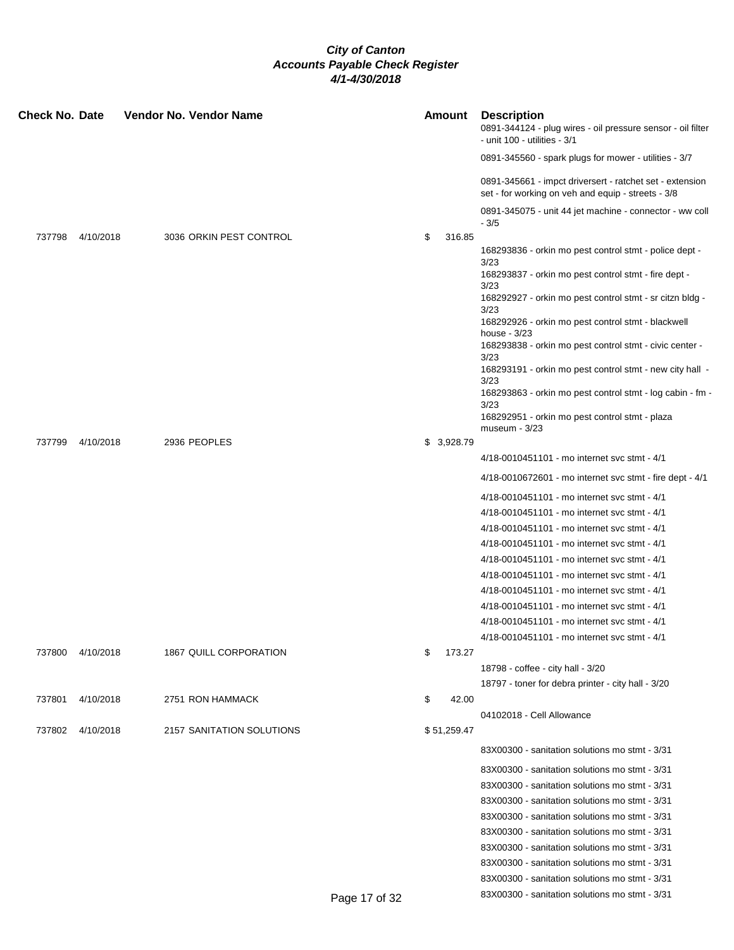| <b>Check No. Date</b> |           | Vendor No. Vendor Name    | <b>Amount</b> |        | <b>Description</b><br>0891-344124 - plug wires - oil pressure sensor - oil filter<br>- unit 100 - utilities - 3/1 |
|-----------------------|-----------|---------------------------|---------------|--------|-------------------------------------------------------------------------------------------------------------------|
|                       |           |                           |               |        | 0891-345560 - spark plugs for mower - utilities - 3/7                                                             |
|                       |           |                           |               |        | 0891-345661 - impct driversert - ratchet set - extension<br>set - for working on veh and equip - streets - 3/8    |
|                       |           |                           |               |        | 0891-345075 - unit 44 jet machine - connector - ww coll<br>$-3/5$                                                 |
| 737798                | 4/10/2018 | 3036 ORKIN PEST CONTROL   | \$            | 316.85 |                                                                                                                   |
|                       |           |                           |               |        | 168293836 - orkin mo pest control stmt - police dept -<br>3/23                                                    |
|                       |           |                           |               |        | 168293837 - orkin mo pest control stmt - fire dept -<br>3/23                                                      |
|                       |           |                           |               |        | 168292927 - orkin mo pest control stmt - sr citzn bldg -<br>3/23                                                  |
|                       |           |                           |               |        | 168292926 - orkin mo pest control stmt - blackwell<br>house $-3/23$                                               |
|                       |           |                           |               |        | 168293838 - orkin mo pest control stmt - civic center -<br>3/23                                                   |
|                       |           |                           |               |        | 168293191 - orkin mo pest control stmt - new city hall -<br>3/23                                                  |
|                       |           |                           |               |        | 168293863 - orkin mo pest control stmt - log cabin - fm -<br>3/23                                                 |
|                       |           |                           |               |        | 168292951 - orkin mo pest control stmt - plaza<br>$museum - 3/23$                                                 |
| 737799                | 4/10/2018 | 2936 PEOPLES              | \$3,928.79    |        |                                                                                                                   |
|                       |           |                           |               |        | 4/18-0010451101 - mo internet svc stmt - 4/1                                                                      |
|                       |           |                           |               |        | 4/18-0010672601 - mo internet svc stmt - fire dept - 4/1                                                          |
|                       |           |                           |               |        | 4/18-0010451101 - mo internet svc stmt - 4/1                                                                      |
|                       |           |                           |               |        | 4/18-0010451101 - mo internet svc stmt - 4/1                                                                      |
|                       |           |                           |               |        | 4/18-0010451101 - mo internet svc stmt - 4/1                                                                      |
|                       |           |                           |               |        | 4/18-0010451101 - mo internet svc stmt - 4/1                                                                      |
|                       |           |                           |               |        | 4/18-0010451101 - mo internet svc stmt - 4/1                                                                      |
|                       |           |                           |               |        | 4/18-0010451101 - mo internet svc stmt - 4/1                                                                      |
|                       |           |                           |               |        | 4/18-0010451101 - mo internet svc stmt - 4/1                                                                      |
|                       |           |                           |               |        | 4/18-0010451101 - mo internet svc stmt - 4/1                                                                      |
|                       |           |                           |               |        | 4/18-0010451101 - mo internet svc stmt - 4/1                                                                      |
|                       |           |                           |               |        | 4/18-0010451101 - mo internet svc stmt - 4/1                                                                      |
| 737800                | 4/10/2018 | 1867 QUILL CORPORATION    | \$            | 173.27 |                                                                                                                   |
|                       |           |                           |               |        | 18798 - coffee - city hall - 3/20                                                                                 |
|                       |           |                           |               |        | 18797 - toner for debra printer - city hall - 3/20                                                                |
| 737801                | 4/10/2018 | 2751 RON HAMMACK          | \$            | 42.00  |                                                                                                                   |
|                       |           |                           |               |        | 04102018 - Cell Allowance                                                                                         |
| 737802                | 4/10/2018 | 2157 SANITATION SOLUTIONS | \$51,259.47   |        |                                                                                                                   |
|                       |           |                           |               |        | 83X00300 - sanitation solutions mo stmt - 3/31                                                                    |
|                       |           |                           |               |        | 83X00300 - sanitation solutions mo stmt - 3/31                                                                    |
|                       |           |                           |               |        | 83X00300 - sanitation solutions mo stmt - 3/31                                                                    |
|                       |           |                           |               |        | 83X00300 - sanitation solutions mo stmt - 3/31                                                                    |
|                       |           |                           |               |        | 83X00300 - sanitation solutions mo stmt - 3/31                                                                    |
|                       |           |                           |               |        | 83X00300 - sanitation solutions mo stmt - 3/31                                                                    |
|                       |           |                           |               |        | 83X00300 - sanitation solutions mo stmt - 3/31                                                                    |
|                       |           |                           |               |        | 83X00300 - sanitation solutions mo stmt - 3/31                                                                    |
|                       |           |                           |               |        | 83X00300 - sanitation solutions mo stmt - 3/31                                                                    |
|                       |           |                           | Page 17 of 32 |        | 83X00300 - sanitation solutions mo stmt - 3/31                                                                    |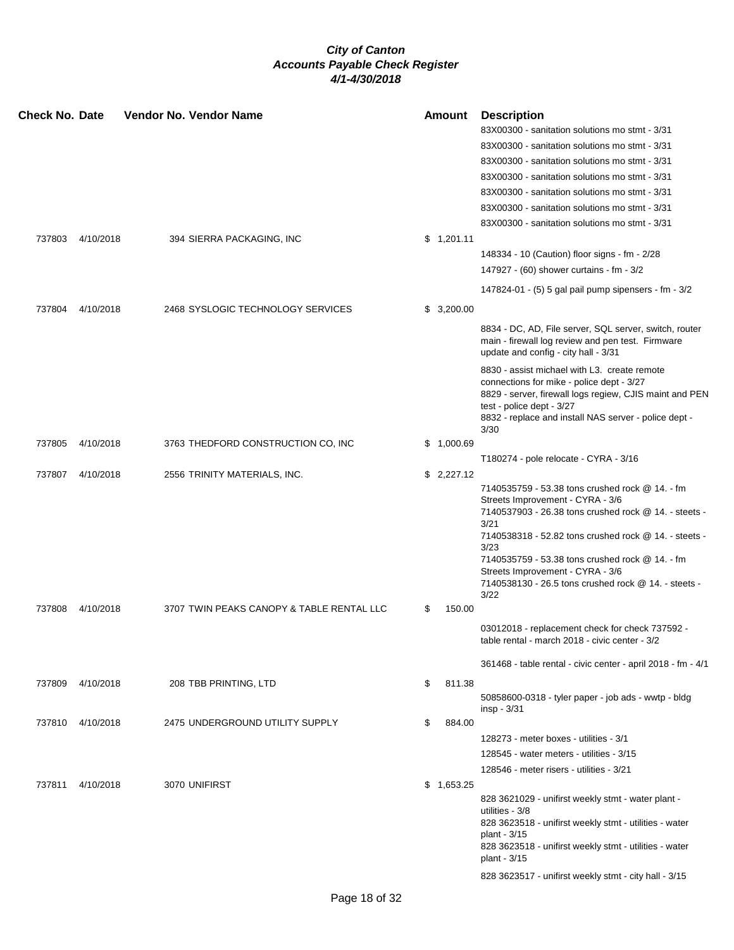| <b>Check No. Date</b> |           | <b>Vendor No. Vendor Name</b>             | <b>Amount</b> | <b>Description</b><br>83X00300 - sanitation solutions mo stmt - 3/31<br>83X00300 - sanitation solutions mo stmt - 3/31<br>83X00300 - sanitation solutions mo stmt - 3/31<br>83X00300 - sanitation solutions mo stmt - 3/31<br>83X00300 - sanitation solutions mo stmt - 3/31<br>83X00300 - sanitation solutions mo stmt - 3/31                                               |
|-----------------------|-----------|-------------------------------------------|---------------|------------------------------------------------------------------------------------------------------------------------------------------------------------------------------------------------------------------------------------------------------------------------------------------------------------------------------------------------------------------------------|
| 737803                | 4/10/2018 | 394 SIERRA PACKAGING, INC                 | \$1,201.11    | 83X00300 - sanitation solutions mo stmt - 3/31                                                                                                                                                                                                                                                                                                                               |
|                       |           |                                           |               | 148334 - 10 (Caution) floor signs - fm - 2/28                                                                                                                                                                                                                                                                                                                                |
|                       |           |                                           |               | 147927 - (60) shower curtains - fm - 3/2                                                                                                                                                                                                                                                                                                                                     |
|                       |           |                                           |               | 147824-01 - (5) 5 gal pail pump sipensers - fm - 3/2                                                                                                                                                                                                                                                                                                                         |
| 737804                | 4/10/2018 | 2468 SYSLOGIC TECHNOLOGY SERVICES         | \$3,200.00    |                                                                                                                                                                                                                                                                                                                                                                              |
|                       |           |                                           |               | 8834 - DC, AD, File server, SQL server, switch, router<br>main - firewall log review and pen test. Firmware<br>update and config - city hall - 3/31                                                                                                                                                                                                                          |
|                       |           |                                           |               | 8830 - assist michael with L3. create remote<br>connections for mike - police dept - 3/27<br>8829 - server, firewall logs regiew, CJIS maint and PEN<br>test - police dept - 3/27<br>8832 - replace and install NAS server - police dept -<br>3/30                                                                                                                           |
| 737805                | 4/10/2018 | 3763 THEDFORD CONSTRUCTION CO, INC        | \$1,000.69    |                                                                                                                                                                                                                                                                                                                                                                              |
|                       |           |                                           |               | T180274 - pole relocate - CYRA - 3/16                                                                                                                                                                                                                                                                                                                                        |
| 737807                | 4/10/2018 | 2556 TRINITY MATERIALS, INC.              | \$2,227.12    | 7140535759 - 53.38 tons crushed rock @ 14. - fm<br>Streets Improvement - CYRA - 3/6<br>7140537903 - 26.38 tons crushed rock @ 14. - steets -<br>3/21<br>7140538318 - 52.82 tons crushed rock @ 14. - steets -<br>3/23<br>7140535759 - 53.38 tons crushed rock @ 14. - fm<br>Streets Improvement - CYRA - 3/6<br>7140538130 - 26.5 tons crushed rock @ 14. - steets -<br>3/22 |
| 737808                | 4/10/2018 | 3707 TWIN PEAKS CANOPY & TABLE RENTAL LLC | \$<br>150.00  |                                                                                                                                                                                                                                                                                                                                                                              |
|                       |           |                                           |               | 03012018 - replacement check for check 737592 -<br>table rental - march 2018 - civic center - 3/2                                                                                                                                                                                                                                                                            |
|                       |           |                                           |               | 361468 - table rental - civic center - april 2018 - fm - 4/1                                                                                                                                                                                                                                                                                                                 |
| 737809                | 4/10/2018 | 208 TBB PRINTING, LTD                     | \$<br>811.38  | 50858600-0318 - tyler paper - job ads - wwtp - bldg<br>insp - 3/31                                                                                                                                                                                                                                                                                                           |
| 737810                | 4/10/2018 | 2475 UNDERGROUND UTILITY SUPPLY           | \$<br>884.00  |                                                                                                                                                                                                                                                                                                                                                                              |
|                       |           |                                           |               | 128273 - meter boxes - utilities - 3/1                                                                                                                                                                                                                                                                                                                                       |
|                       |           |                                           |               | 128545 - water meters - utilities - 3/15                                                                                                                                                                                                                                                                                                                                     |
|                       |           |                                           |               | 128546 - meter risers - utilities - 3/21                                                                                                                                                                                                                                                                                                                                     |
| 737811                | 4/10/2018 | 3070 UNIFIRST                             | \$1,653.25    | 828 3621029 - unifirst weekly stmt - water plant -<br>utilities - 3/8<br>828 3623518 - unifirst weekly stmt - utilities - water<br>plant - 3/15<br>828 3623518 - unifirst weekly stmt - utilities - water<br>plant - 3/15<br>828 3623517 - unifirst weekly stmt - city hall - 3/15                                                                                           |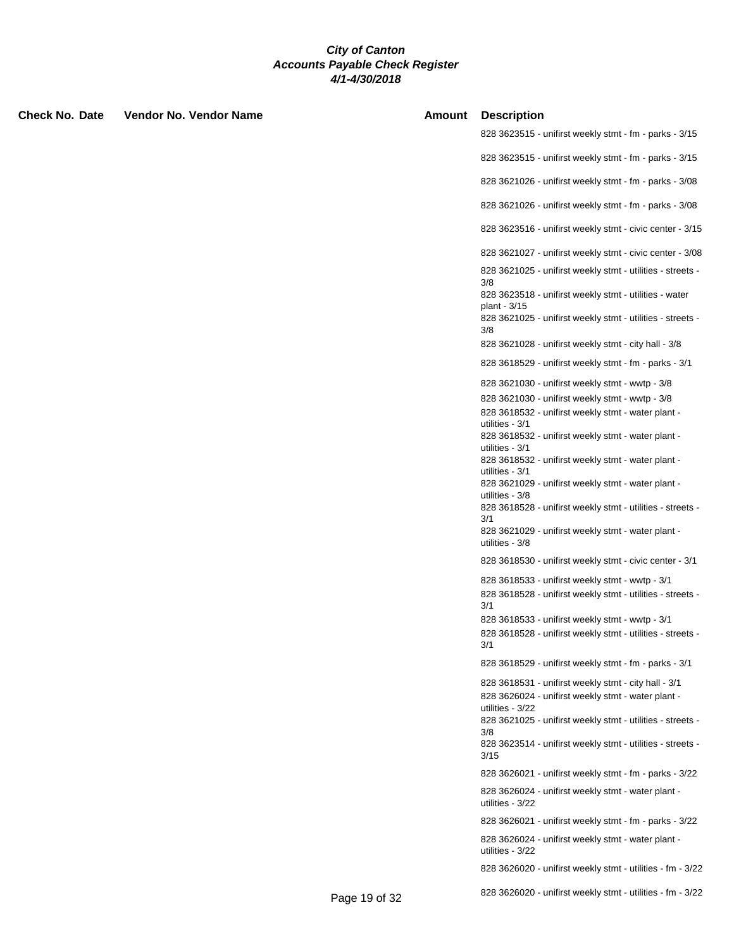| <b>Check No. Date</b> | Vendor No. Vendor Name |               | <b>Amount Description</b>                                                         |
|-----------------------|------------------------|---------------|-----------------------------------------------------------------------------------|
|                       |                        |               | 828 3623515 - unifirst weekly stmt - fm - parks - 3/15                            |
|                       |                        |               | 828 3623515 - unifirst weekly stmt - fm - parks - 3/15                            |
|                       |                        |               | 828 3621026 - unifirst weekly stmt - fm - parks - 3/08                            |
|                       |                        |               | 828 3621026 - unifirst weekly stmt - fm - parks - 3/08                            |
|                       |                        |               | 828 3623516 - unifirst weekly stmt - civic center - 3/15                          |
|                       |                        |               | 828 3621027 - unifirst weekly stmt - civic center - 3/08                          |
|                       |                        |               | 828 3621025 - unifirst weekly stmt - utilities - streets -                        |
|                       |                        |               | 3/8<br>828 3623518 - unifirst weekly stmt - utilities - water                     |
|                       |                        |               | plant - 3/15<br>828 3621025 - unifirst weekly stmt - utilities - streets -<br>3/8 |
|                       |                        |               | 828 3621028 - unifirst weekly stmt - city hall - 3/8                              |
|                       |                        |               | 828 3618529 - unifirst weekly stmt - fm - parks - 3/1                             |
|                       |                        |               | 828 3621030 - unifirst weekly stmt - wwtp - 3/8                                   |
|                       |                        |               | 828 3621030 - unifirst weekly stmt - wwtp - 3/8                                   |
|                       |                        |               | 828 3618532 - unifirst weekly stmt - water plant -<br>utilities - 3/1             |
|                       |                        |               | 828 3618532 - unifirst weekly stmt - water plant -                                |
|                       |                        |               | utilities - 3/1                                                                   |
|                       |                        |               | 828 3618532 - unifirst weekly stmt - water plant -<br>utilities - 3/1             |
|                       |                        |               | 828 3621029 - unifirst weekly stmt - water plant -                                |
|                       |                        |               | utilities - 3/8<br>828 3618528 - unifirst weekly stmt - utilities - streets -     |
|                       |                        |               | 3/1                                                                               |
|                       |                        |               | 828 3621029 - unifirst weekly stmt - water plant -<br>utilities - 3/8             |
|                       |                        |               | 828 3618530 - unifirst weekly stmt - civic center - 3/1                           |
|                       |                        |               | 828 3618533 - unifirst weekly stmt - wwtp - 3/1                                   |
|                       |                        |               | 828 3618528 - unifirst weekly stmt - utilities - streets -<br>3/1                 |
|                       |                        |               | 828 3618533 - unifirst weekly stmt - wwtp - 3/1                                   |
|                       |                        |               | 828 3618528 - unifirst weekly stmt - utilities - streets -<br>3/1                 |
|                       |                        |               | 828 3618529 - unifirst weekly stmt - fm - parks - 3/1                             |
|                       |                        |               | 828 3618531 - unifirst weekly stmt - city hall - 3/1                              |
|                       |                        |               | 828 3626024 - unifirst weekly stmt - water plant -                                |
|                       |                        |               | utilities - 3/22<br>828 3621025 - unifirst weekly stmt - utilities - streets -    |
|                       |                        |               | 3/8                                                                               |
|                       |                        |               | 828 3623514 - unifirst weekly stmt - utilities - streets -<br>3/15                |
|                       |                        |               | 828 3626021 - unifirst weekly stmt - fm - parks - 3/22                            |
|                       |                        |               | 828 3626024 - unifirst weekly stmt - water plant -<br>utilities - 3/22            |
|                       |                        |               | 828 3626021 - unifirst weekly stmt - fm - parks - 3/22                            |
|                       |                        |               | 828 3626024 - unifirst weekly stmt - water plant -<br>utilities - 3/22            |
|                       |                        |               | 828 3626020 - unifirst weekly stmt - utilities - fm - 3/22                        |
|                       |                        | Page 19 of 32 | 828 3626020 - unifirst weekly stmt - utilities - fm - 3/22                        |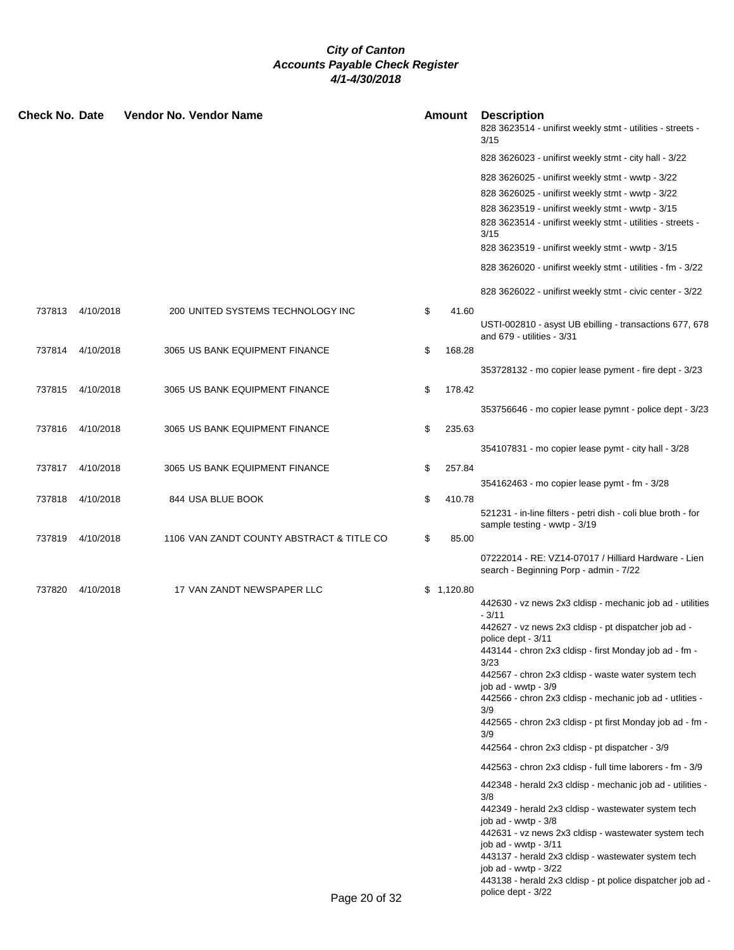| <b>Check No. Date</b> |                  | Vendor No. Vendor Name                    | <b>Amount</b> | <b>Description</b><br>828 3623514 - unifirst weekly stmt - utilities - streets -<br>3/15                                                                                                                                                                                                                                                                                                                                                                                                                                                                                                                                                                                                                                                                                                                                                                                                                                                  |
|-----------------------|------------------|-------------------------------------------|---------------|-------------------------------------------------------------------------------------------------------------------------------------------------------------------------------------------------------------------------------------------------------------------------------------------------------------------------------------------------------------------------------------------------------------------------------------------------------------------------------------------------------------------------------------------------------------------------------------------------------------------------------------------------------------------------------------------------------------------------------------------------------------------------------------------------------------------------------------------------------------------------------------------------------------------------------------------|
|                       |                  |                                           |               | 828 3626023 - unifirst weekly stmt - city hall - 3/22                                                                                                                                                                                                                                                                                                                                                                                                                                                                                                                                                                                                                                                                                                                                                                                                                                                                                     |
|                       |                  |                                           |               | 828 3626025 - unifirst weekly stmt - wwtp - 3/22<br>828 3626025 - unifirst weekly stmt - wwtp - 3/22<br>828 3623519 - unifirst weekly stmt - wwtp - 3/15<br>828 3623514 - unifirst weekly stmt - utilities - streets -<br>3/15                                                                                                                                                                                                                                                                                                                                                                                                                                                                                                                                                                                                                                                                                                            |
|                       |                  |                                           |               | 828 3623519 - unifirst weekly stmt - wwtp - 3/15<br>828 3626020 - unifirst weekly stmt - utilities - fm - 3/22                                                                                                                                                                                                                                                                                                                                                                                                                                                                                                                                                                                                                                                                                                                                                                                                                            |
|                       |                  |                                           |               |                                                                                                                                                                                                                                                                                                                                                                                                                                                                                                                                                                                                                                                                                                                                                                                                                                                                                                                                           |
|                       |                  |                                           |               | 828 3626022 - unifirst weekly stmt - civic center - 3/22                                                                                                                                                                                                                                                                                                                                                                                                                                                                                                                                                                                                                                                                                                                                                                                                                                                                                  |
|                       | 737813 4/10/2018 | 200 UNITED SYSTEMS TECHNOLOGY INC         | \$<br>41.60   | USTI-002810 - asyst UB ebilling - transactions 677, 678<br>and 679 - utilities - 3/31                                                                                                                                                                                                                                                                                                                                                                                                                                                                                                                                                                                                                                                                                                                                                                                                                                                     |
|                       | 737814 4/10/2018 | 3065 US BANK EQUIPMENT FINANCE            | \$<br>168.28  |                                                                                                                                                                                                                                                                                                                                                                                                                                                                                                                                                                                                                                                                                                                                                                                                                                                                                                                                           |
|                       |                  |                                           |               | 353728132 - mo copier lease pyment - fire dept - 3/23                                                                                                                                                                                                                                                                                                                                                                                                                                                                                                                                                                                                                                                                                                                                                                                                                                                                                     |
|                       | 737815 4/10/2018 | 3065 US BANK EQUIPMENT FINANCE            | \$<br>178.42  |                                                                                                                                                                                                                                                                                                                                                                                                                                                                                                                                                                                                                                                                                                                                                                                                                                                                                                                                           |
|                       |                  |                                           |               | 353756646 - mo copier lease pymnt - police dept - 3/23                                                                                                                                                                                                                                                                                                                                                                                                                                                                                                                                                                                                                                                                                                                                                                                                                                                                                    |
|                       | 737816 4/10/2018 | 3065 US BANK EQUIPMENT FINANCE            | \$<br>235.63  |                                                                                                                                                                                                                                                                                                                                                                                                                                                                                                                                                                                                                                                                                                                                                                                                                                                                                                                                           |
| 737817                | 4/10/2018        | 3065 US BANK EQUIPMENT FINANCE            | \$<br>257.84  | 354107831 - mo copier lease pymt - city hall - 3/28                                                                                                                                                                                                                                                                                                                                                                                                                                                                                                                                                                                                                                                                                                                                                                                                                                                                                       |
|                       |                  |                                           |               | 354162463 - mo copier lease pymt - fm - 3/28                                                                                                                                                                                                                                                                                                                                                                                                                                                                                                                                                                                                                                                                                                                                                                                                                                                                                              |
|                       | 737818 4/10/2018 | 844 USA BLUE BOOK                         | \$<br>410.78  |                                                                                                                                                                                                                                                                                                                                                                                                                                                                                                                                                                                                                                                                                                                                                                                                                                                                                                                                           |
|                       |                  |                                           |               | 521231 - in-line filters - petri dish - coli blue broth - for<br>sample testing - wwtp - 3/19                                                                                                                                                                                                                                                                                                                                                                                                                                                                                                                                                                                                                                                                                                                                                                                                                                             |
| 737819                | 4/10/2018        | 1106 VAN ZANDT COUNTY ABSTRACT & TITLE CO | \$<br>85.00   |                                                                                                                                                                                                                                                                                                                                                                                                                                                                                                                                                                                                                                                                                                                                                                                                                                                                                                                                           |
|                       |                  |                                           |               | 07222014 - RE: VZ14-07017 / Hilliard Hardware - Lien<br>search - Beginning Porp - admin - 7/22                                                                                                                                                                                                                                                                                                                                                                                                                                                                                                                                                                                                                                                                                                                                                                                                                                            |
| 737820                | 4/10/2018        | 17 VAN ZANDT NEWSPAPER LLC                | \$1,120.80    | 442630 - vz news 2x3 cldisp - mechanic job ad - utilities<br>$-3/11$<br>442627 - vz news 2x3 cldisp - pt dispatcher job ad -<br>police dept - 3/11<br>443144 - chron 2x3 cldisp - first Monday job ad - fm -<br>3/23<br>442567 - chron 2x3 cldisp - waste water system tech<br>job ad - wwtp - 3/9<br>442566 - chron 2x3 cldisp - mechanic job ad - utlities -<br>3/9<br>442565 - chron 2x3 cldisp - pt first Monday job ad - fm -<br>3/9<br>442564 - chron 2x3 cldisp - pt dispatcher - 3/9<br>442563 - chron 2x3 cldisp - full time laborers - fm - 3/9<br>442348 - herald 2x3 cldisp - mechanic job ad - utilities -<br>3/8<br>442349 - herald 2x3 cldisp - wastewater system tech<br>job ad - wwtp - 3/8<br>442631 - vz news 2x3 cldisp - wastewater system tech<br>job ad - wwtp - 3/11<br>443137 - herald 2x3 cldisp - wastewater system tech<br>job ad - wwtp - 3/22<br>443138 - herald 2x3 cldisp - pt police dispatcher job ad - |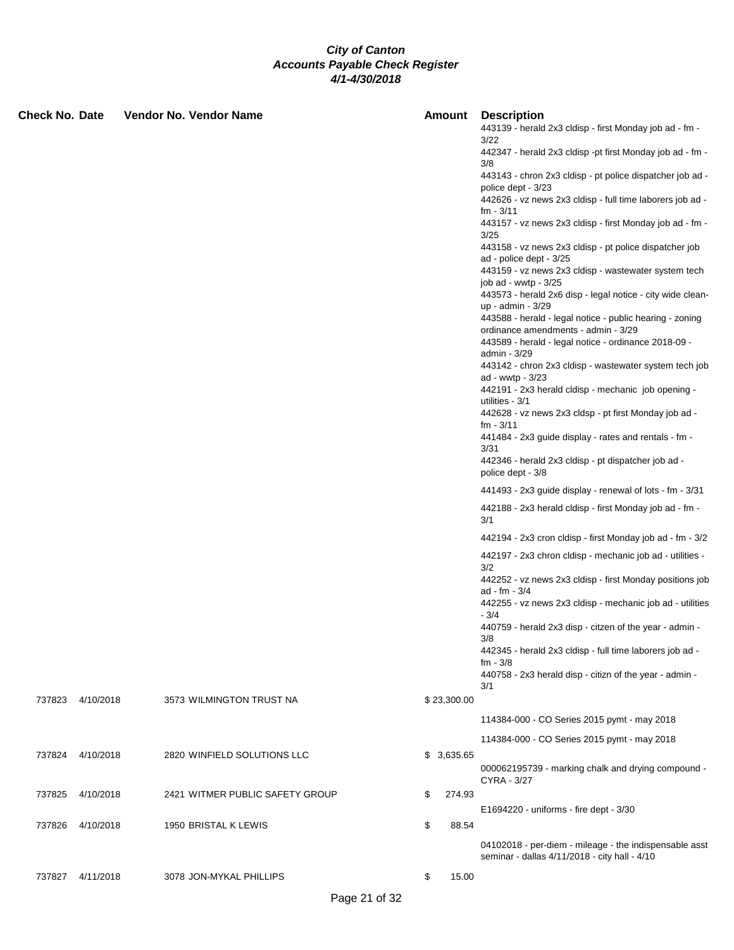| <b>Check No. Date</b> |                  | Vendor No. Vendor Name      |                                 | Amount       | <b>Description</b><br>443139 - herald 2x3 cldisp - first Monday job ad - fm -<br>3/22                                                                   |
|-----------------------|------------------|-----------------------------|---------------------------------|--------------|---------------------------------------------------------------------------------------------------------------------------------------------------------|
|                       |                  |                             |                                 |              | 442347 - herald 2x3 cldisp -pt first Monday job ad - fm -<br>3/8                                                                                        |
|                       |                  |                             |                                 |              | 443143 - chron 2x3 cldisp - pt police dispatcher job ad -<br>police dept - 3/23                                                                         |
|                       |                  |                             |                                 |              | 442626 - vz news 2x3 cldisp - full time laborers job ad -<br>$fm - 3/11$                                                                                |
|                       |                  |                             |                                 |              | 443157 - vz news 2x3 cldisp - first Monday job ad - fm -                                                                                                |
|                       |                  |                             |                                 |              | 3/25<br>443158 - vz news 2x3 cldisp - pt police dispatcher job                                                                                          |
|                       |                  |                             |                                 |              | ad - police dept - 3/25<br>443159 - vz news 2x3 cldisp - wastewater system tech                                                                         |
|                       |                  |                             |                                 |              | job ad - wwtp - $3/25$<br>443573 - herald 2x6 disp - legal notice - city wide clean-                                                                    |
|                       |                  |                             |                                 |              | up - admin - 3/29                                                                                                                                       |
|                       |                  |                             |                                 |              | 443588 - herald - legal notice - public hearing - zoning<br>ordinance amendments - admin - 3/29<br>443589 - herald - legal notice - ordinance 2018-09 - |
|                       |                  |                             |                                 |              | admin - 3/29                                                                                                                                            |
|                       |                  |                             |                                 |              | 443142 - chron 2x3 cldisp - wastewater system tech job<br>ad - wwtp - 3/23<br>442191 - 2x3 herald cldisp - mechanic job opening -                       |
|                       |                  |                             |                                 |              | utilities - 3/1<br>442628 - vz news 2x3 cldsp - pt first Monday job ad -                                                                                |
|                       |                  |                             |                                 |              | $fm - 3/11$<br>441484 - 2x3 guide display - rates and rentals - fm -                                                                                    |
|                       |                  |                             |                                 |              | 3/31<br>442346 - herald 2x3 cldisp - pt dispatcher job ad -<br>police dept - 3/8                                                                        |
|                       |                  |                             |                                 |              | 441493 - 2x3 guide display - renewal of lots - fm - 3/31                                                                                                |
|                       |                  |                             |                                 |              | 442188 - 2x3 herald cldisp - first Monday job ad - fm -<br>3/1                                                                                          |
|                       |                  |                             |                                 |              | 442194 - 2x3 cron cldisp - first Monday job ad - fm - 3/2                                                                                               |
|                       |                  |                             |                                 |              | 442197 - 2x3 chron cldisp - mechanic job ad - utilities -<br>3/2                                                                                        |
|                       |                  |                             |                                 |              | 442252 - vz news 2x3 cldisp - first Monday positions job<br>ad - fm - 3/4                                                                               |
|                       |                  |                             |                                 |              | 442255 - vz news 2x3 cldisp - mechanic job ad - utilities<br>- 3/4                                                                                      |
|                       |                  |                             |                                 |              | 440759 - herald 2x3 disp - citzen of the year - admin -<br>3/8                                                                                          |
|                       |                  |                             |                                 |              | 442345 - herald 2x3 cldisp - full time laborers job ad -<br>$fm - 3/8$                                                                                  |
|                       |                  |                             |                                 |              | 440758 - 2x3 herald disp - citizn of the year - admin -<br>3/1                                                                                          |
|                       | 737823 4/10/2018 | 3573 WILMINGTON TRUST NA    |                                 | \$23,300.00  |                                                                                                                                                         |
|                       |                  |                             |                                 |              | 114384-000 - CO Series 2015 pymt - may 2018                                                                                                             |
|                       |                  |                             |                                 |              | 114384-000 - CO Series 2015 pymt - may 2018                                                                                                             |
|                       | 737824 4/10/2018 | 2820 WINFIELD SOLUTIONS LLC |                                 | \$3,635.65   | 000062195739 - marking chalk and drying compound -<br>CYRA - 3/27                                                                                       |
| 737825                | 4/10/2018        |                             | 2421 WITMER PUBLIC SAFETY GROUP | \$<br>274.93 |                                                                                                                                                         |
|                       |                  |                             |                                 |              | E1694220 - uniforms - fire dept - 3/30                                                                                                                  |
| 737826                | 4/10/2018        | 1950 BRISTAL K LEWIS        |                                 | \$<br>88.54  | 04102018 - per-diem - mileage - the indispensable asst<br>seminar - dallas 4/11/2018 - city hall - 4/10                                                 |
| 737827                | 4/11/2018        | 3078 JON-MYKAL PHILLIPS     |                                 | \$<br>15.00  |                                                                                                                                                         |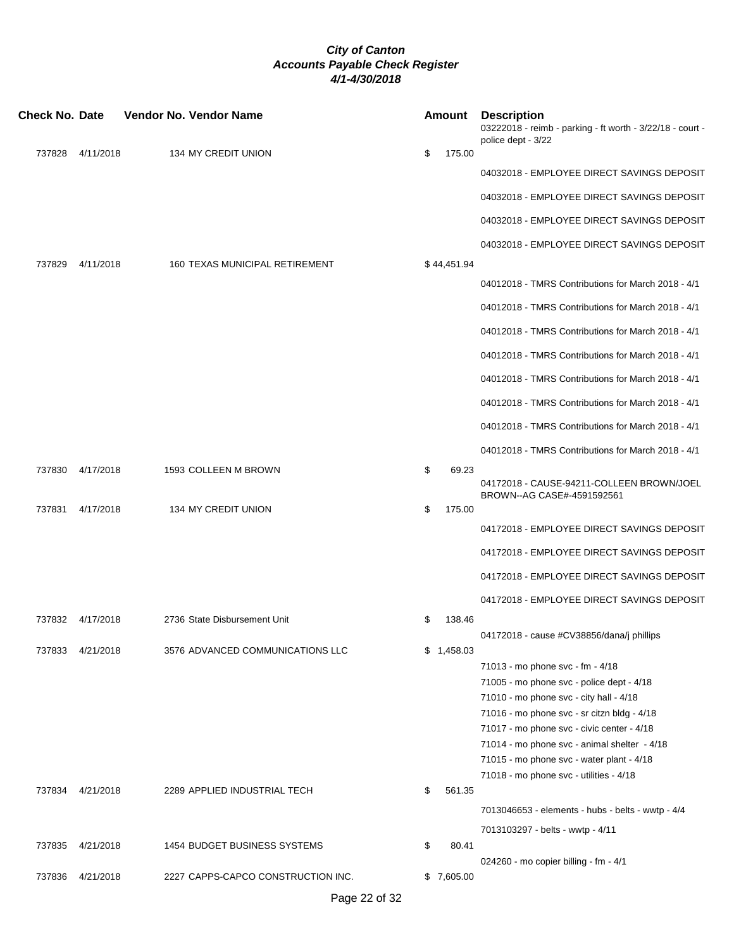| <b>Check No. Date</b> |           | Vendor No. Vendor Name             | Amount         | <b>Description</b><br>03222018 - reimb - parking - ft worth - 3/22/18 - court -<br>police dept - 3/22 |
|-----------------------|-----------|------------------------------------|----------------|-------------------------------------------------------------------------------------------------------|
| 737828                | 4/11/2018 | 134 MY CREDIT UNION                | \$<br>175.00   |                                                                                                       |
|                       |           |                                    |                | 04032018 - EMPLOYEE DIRECT SAVINGS DEPOSIT                                                            |
|                       |           |                                    |                | 04032018 - EMPLOYEE DIRECT SAVINGS DEPOSIT                                                            |
|                       |           |                                    |                | 04032018 - EMPLOYEE DIRECT SAVINGS DEPOSIT                                                            |
|                       |           |                                    |                | 04032018 - EMPLOYEE DIRECT SAVINGS DEPOSIT                                                            |
| 737829                | 4/11/2018 | 160 TEXAS MUNICIPAL RETIREMENT     | \$44,451.94    |                                                                                                       |
|                       |           |                                    |                | 04012018 - TMRS Contributions for March 2018 - 4/1                                                    |
|                       |           |                                    |                | 04012018 - TMRS Contributions for March 2018 - 4/1                                                    |
|                       |           |                                    |                | 04012018 - TMRS Contributions for March 2018 - 4/1                                                    |
|                       |           |                                    |                | 04012018 - TMRS Contributions for March 2018 - 4/1                                                    |
|                       |           |                                    |                | 04012018 - TMRS Contributions for March 2018 - 4/1                                                    |
|                       |           |                                    |                | 04012018 - TMRS Contributions for March 2018 - 4/1                                                    |
|                       |           |                                    |                | 04012018 - TMRS Contributions for March 2018 - 4/1                                                    |
|                       |           |                                    |                | 04012018 - TMRS Contributions for March 2018 - 4/1                                                    |
| 737830                | 4/17/2018 | 1593 COLLEEN M BROWN               | \$<br>69.23    | 04172018 - CAUSE-94211-COLLEEN BROWN/JOEL<br>BROWN--AG CASE#-4591592561                               |
| 737831                | 4/17/2018 | 134 MY CREDIT UNION                | \$<br>175.00   |                                                                                                       |
|                       |           |                                    |                | 04172018 - EMPLOYEE DIRECT SAVINGS DEPOSIT                                                            |
|                       |           |                                    |                | 04172018 - EMPLOYEE DIRECT SAVINGS DEPOSIT                                                            |
|                       |           |                                    |                | 04172018 - EMPLOYEE DIRECT SAVINGS DEPOSIT                                                            |
|                       |           |                                    |                | 04172018 - EMPLOYEE DIRECT SAVINGS DEPOSIT                                                            |
| 737832                | 4/17/2018 | 2736 State Disbursement Unit       | \$<br>138.46   | 04172018 - cause #CV38856/dana/j phillips                                                             |
| 737833                | 4/21/2018 | 3576 ADVANCED COMMUNICATIONS LLC   | \$<br>1,458.03 |                                                                                                       |
|                       |           |                                    |                | 71013 - mo phone svc - fm - 4/18                                                                      |
|                       |           |                                    |                | 71005 - mo phone svc - police dept - 4/18                                                             |
|                       |           |                                    |                | 71010 - mo phone svc - city hall - 4/18                                                               |
|                       |           |                                    |                | 71016 - mo phone svc - sr citzn bldg - 4/18                                                           |
|                       |           |                                    |                | 71017 - mo phone svc - civic center - 4/18                                                            |
|                       |           |                                    |                | 71014 - mo phone svc - animal shelter - 4/18<br>71015 - mo phone svc - water plant - 4/18             |
|                       |           |                                    |                | 71018 - mo phone svc - utilities - 4/18                                                               |
| 737834                | 4/21/2018 | 2289 APPLIED INDUSTRIAL TECH       | \$<br>561.35   |                                                                                                       |
|                       |           |                                    |                | 7013046653 - elements - hubs - belts - wwtp - 4/4                                                     |
|                       |           |                                    |                | 7013103297 - belts - wwtp - 4/11                                                                      |
| 737835                | 4/21/2018 | 1454 BUDGET BUSINESS SYSTEMS       | \$<br>80.41    |                                                                                                       |
| 737836                | 4/21/2018 | 2227 CAPPS-CAPCO CONSTRUCTION INC. | \$7,605.00     | 024260 - mo copier billing - fm - 4/1                                                                 |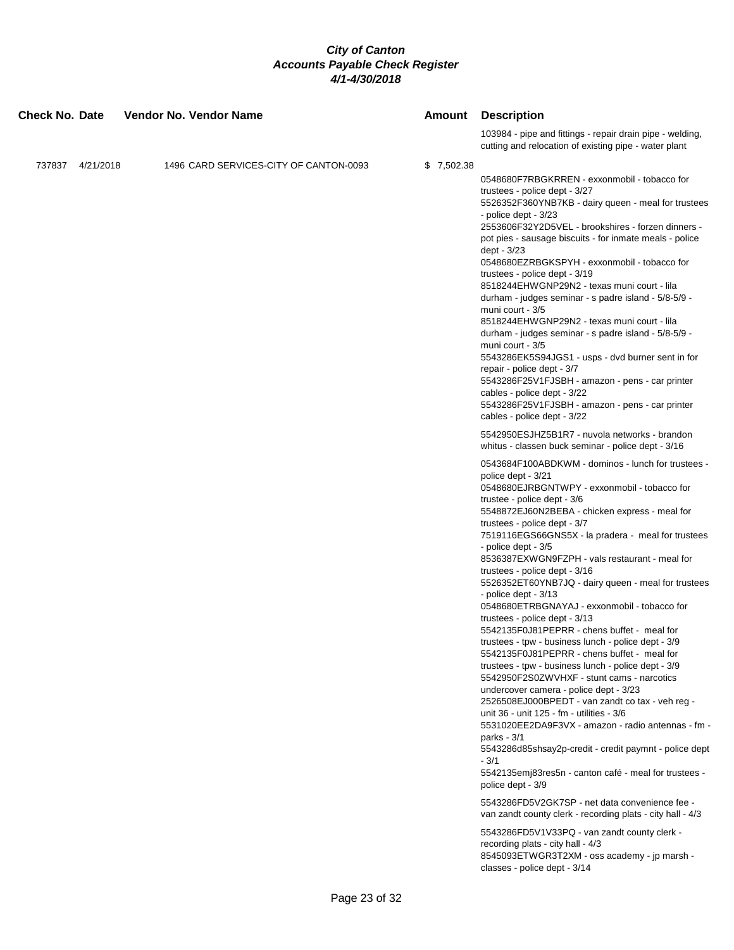| <b>Check No. Date</b> |                  | Vendor No. Vendor Name |                                        |            | <b>Amount</b> Description                                                                                                                                                                                                                                                                                                                                                                                                                                                                                                                                                                                                                                                                                                                                                                                                                                                                                                                                                                                                                                                                                                                                                                                                                                                                                                                                                                                                                                                                                                                                                                                                                                                                                                                                                                                                                                                                                                                                                                                                                                                                                                                                                                                                                                   |
|-----------------------|------------------|------------------------|----------------------------------------|------------|-------------------------------------------------------------------------------------------------------------------------------------------------------------------------------------------------------------------------------------------------------------------------------------------------------------------------------------------------------------------------------------------------------------------------------------------------------------------------------------------------------------------------------------------------------------------------------------------------------------------------------------------------------------------------------------------------------------------------------------------------------------------------------------------------------------------------------------------------------------------------------------------------------------------------------------------------------------------------------------------------------------------------------------------------------------------------------------------------------------------------------------------------------------------------------------------------------------------------------------------------------------------------------------------------------------------------------------------------------------------------------------------------------------------------------------------------------------------------------------------------------------------------------------------------------------------------------------------------------------------------------------------------------------------------------------------------------------------------------------------------------------------------------------------------------------------------------------------------------------------------------------------------------------------------------------------------------------------------------------------------------------------------------------------------------------------------------------------------------------------------------------------------------------------------------------------------------------------------------------------------------------|
|                       |                  |                        |                                        |            | 103984 - pipe and fittings - repair drain pipe - welding,<br>cutting and relocation of existing pipe - water plant                                                                                                                                                                                                                                                                                                                                                                                                                                                                                                                                                                                                                                                                                                                                                                                                                                                                                                                                                                                                                                                                                                                                                                                                                                                                                                                                                                                                                                                                                                                                                                                                                                                                                                                                                                                                                                                                                                                                                                                                                                                                                                                                          |
|                       | 737837 4/21/2018 |                        | 1496 CARD SERVICES-CITY OF CANTON-0093 | \$7,502.38 | 0548680F7RBGKRREN - exxonmobil - tobacco for<br>trustees - police dept - 3/27<br>5526352F360YNB7KB - dairy queen - meal for trustees<br>- police dept - 3/23<br>2553606F32Y2D5VEL - brookshires - forzen dinners -<br>pot pies - sausage biscuits - for inmate meals - police<br>dept - 3/23<br>0548680EZRBGKSPYH - exxonmobil - tobacco for<br>trustees - police dept - 3/19<br>8518244EHWGNP29N2 - texas muni court - lila<br>durham - judges seminar - s padre island - 5/8-5/9 -<br>muni court - 3/5<br>8518244EHWGNP29N2 - texas muni court - lila<br>durham - judges seminar - s padre island - 5/8-5/9 -<br>muni court - 3/5<br>5543286EK5S94JGS1 - usps - dvd burner sent in for<br>repair - police dept - 3/7<br>5543286F25V1FJSBH - amazon - pens - car printer<br>cables - police dept - 3/22<br>5543286F25V1FJSBH - amazon - pens - car printer<br>cables - police dept - 3/22<br>5542950ESJHZ5B1R7 - nuvola networks - brandon<br>whitus - classen buck seminar - police dept - 3/16<br>0543684F100ABDKWM - dominos - lunch for trustees -<br>police dept - 3/21<br>0548680EJRBGNTWPY - exxonmobil - tobacco for<br>trustee - police dept - 3/6<br>5548872EJ60N2BEBA - chicken express - meal for<br>trustees - police dept - 3/7<br>7519116EGS66GNS5X - la pradera - meal for trustees<br>- police dept - 3/5<br>8536387EXWGN9FZPH - vals restaurant - meal for<br>trustees - police dept - 3/16<br>5526352ET60YNB7JQ - dairy queen - meal for trustees<br>- police dept - 3/13<br>0548680ETRBGNAYAJ - exxonmobil - tobacco for<br>trustees - police dept - 3/13<br>5542135F0J81PEPRR - chens buffet - meal for<br>trustees - tpw - business lunch - police dept - 3/9<br>5542135F0J81PEPRR - chens buffet - meal for<br>trustees - tpw - business lunch - police dept - 3/9<br>5542950F2S0ZWVHXF - stunt cams - narcotics<br>undercover camera - police dept - 3/23<br>2526508EJ000BPEDT - van zandt co tax - veh reg -<br>unit 36 - unit 125 - fm - utilities - 3/6<br>5531020EE2DA9F3VX - amazon - radio antennas - fm -<br>parks - 3/1<br>5543286d85shsay2p-credit - credit paymnt - police dept<br>- 3/1<br>5542135emj83res5n - canton café - meal for trustees -<br>police dept - 3/9<br>5543286FD5V2GK7SP - net data convenience fee - |
|                       |                  |                        |                                        |            | van zandt county clerk - recording plats - city hall - 4/3<br>5543286FD5V1V33PQ - van zandt county clerk -                                                                                                                                                                                                                                                                                                                                                                                                                                                                                                                                                                                                                                                                                                                                                                                                                                                                                                                                                                                                                                                                                                                                                                                                                                                                                                                                                                                                                                                                                                                                                                                                                                                                                                                                                                                                                                                                                                                                                                                                                                                                                                                                                  |
|                       |                  |                        |                                        |            | recording plats - city hall - 4/3<br>8545093ETWGR3T2XM - oss academy - jp marsh -<br>classes - police dept - 3/14                                                                                                                                                                                                                                                                                                                                                                                                                                                                                                                                                                                                                                                                                                                                                                                                                                                                                                                                                                                                                                                                                                                                                                                                                                                                                                                                                                                                                                                                                                                                                                                                                                                                                                                                                                                                                                                                                                                                                                                                                                                                                                                                           |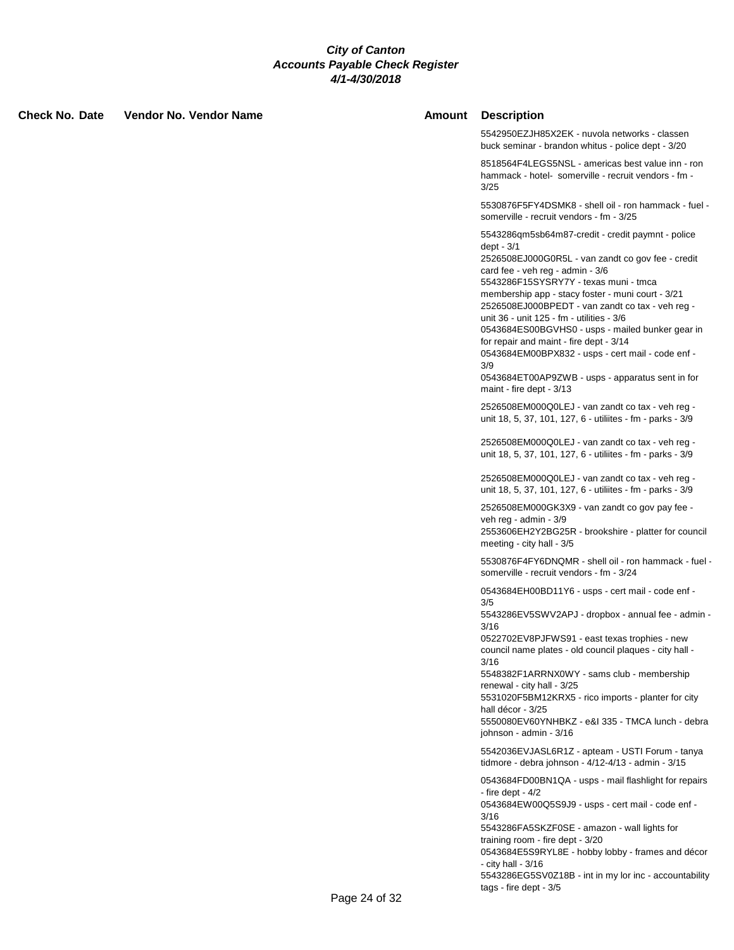**Check No. Date Vendor No. Vendor Name Amount Description**

5542950EZJH85X2EK - nuvola networks - classen buck seminar - brandon whitus - police dept - 3/20

8518564F4LEGS5NSL - americas best value inn - ron hammack - hotel- somerville - recruit vendors - fm - 3/25

5530876F5FY4DSMK8 - shell oil - ron hammack - fuel somerville - recruit vendors - fm - 3/25

5543286qm5sb64m87-credit - credit paymnt - police dept - 3/1

2526508EJ000G0R5L - van zandt co gov fee - credit card fee - veh reg - admin - 3/6

5543286F15SYSRY7Y - texas muni - tmca

membership app - stacy foster - muni court - 3/21 2526508EJ000BPEDT - van zandt co tax - veh reg -

unit 36 - unit 125 - fm - utilities - 3/6

0543684ES00BGVHS0 - usps - mailed bunker gear in for repair and maint - fire dept - 3/14

0543684EM00BPX832 - usps - cert mail - code enf - 3/9

0543684ET00AP9ZWB - usps - apparatus sent in for maint - fire dept - 3/13

2526508EM000Q0LEJ - van zandt co tax - veh reg unit 18, 5, 37, 101, 127, 6 - utiliites - fm - parks - 3/9

2526508EM000Q0LEJ - van zandt co tax - veh reg unit 18, 5, 37, 101, 127, 6 - utiliites - fm - parks - 3/9

2526508EM000Q0LEJ - van zandt co tax - veh reg unit 18, 5, 37, 101, 127, 6 - utiliites - fm - parks - 3/9

2526508EM000GK3X9 - van zandt co gov pay fee veh reg - admin - 3/9

2553606EH2Y2BG25R - brookshire - platter for council meeting - city hall - 3/5

5530876F4FY6DNQMR - shell oil - ron hammack - fuel somerville - recruit vendors - fm - 3/24

0543684EH00BD11Y6 - usps - cert mail - code enf - 3/5

5543286EV5SWV2APJ - dropbox - annual fee - admin - 3/16

0522702EV8PJFWS91 - east texas trophies - new council name plates - old council plaques - city hall - 3/16

5548382F1ARRNX0WY - sams club - membership renewal - city hall - 3/25

5531020F5BM12KRX5 - rico imports - planter for city hall décor - 3/25

5550080EV60YNHBKZ - e&I 335 - TMCA lunch - debra johnson - admin - 3/16

5542036EVJASL6R1Z - apteam - USTI Forum - tanya tidmore - debra johnson - 4/12-4/13 - admin - 3/15

0543684FD00BN1QA - usps - mail flashlight for repairs - fire dept - 4/2

0543684EW00Q5S9J9 - usps - cert mail - code enf - 3/16

5543286FA5SKZF0SE - amazon - wall lights for training room - fire dept - 3/20

0543684E5S9RYL8E - hobby lobby - frames and décor - city hall - 3/16

5543286EG5SV0Z18B - int in my lor inc - accountability tags - fire dept - 3/5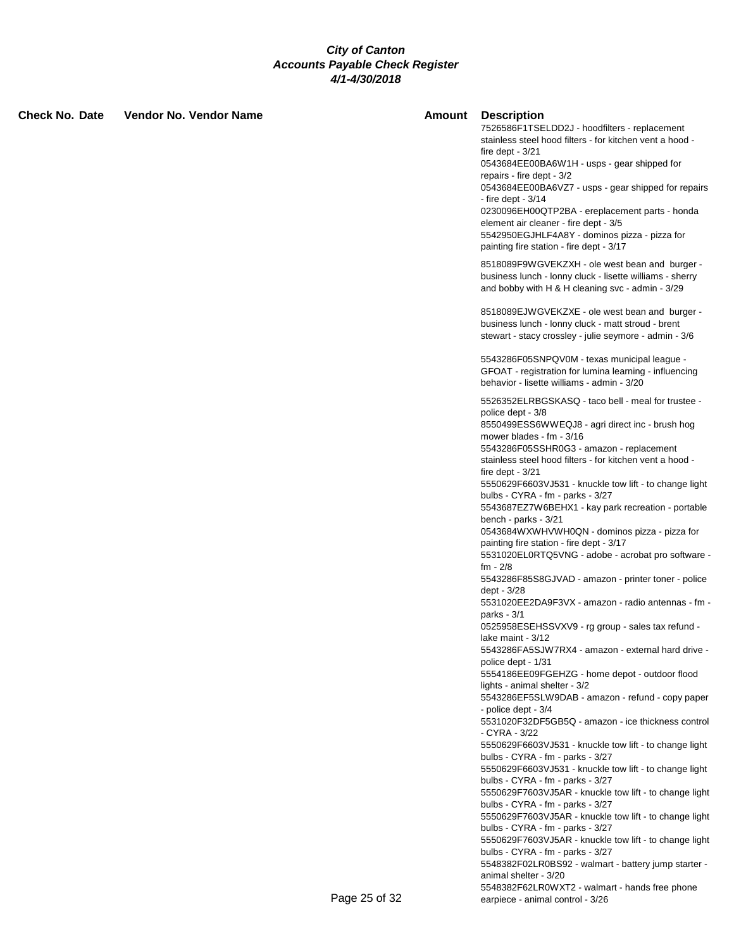**Check No. Date Vendor No. Vendor Name Amount Description**

7526586F1TSELDD2J - hoodfilters - replacement stainless steel hood filters - for kitchen vent a hood fire dept - 3/21 0543684EE00BA6W1H - usps - gear shipped for repairs - fire dept - 3/2 0543684EE00BA6VZ7 - usps - gear shipped for repairs - fire dept - 3/14 0230096EH00QTP2BA - ereplacement parts - honda element air cleaner - fire dept - 3/5 5542950EGJHLF4A8Y - dominos pizza - pizza for painting fire station - fire dept - 3/17 8518089F9WGVEKZXH - ole west bean and burger business lunch - lonny cluck - lisette williams - sherry and bobby with H & H cleaning svc - admin - 3/29 8518089EJWGVEKZXE - ole west bean and burger business lunch - lonny cluck - matt stroud - brent stewart - stacy crossley - julie seymore - admin - 3/6 5543286F05SNPQV0M - texas municipal league - GFOAT - registration for lumina learning - influencing behavior - lisette williams - admin - 3/20 5526352ELRBGSKASQ - taco bell - meal for trustee police dept - 3/8 8550499ESS6WWEQJ8 - agri direct inc - brush hog mower blades - fm - 3/16 5543286F05SSHR0G3 - amazon - replacement stainless steel hood filters - for kitchen vent a hood fire dept - 3/21 5550629F6603VJ531 - knuckle tow lift - to change light bulbs - CYRA - fm - parks - 3/27 5543687EZ7W6BEHX1 - kay park recreation - portable bench - parks - 3/21 0543684WXWHVWH0QN - dominos pizza - pizza for painting fire station - fire dept - 3/17 5531020EL0RTQ5VNG - adobe - acrobat pro software fm - 2/8 5543286F85S8GJVAD - amazon - printer toner - police dept - 3/28 5531020EE2DA9F3VX - amazon - radio antennas - fm parks - 3/1 0525958ESEHSSVXV9 - rg group - sales tax refund lake maint - 3/12 5543286FA5SJW7RX4 - amazon - external hard drive police dept - 1/31 5554186EE09FGEHZG - home depot - outdoor flood lights - animal shelter - 3/2 5543286EF5SLW9DAB - amazon - refund - copy paper - police dept - 3/4 5531020F32DF5GB5Q - amazon - ice thickness control - CYRA - 3/22 5550629F6603VJ531 - knuckle tow lift - to change light bulbs - CYRA - fm - parks - 3/27 5550629F6603VJ531 - knuckle tow lift - to change light bulbs - CYRA - fm - parks - 3/27 5550629F7603VJ5AR - knuckle tow lift - to change light bulbs - CYRA - fm - parks - 3/27 5550629F7603VJ5AR - knuckle tow lift - to change light bulbs - CYRA - fm - parks - 3/27 5550629F7603VJ5AR - knuckle tow lift - to change light bulbs - CYRA - fm - parks - 3/27 5548382F02LR0BS92 - walmart - battery jump starter animal shelter - 3/20 5548382F62LR0WXT2 - walmart - hands free phone Page 25 of 32 earpiece - animal control - 3/26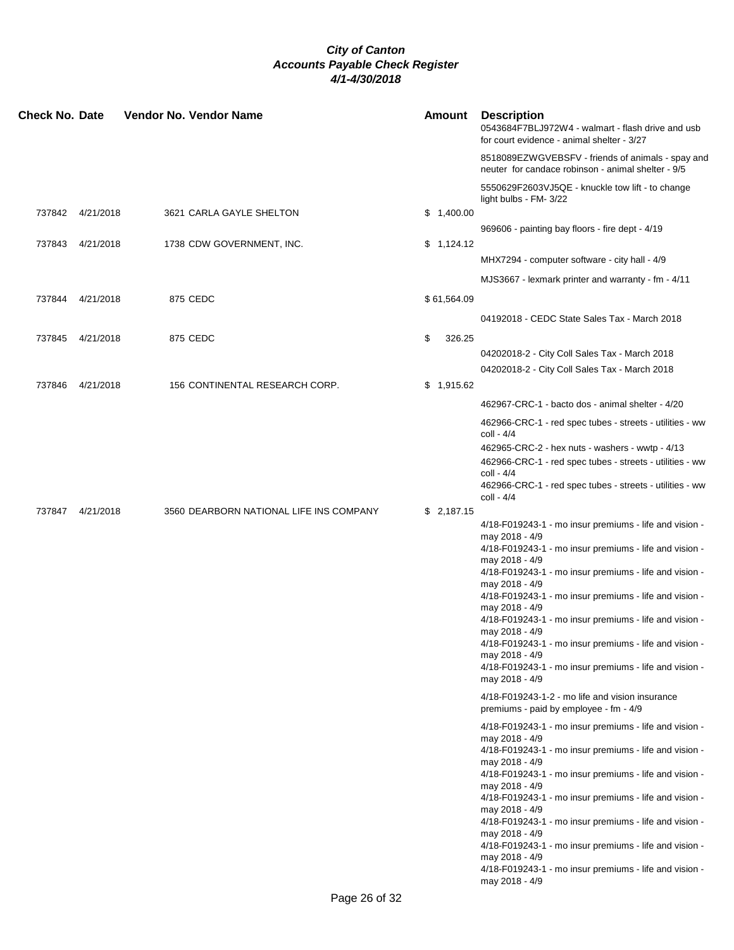| <b>Check No. Date</b> |                  | <b>Vendor No. Vendor Name</b>           | <b>Amount</b> | <b>Description</b><br>0543684F7BLJ972W4 - walmart - flash drive and usb<br>for court evidence - animal shelter - 3/27 |
|-----------------------|------------------|-----------------------------------------|---------------|-----------------------------------------------------------------------------------------------------------------------|
|                       |                  |                                         |               | 8518089EZWGVEBSFV - friends of animals - spay and<br>neuter for candace robinson - animal shelter - 9/5               |
|                       |                  |                                         |               | 5550629F2603VJ5QE - knuckle tow lift - to change<br>light bulbs - FM- 3/22                                            |
|                       | 737842 4/21/2018 | 3621 CARLA GAYLE SHELTON                | \$1,400.00    |                                                                                                                       |
|                       |                  |                                         |               | 969606 - painting bay floors - fire dept - 4/19                                                                       |
| 737843                | 4/21/2018        | 1738 CDW GOVERNMENT, INC.               | \$1,124.12    | MHX7294 - computer software - city hall - 4/9                                                                         |
|                       |                  |                                         |               |                                                                                                                       |
|                       |                  |                                         |               | MJS3667 - lexmark printer and warranty - fm - 4/11                                                                    |
| 737844                | 4/21/2018        | 875 CEDC                                | \$61,564.09   |                                                                                                                       |
|                       |                  |                                         |               | 04192018 - CEDC State Sales Tax - March 2018                                                                          |
| 737845                | 4/21/2018        | 875 CEDC                                | \$<br>326.25  |                                                                                                                       |
|                       |                  |                                         |               | 04202018-2 - City Coll Sales Tax - March 2018                                                                         |
|                       |                  |                                         |               | 04202018-2 - City Coll Sales Tax - March 2018                                                                         |
| 737846                | 4/21/2018        | 156 CONTINENTAL RESEARCH CORP.          | \$1,915.62    |                                                                                                                       |
|                       |                  |                                         |               | 462967-CRC-1 - bacto dos - animal shelter - 4/20                                                                      |
|                       |                  |                                         |               | 462966-CRC-1 - red spec tubes - streets - utilities - ww                                                              |
|                       |                  |                                         |               | coll - 4/4                                                                                                            |
|                       |                  |                                         |               | 462965-CRC-2 - hex nuts - washers - wwtp - 4/13                                                                       |
|                       |                  |                                         |               | 462966-CRC-1 - red spec tubes - streets - utilities - ww<br>coll - 4/4                                                |
|                       |                  |                                         |               | 462966-CRC-1 - red spec tubes - streets - utilities - ww<br>coll - 4/4                                                |
| 737847                | 4/21/2018        | 3560 DEARBORN NATIONAL LIFE INS COMPANY | \$2,187.15    |                                                                                                                       |
|                       |                  |                                         |               | 4/18-F019243-1 - mo insur premiums - life and vision -                                                                |
|                       |                  |                                         |               | may 2018 - 4/9<br>4/18-F019243-1 - mo insur premiums - life and vision -                                              |
|                       |                  |                                         |               | may 2018 - 4/9                                                                                                        |
|                       |                  |                                         |               | 4/18-F019243-1 - mo insur premiums - life and vision -<br>may 2018 - 4/9                                              |
|                       |                  |                                         |               | 4/18-F019243-1 - mo insur premiums - life and vision -                                                                |
|                       |                  |                                         |               | may 2018 - 4/9<br>4/18-F019243-1 - mo insur premiums - life and vision -                                              |
|                       |                  |                                         |               | may 2018 - 4/9                                                                                                        |
|                       |                  |                                         |               | 4/18-F019243-1 - mo insur premiums - life and vision -                                                                |
|                       |                  |                                         |               | may 2018 - 4/9<br>4/18-F019243-1 - mo insur premiums - life and vision -                                              |
|                       |                  |                                         |               | may 2018 - 4/9                                                                                                        |
|                       |                  |                                         |               | 4/18-F019243-1-2 - mo life and vision insurance<br>premiums - paid by employee - fm - 4/9                             |
|                       |                  |                                         |               | 4/18-F019243-1 - mo insur premiums - life and vision -                                                                |
|                       |                  |                                         |               | may 2018 - 4/9<br>4/18-F019243-1 - mo insur premiums - life and vision -                                              |
|                       |                  |                                         |               | may 2018 - 4/9                                                                                                        |
|                       |                  |                                         |               | 4/18-F019243-1 - mo insur premiums - life and vision -                                                                |
|                       |                  |                                         |               | may 2018 - 4/9<br>4/18-F019243-1 - mo insur premiums - life and vision -                                              |
|                       |                  |                                         |               | may 2018 - 4/9                                                                                                        |
|                       |                  |                                         |               | 4/18-F019243-1 - mo insur premiums - life and vision -<br>may 2018 - 4/9                                              |
|                       |                  |                                         |               | 4/18-F019243-1 - mo insur premiums - life and vision -                                                                |
|                       |                  |                                         |               | may 2018 - 4/9                                                                                                        |
|                       |                  |                                         |               | 4/18-F019243-1 - mo insur premiums - life and vision -<br>may 2018 - 4/9                                              |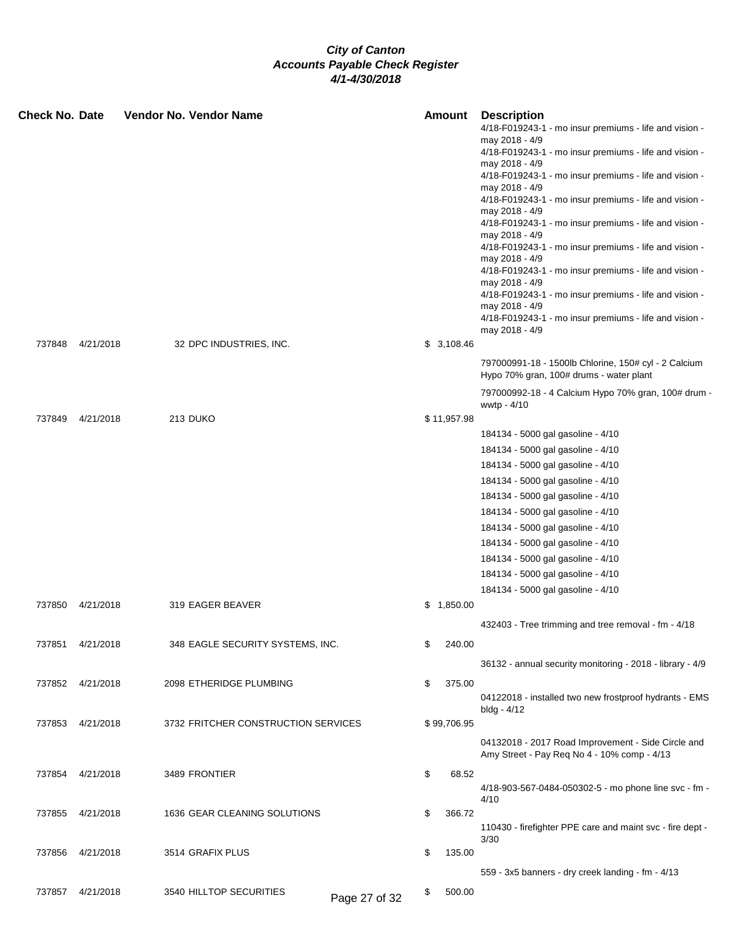| <b>Check No. Date</b> |                                                   | <b>Vendor No. Vendor Name</b>                                                   |                     | Amount                         | <b>Description</b><br>4/18-F019243-1 - mo insur premiums - life and vision -<br>may 2018 - 4/9<br>4/18-F019243-1 - mo insur premiums - life and vision -<br>may 2018 - 4/9<br>4/18-F019243-1 - mo insur premiums - life and vision -<br>may 2018 - 4/9<br>4/18-F019243-1 - mo insur premiums - life and vision -<br>may 2018 - 4/9<br>4/18-F019243-1 - mo insur premiums - life and vision -<br>may 2018 - 4/9<br>4/18-F019243-1 - mo insur premiums - life and vision -                                                                                                                          |
|-----------------------|---------------------------------------------------|---------------------------------------------------------------------------------|---------------------|--------------------------------|---------------------------------------------------------------------------------------------------------------------------------------------------------------------------------------------------------------------------------------------------------------------------------------------------------------------------------------------------------------------------------------------------------------------------------------------------------------------------------------------------------------------------------------------------------------------------------------------------|
|                       |                                                   |                                                                                 |                     |                                | may 2018 - 4/9<br>4/18-F019243-1 - mo insur premiums - life and vision -<br>may 2018 - 4/9<br>4/18-F019243-1 - mo insur premiums - life and vision -<br>may 2018 - 4/9<br>4/18-F019243-1 - mo insur premiums - life and vision -<br>may 2018 - 4/9                                                                                                                                                                                                                                                                                                                                                |
| 737848                | 4/21/2018                                         | 32 DPC INDUSTRIES, INC.                                                         |                     | \$3,108.46                     | 797000991-18 - 1500lb Chlorine, 150# cyl - 2 Calcium<br>Hypo 70% gran, 100# drums - water plant<br>797000992-18 - 4 Calcium Hypo 70% gran, 100# drum -                                                                                                                                                                                                                                                                                                                                                                                                                                            |
| 737849                | 4/21/2018                                         | 213 DUKO                                                                        |                     | \$11,957.98                    | wwtp - 4/10                                                                                                                                                                                                                                                                                                                                                                                                                                                                                                                                                                                       |
| 737851                | 737850 4/21/2018<br>4/21/2018<br>737852 4/21/2018 | 319 EAGER BEAVER<br>348 EAGLE SECURITY SYSTEMS, INC.<br>2098 ETHERIDGE PLUMBING | \$                  | \$1,850.00<br>240.00<br>375.00 | 184134 - 5000 gal gasoline - 4/10<br>184134 - 5000 gal gasoline - 4/10<br>184134 - 5000 gal gasoline - 4/10<br>184134 - 5000 gal gasoline - 4/10<br>184134 - 5000 gal gasoline - 4/10<br>184134 - 5000 gal gasoline - 4/10<br>184134 - 5000 gal gasoline - 4/10<br>184134 - 5000 gal gasoline - 4/10<br>184134 - 5000 gal gasoline - 4/10<br>184134 - 5000 gal gasoline - 4/10<br>184134 - 5000 gal gasoline - 4/10<br>432403 - Tree trimming and tree removal - fm - 4/18<br>36132 - annual security monitoring - 2018 - library - 4/9<br>04122018 - installed two new frostproof hydrants - EMS |
|                       | 737853 4/21/2018                                  | 3732 FRITCHER CONSTRUCTION SERVICES                                             |                     | \$99,706.95                    | bldg - 4/12<br>04132018 - 2017 Road Improvement - Side Circle and<br>Amy Street - Pay Req No 4 - 10% comp - 4/13                                                                                                                                                                                                                                                                                                                                                                                                                                                                                  |
|                       | 737854 4/21/2018                                  | 3489 FRONTIER                                                                   | \$                  | 68.52                          | 4/18-903-567-0484-050302-5 - mo phone line svc - fm -<br>4/10                                                                                                                                                                                                                                                                                                                                                                                                                                                                                                                                     |
| 737855                | 4/21/2018<br>737856 4/21/2018                     | 1636 GEAR CLEANING SOLUTIONS<br>3514 GRAFIX PLUS                                | \$<br>\$            | 366.72<br>135.00               | 110430 - firefighter PPE care and maint svc - fire dept -<br>3/30                                                                                                                                                                                                                                                                                                                                                                                                                                                                                                                                 |
|                       | 737857 4/21/2018                                  | 3540 HILLTOP SECURITIES                                                         | \$<br>Page 27 of 32 | 500.00                         | 559 - 3x5 banners - dry creek landing - fm - 4/13                                                                                                                                                                                                                                                                                                                                                                                                                                                                                                                                                 |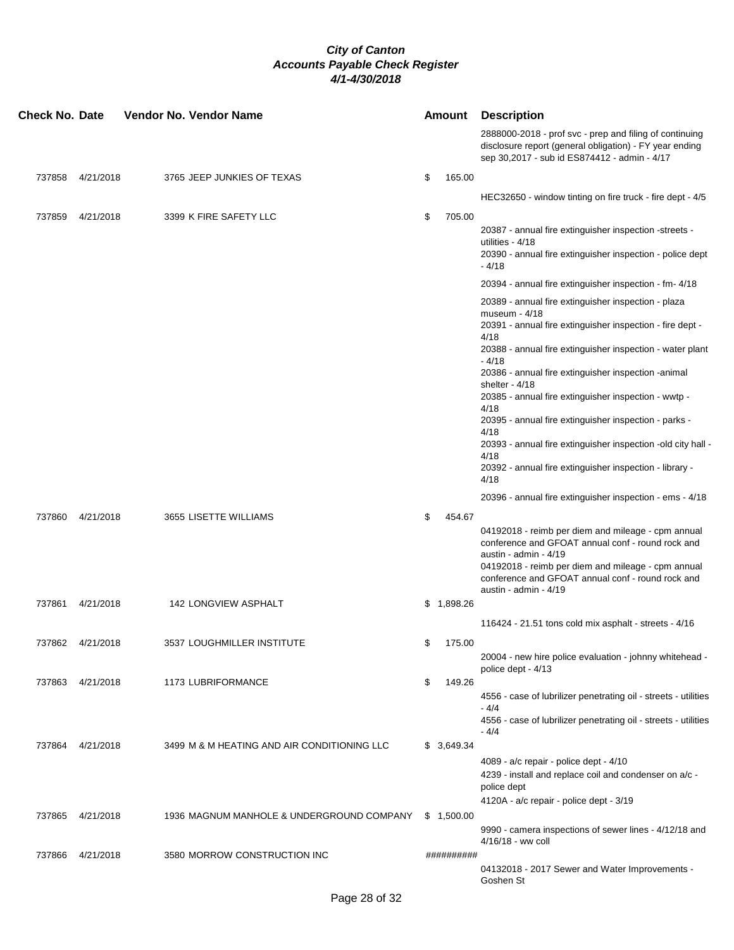| <b>Check No. Date</b> |                  | Vendor No. Vendor Name                      |    | <b>Amount</b> | <b>Description</b>                                                                                                                                                                                                                                                                                                                                                                                                                                                                                                                                                                                                                 |
|-----------------------|------------------|---------------------------------------------|----|---------------|------------------------------------------------------------------------------------------------------------------------------------------------------------------------------------------------------------------------------------------------------------------------------------------------------------------------------------------------------------------------------------------------------------------------------------------------------------------------------------------------------------------------------------------------------------------------------------------------------------------------------------|
|                       |                  |                                             |    |               | 2888000-2018 - prof svc - prep and filing of continuing<br>disclosure report (general obligation) - FY year ending<br>sep 30,2017 - sub id ES874412 - admin - 4/17                                                                                                                                                                                                                                                                                                                                                                                                                                                                 |
|                       | 737858 4/21/2018 | 3765 JEEP JUNKIES OF TEXAS                  | \$ | 165.00        |                                                                                                                                                                                                                                                                                                                                                                                                                                                                                                                                                                                                                                    |
|                       |                  |                                             |    |               | HEC32650 - window tinting on fire truck - fire dept - 4/5                                                                                                                                                                                                                                                                                                                                                                                                                                                                                                                                                                          |
| 737859                | 4/21/2018        | 3399 K FIRE SAFETY LLC                      | \$ | 705.00        |                                                                                                                                                                                                                                                                                                                                                                                                                                                                                                                                                                                                                                    |
|                       |                  |                                             |    |               | 20387 - annual fire extinguisher inspection -streets -<br>utilities - 4/18<br>20390 - annual fire extinguisher inspection - police dept<br>- 4/18                                                                                                                                                                                                                                                                                                                                                                                                                                                                                  |
|                       |                  |                                             |    |               | 20394 - annual fire extinguisher inspection - fm- 4/18                                                                                                                                                                                                                                                                                                                                                                                                                                                                                                                                                                             |
|                       |                  |                                             |    |               | 20389 - annual fire extinguisher inspection - plaza<br>museum - 4/18<br>20391 - annual fire extinguisher inspection - fire dept -<br>4/18<br>20388 - annual fire extinguisher inspection - water plant<br>$-4/18$<br>20386 - annual fire extinguisher inspection -animal<br>shelter - 4/18<br>20385 - annual fire extinguisher inspection - wwtp -<br>4/18<br>20395 - annual fire extinguisher inspection - parks -<br>4/18<br>20393 - annual fire extinguisher inspection -old city hall -<br>4/18<br>20392 - annual fire extinguisher inspection - library -<br>4/18<br>20396 - annual fire extinguisher inspection - ems - 4/18 |
| 737860                | 4/21/2018        | 3655 LISETTE WILLIAMS                       | \$ | 454.67        |                                                                                                                                                                                                                                                                                                                                                                                                                                                                                                                                                                                                                                    |
|                       |                  |                                             |    |               | 04192018 - reimb per diem and mileage - cpm annual<br>conference and GFOAT annual conf - round rock and<br>austin - admin - 4/19<br>04192018 - reimb per diem and mileage - cpm annual<br>conference and GFOAT annual conf - round rock and<br>austin - admin - 4/19                                                                                                                                                                                                                                                                                                                                                               |
| 737861                | 4/21/2018        | 142 LONGVIEW ASPHALT                        |    | \$1,898.26    |                                                                                                                                                                                                                                                                                                                                                                                                                                                                                                                                                                                                                                    |
|                       |                  |                                             |    |               | 116424 - 21.51 tons cold mix asphalt - streets - $4/16$                                                                                                                                                                                                                                                                                                                                                                                                                                                                                                                                                                            |
| 737862                | 4/21/2018        | 3537 LOUGHMILLER INSTITUTE                  | \$ | 175.00        |                                                                                                                                                                                                                                                                                                                                                                                                                                                                                                                                                                                                                                    |
|                       |                  |                                             |    |               | 20004 - new hire police evaluation - johnny whitehead -<br>police dept - 4/13                                                                                                                                                                                                                                                                                                                                                                                                                                                                                                                                                      |
| 737863                | 4/21/2018        | 1173 LUBRIFORMANCE                          | \$ | 149.26        |                                                                                                                                                                                                                                                                                                                                                                                                                                                                                                                                                                                                                                    |
|                       |                  |                                             |    |               | 4556 - case of lubrilizer penetrating oil - streets - utilities<br>$-4/4$                                                                                                                                                                                                                                                                                                                                                                                                                                                                                                                                                          |
|                       |                  |                                             |    |               | 4556 - case of lubrilizer penetrating oil - streets - utilities<br>$-4/4$                                                                                                                                                                                                                                                                                                                                                                                                                                                                                                                                                          |
|                       | 737864 4/21/2018 | 3499 M & M HEATING AND AIR CONDITIONING LLC |    | \$3,649.34    |                                                                                                                                                                                                                                                                                                                                                                                                                                                                                                                                                                                                                                    |
|                       |                  |                                             |    |               | 4089 - a/c repair - police dept - 4/10<br>4239 - install and replace coil and condenser on a/c -<br>police dept                                                                                                                                                                                                                                                                                                                                                                                                                                                                                                                    |
|                       |                  |                                             |    |               | 4120A - a/c repair - police dept - 3/19                                                                                                                                                                                                                                                                                                                                                                                                                                                                                                                                                                                            |
| 737865                | 4/21/2018        | 1936 MAGNUM MANHOLE & UNDERGROUND COMPANY   |    | \$1,500.00    | 9990 - camera inspections of sewer lines - 4/12/18 and<br>4/16/18 - ww coll                                                                                                                                                                                                                                                                                                                                                                                                                                                                                                                                                        |
| 737866                | 4/21/2018        | 3580 MORROW CONSTRUCTION INC                |    | ##########    |                                                                                                                                                                                                                                                                                                                                                                                                                                                                                                                                                                                                                                    |
|                       |                  |                                             |    |               | 04132018 - 2017 Sewer and Water Improvements -<br>Goshen St                                                                                                                                                                                                                                                                                                                                                                                                                                                                                                                                                                        |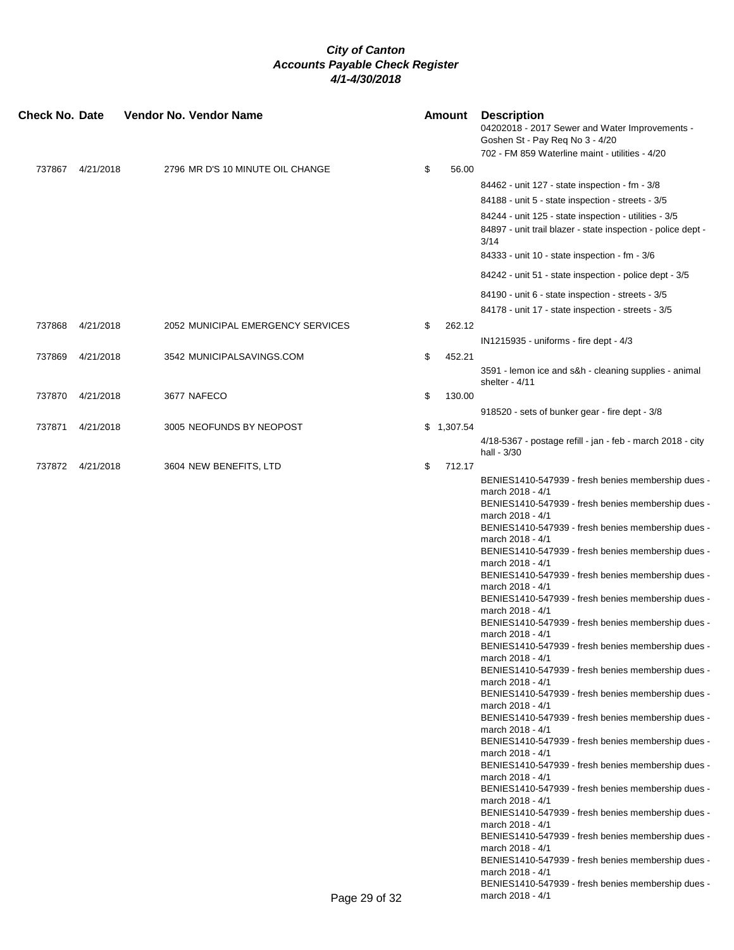| 702 - FM 859 Waterline maint - utilities - 4/20<br>\$<br>737867<br>4/21/2018<br>2796 MR D'S 10 MINUTE OIL CHANGE<br>56.00<br>84462 - unit 127 - state inspection - fm - 3/8<br>84188 - unit 5 - state inspection - streets - 3/5<br>84244 - unit 125 - state inspection - utilities - 3/5<br>84897 - unit trail blazer - state inspection - police dept -<br>3/14<br>84333 - unit 10 - state inspection - fm - 3/6<br>84242 - unit 51 - state inspection - police dept - 3/5<br>84190 - unit 6 - state inspection - streets - 3/5<br>84178 - unit 17 - state inspection - streets - 3/5<br>4/21/2018<br>2052 MUNICIPAL EMERGENCY SERVICES<br>\$<br>262.12<br>737868<br>IN1215935 - uniforms - fire dept - 4/3<br>737869<br>4/21/2018<br>3542 MUNICIPALSAVINGS.COM<br>\$<br>452.21<br>3591 - lemon ice and s&h - cleaning supplies - animal<br>shelter - $4/11$<br>4/21/2018<br>3677 NAFECO<br>\$<br>130.00<br>737870<br>918520 - sets of bunker gear - fire dept - 3/8<br>3005 NEOFUNDS BY NEOPOST<br>737871<br>4/21/2018<br>\$1,307.54<br>4/18-5367 - postage refill - jan - feb - march 2018 - city<br>hall - 3/30<br>737872 4/21/2018<br>3604 NEW BENEFITS, LTD<br>\$<br>712.17<br>BENIES1410-547939 - fresh benies membership dues - |  |
|------------------------------------------------------------------------------------------------------------------------------------------------------------------------------------------------------------------------------------------------------------------------------------------------------------------------------------------------------------------------------------------------------------------------------------------------------------------------------------------------------------------------------------------------------------------------------------------------------------------------------------------------------------------------------------------------------------------------------------------------------------------------------------------------------------------------------------------------------------------------------------------------------------------------------------------------------------------------------------------------------------------------------------------------------------------------------------------------------------------------------------------------------------------------------------------------------------------------------------------|--|
|                                                                                                                                                                                                                                                                                                                                                                                                                                                                                                                                                                                                                                                                                                                                                                                                                                                                                                                                                                                                                                                                                                                                                                                                                                          |  |
|                                                                                                                                                                                                                                                                                                                                                                                                                                                                                                                                                                                                                                                                                                                                                                                                                                                                                                                                                                                                                                                                                                                                                                                                                                          |  |
|                                                                                                                                                                                                                                                                                                                                                                                                                                                                                                                                                                                                                                                                                                                                                                                                                                                                                                                                                                                                                                                                                                                                                                                                                                          |  |
|                                                                                                                                                                                                                                                                                                                                                                                                                                                                                                                                                                                                                                                                                                                                                                                                                                                                                                                                                                                                                                                                                                                                                                                                                                          |  |
|                                                                                                                                                                                                                                                                                                                                                                                                                                                                                                                                                                                                                                                                                                                                                                                                                                                                                                                                                                                                                                                                                                                                                                                                                                          |  |
|                                                                                                                                                                                                                                                                                                                                                                                                                                                                                                                                                                                                                                                                                                                                                                                                                                                                                                                                                                                                                                                                                                                                                                                                                                          |  |
|                                                                                                                                                                                                                                                                                                                                                                                                                                                                                                                                                                                                                                                                                                                                                                                                                                                                                                                                                                                                                                                                                                                                                                                                                                          |  |
|                                                                                                                                                                                                                                                                                                                                                                                                                                                                                                                                                                                                                                                                                                                                                                                                                                                                                                                                                                                                                                                                                                                                                                                                                                          |  |
|                                                                                                                                                                                                                                                                                                                                                                                                                                                                                                                                                                                                                                                                                                                                                                                                                                                                                                                                                                                                                                                                                                                                                                                                                                          |  |
|                                                                                                                                                                                                                                                                                                                                                                                                                                                                                                                                                                                                                                                                                                                                                                                                                                                                                                                                                                                                                                                                                                                                                                                                                                          |  |
|                                                                                                                                                                                                                                                                                                                                                                                                                                                                                                                                                                                                                                                                                                                                                                                                                                                                                                                                                                                                                                                                                                                                                                                                                                          |  |
|                                                                                                                                                                                                                                                                                                                                                                                                                                                                                                                                                                                                                                                                                                                                                                                                                                                                                                                                                                                                                                                                                                                                                                                                                                          |  |
|                                                                                                                                                                                                                                                                                                                                                                                                                                                                                                                                                                                                                                                                                                                                                                                                                                                                                                                                                                                                                                                                                                                                                                                                                                          |  |
|                                                                                                                                                                                                                                                                                                                                                                                                                                                                                                                                                                                                                                                                                                                                                                                                                                                                                                                                                                                                                                                                                                                                                                                                                                          |  |
|                                                                                                                                                                                                                                                                                                                                                                                                                                                                                                                                                                                                                                                                                                                                                                                                                                                                                                                                                                                                                                                                                                                                                                                                                                          |  |
|                                                                                                                                                                                                                                                                                                                                                                                                                                                                                                                                                                                                                                                                                                                                                                                                                                                                                                                                                                                                                                                                                                                                                                                                                                          |  |
|                                                                                                                                                                                                                                                                                                                                                                                                                                                                                                                                                                                                                                                                                                                                                                                                                                                                                                                                                                                                                                                                                                                                                                                                                                          |  |
|                                                                                                                                                                                                                                                                                                                                                                                                                                                                                                                                                                                                                                                                                                                                                                                                                                                                                                                                                                                                                                                                                                                                                                                                                                          |  |
|                                                                                                                                                                                                                                                                                                                                                                                                                                                                                                                                                                                                                                                                                                                                                                                                                                                                                                                                                                                                                                                                                                                                                                                                                                          |  |
|                                                                                                                                                                                                                                                                                                                                                                                                                                                                                                                                                                                                                                                                                                                                                                                                                                                                                                                                                                                                                                                                                                                                                                                                                                          |  |
| march 2018 - 4/1                                                                                                                                                                                                                                                                                                                                                                                                                                                                                                                                                                                                                                                                                                                                                                                                                                                                                                                                                                                                                                                                                                                                                                                                                         |  |
| BENIES1410-547939 - fresh benies membership dues -                                                                                                                                                                                                                                                                                                                                                                                                                                                                                                                                                                                                                                                                                                                                                                                                                                                                                                                                                                                                                                                                                                                                                                                       |  |
| march 2018 - 4/1                                                                                                                                                                                                                                                                                                                                                                                                                                                                                                                                                                                                                                                                                                                                                                                                                                                                                                                                                                                                                                                                                                                                                                                                                         |  |
| BENIES1410-547939 - fresh benies membership dues -<br>march 2018 - 4/1                                                                                                                                                                                                                                                                                                                                                                                                                                                                                                                                                                                                                                                                                                                                                                                                                                                                                                                                                                                                                                                                                                                                                                   |  |
| BENIES1410-547939 - fresh benies membership dues -                                                                                                                                                                                                                                                                                                                                                                                                                                                                                                                                                                                                                                                                                                                                                                                                                                                                                                                                                                                                                                                                                                                                                                                       |  |
| march 2018 - 4/1<br>BENIES1410-547939 - fresh benies membership dues -                                                                                                                                                                                                                                                                                                                                                                                                                                                                                                                                                                                                                                                                                                                                                                                                                                                                                                                                                                                                                                                                                                                                                                   |  |
| march 2018 - 4/1                                                                                                                                                                                                                                                                                                                                                                                                                                                                                                                                                                                                                                                                                                                                                                                                                                                                                                                                                                                                                                                                                                                                                                                                                         |  |
| BENIES1410-547939 - fresh benies membership dues -                                                                                                                                                                                                                                                                                                                                                                                                                                                                                                                                                                                                                                                                                                                                                                                                                                                                                                                                                                                                                                                                                                                                                                                       |  |
| march 2018 - 4/1<br>BENIES1410-547939 - fresh benies membership dues -                                                                                                                                                                                                                                                                                                                                                                                                                                                                                                                                                                                                                                                                                                                                                                                                                                                                                                                                                                                                                                                                                                                                                                   |  |
| march 2018 - 4/1                                                                                                                                                                                                                                                                                                                                                                                                                                                                                                                                                                                                                                                                                                                                                                                                                                                                                                                                                                                                                                                                                                                                                                                                                         |  |
| BENIES1410-547939 - fresh benies membership dues                                                                                                                                                                                                                                                                                                                                                                                                                                                                                                                                                                                                                                                                                                                                                                                                                                                                                                                                                                                                                                                                                                                                                                                         |  |
| march 2018 - 4/1<br>BENIES1410-547939 - fresh benies membership dues                                                                                                                                                                                                                                                                                                                                                                                                                                                                                                                                                                                                                                                                                                                                                                                                                                                                                                                                                                                                                                                                                                                                                                     |  |
| march 2018 - 4/1                                                                                                                                                                                                                                                                                                                                                                                                                                                                                                                                                                                                                                                                                                                                                                                                                                                                                                                                                                                                                                                                                                                                                                                                                         |  |
| BENIES1410-547939 - fresh benies membership dues<br>march 2018 - 4/1                                                                                                                                                                                                                                                                                                                                                                                                                                                                                                                                                                                                                                                                                                                                                                                                                                                                                                                                                                                                                                                                                                                                                                     |  |
| BENIES1410-547939 - fresh benies membership dues -                                                                                                                                                                                                                                                                                                                                                                                                                                                                                                                                                                                                                                                                                                                                                                                                                                                                                                                                                                                                                                                                                                                                                                                       |  |
| march 2018 - 4/1                                                                                                                                                                                                                                                                                                                                                                                                                                                                                                                                                                                                                                                                                                                                                                                                                                                                                                                                                                                                                                                                                                                                                                                                                         |  |
| BENIES1410-547939 - fresh benies membership dues<br>march 2018 - 4/1                                                                                                                                                                                                                                                                                                                                                                                                                                                                                                                                                                                                                                                                                                                                                                                                                                                                                                                                                                                                                                                                                                                                                                     |  |
| BENIES1410-547939 - fresh benies membership dues                                                                                                                                                                                                                                                                                                                                                                                                                                                                                                                                                                                                                                                                                                                                                                                                                                                                                                                                                                                                                                                                                                                                                                                         |  |
| march 2018 - 4/1                                                                                                                                                                                                                                                                                                                                                                                                                                                                                                                                                                                                                                                                                                                                                                                                                                                                                                                                                                                                                                                                                                                                                                                                                         |  |
| BENIES1410-547939 - fresh benies membership dues<br>march 2018 - 4/1                                                                                                                                                                                                                                                                                                                                                                                                                                                                                                                                                                                                                                                                                                                                                                                                                                                                                                                                                                                                                                                                                                                                                                     |  |
| BENIES1410-547939 - fresh benies membership dues                                                                                                                                                                                                                                                                                                                                                                                                                                                                                                                                                                                                                                                                                                                                                                                                                                                                                                                                                                                                                                                                                                                                                                                         |  |
| march 2018 - 4/1<br>BENIES1410-547939 - fresh benies membership dues -                                                                                                                                                                                                                                                                                                                                                                                                                                                                                                                                                                                                                                                                                                                                                                                                                                                                                                                                                                                                                                                                                                                                                                   |  |
| march 2018 - 4/1                                                                                                                                                                                                                                                                                                                                                                                                                                                                                                                                                                                                                                                                                                                                                                                                                                                                                                                                                                                                                                                                                                                                                                                                                         |  |
| BENIES1410-547939 - fresh benies membership dues                                                                                                                                                                                                                                                                                                                                                                                                                                                                                                                                                                                                                                                                                                                                                                                                                                                                                                                                                                                                                                                                                                                                                                                         |  |
| march 2018 - 4/1<br>BENIES1410-547939 - fresh benies membership dues                                                                                                                                                                                                                                                                                                                                                                                                                                                                                                                                                                                                                                                                                                                                                                                                                                                                                                                                                                                                                                                                                                                                                                     |  |
| march 2018 - 4/1<br>Page 29 of 32                                                                                                                                                                                                                                                                                                                                                                                                                                                                                                                                                                                                                                                                                                                                                                                                                                                                                                                                                                                                                                                                                                                                                                                                        |  |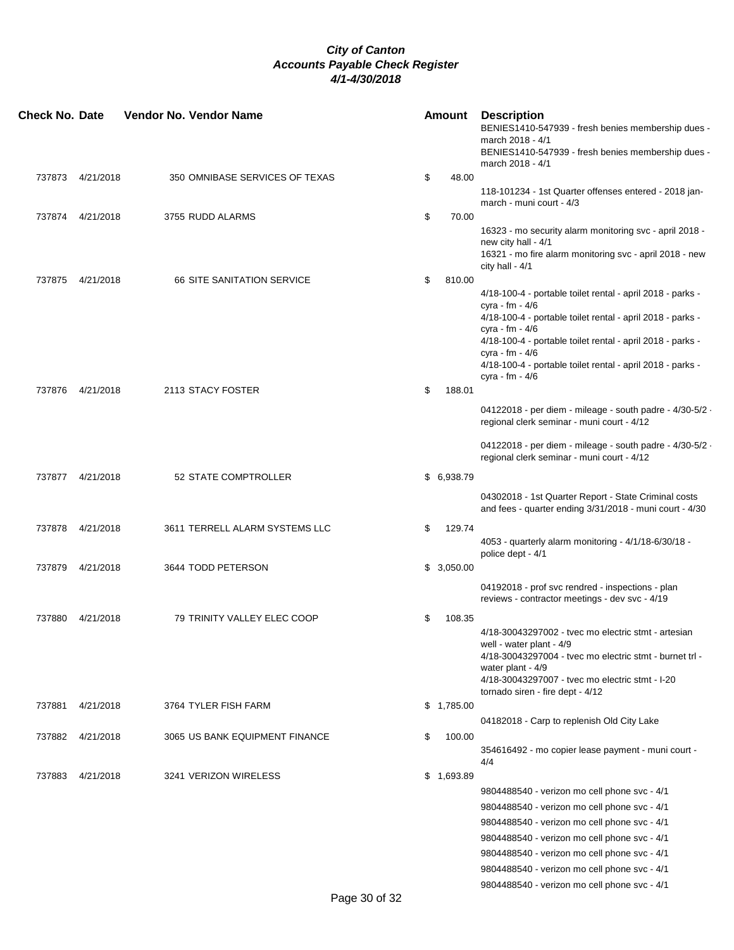| <b>Check No. Date</b> |                  | <b>Vendor No. Vendor Name</b>     | Amount       | <b>Description</b><br>BENIES1410-547939 - fresh benies membership dues -<br>march 2018 - 4/1<br>BENIES1410-547939 - fresh benies membership dues -                                                                                                                                                                               |
|-----------------------|------------------|-----------------------------------|--------------|----------------------------------------------------------------------------------------------------------------------------------------------------------------------------------------------------------------------------------------------------------------------------------------------------------------------------------|
|                       |                  |                                   |              | march 2018 - 4/1                                                                                                                                                                                                                                                                                                                 |
|                       | 737873 4/21/2018 | 350 OMNIBASE SERVICES OF TEXAS    | \$<br>48.00  | 118-101234 - 1st Quarter offenses entered - 2018 jan-<br>march - muni court - 4/3                                                                                                                                                                                                                                                |
|                       | 737874 4/21/2018 | 3755 RUDD ALARMS                  | \$<br>70.00  |                                                                                                                                                                                                                                                                                                                                  |
|                       |                  |                                   |              | 16323 - mo security alarm monitoring svc - april 2018 -<br>new city hall - 4/1<br>16321 - mo fire alarm monitoring svc - april 2018 - new<br>city hall - $4/1$                                                                                                                                                                   |
| 737875                | 4/21/2018        | <b>66 SITE SANITATION SERVICE</b> | \$<br>810.00 |                                                                                                                                                                                                                                                                                                                                  |
|                       |                  |                                   |              | 4/18-100-4 - portable toilet rental - april 2018 - parks -<br>cyra - fm - 4/6<br>4/18-100-4 - portable toilet rental - april 2018 - parks -<br>cyra - fm - 4/6<br>4/18-100-4 - portable toilet rental - april 2018 - parks -<br>cyra - fm - 4/6<br>4/18-100-4 - portable toilet rental - april 2018 - parks -<br>cyra - fm - 4/6 |
|                       | 737876 4/21/2018 | 2113 STACY FOSTER                 | \$<br>188.01 |                                                                                                                                                                                                                                                                                                                                  |
|                       |                  |                                   |              | 04122018 - per diem - mileage - south padre - 4/30-5/2 -<br>regional clerk seminar - muni court - 4/12                                                                                                                                                                                                                           |
|                       |                  |                                   |              | 04122018 - per diem - mileage - south padre - 4/30-5/2 -<br>regional clerk seminar - muni court - 4/12                                                                                                                                                                                                                           |
|                       | 737877 4/21/2018 | 52 STATE COMPTROLLER              | \$6,938.79   |                                                                                                                                                                                                                                                                                                                                  |
|                       |                  |                                   |              | 04302018 - 1st Quarter Report - State Criminal costs<br>and fees - quarter ending 3/31/2018 - muni court - 4/30                                                                                                                                                                                                                  |
| 737878                | 4/21/2018        | 3611 TERRELL ALARM SYSTEMS LLC    | \$<br>129.74 |                                                                                                                                                                                                                                                                                                                                  |
|                       |                  |                                   |              | 4053 - quarterly alarm monitoring - 4/1/18-6/30/18 -<br>police dept - 4/1                                                                                                                                                                                                                                                        |
| 737879                | 4/21/2018        | 3644 TODD PETERSON                | \$3,050.00   |                                                                                                                                                                                                                                                                                                                                  |
|                       |                  |                                   |              | 04192018 - prof svc rendred - inspections - plan<br>reviews - contractor meetings - dev svc - 4/19                                                                                                                                                                                                                               |
| 737880                | 4/21/2018        | 79 TRINITY VALLEY ELEC COOP       | \$<br>108.35 | 4/18-30043297002 - tyec mo electric stmt - artesian<br>well - water plant - 4/9<br>4/18-30043297004 - tvec mo electric stmt - burnet trl -<br>water plant - 4/9<br>4/18-30043297007 - tvec mo electric stmt - I-20<br>tornado siren - fire dept - 4/12                                                                           |
| 737881                | 4/21/2018        | 3764 TYLER FISH FARM              | \$1,785.00   |                                                                                                                                                                                                                                                                                                                                  |
|                       |                  |                                   |              | 04182018 - Carp to replenish Old City Lake                                                                                                                                                                                                                                                                                       |
| 737882                | 4/21/2018        | 3065 US BANK EQUIPMENT FINANCE    | \$<br>100.00 | 354616492 - mo copier lease payment - muni court -<br>4/4                                                                                                                                                                                                                                                                        |
|                       | 737883 4/21/2018 | 3241 VERIZON WIRELESS             | \$1,693.89   |                                                                                                                                                                                                                                                                                                                                  |
|                       |                  |                                   |              | 9804488540 - verizon mo cell phone svc - 4/1                                                                                                                                                                                                                                                                                     |
|                       |                  |                                   |              | 9804488540 - verizon mo cell phone svc - 4/1                                                                                                                                                                                                                                                                                     |
|                       |                  |                                   |              | 9804488540 - verizon mo cell phone svc - 4/1                                                                                                                                                                                                                                                                                     |
|                       |                  |                                   |              | 9804488540 - verizon mo cell phone svc - 4/1                                                                                                                                                                                                                                                                                     |
|                       |                  |                                   |              | 9804488540 - verizon mo cell phone svc - 4/1                                                                                                                                                                                                                                                                                     |
|                       |                  |                                   |              | 9804488540 - verizon mo cell phone svc - 4/1                                                                                                                                                                                                                                                                                     |
|                       |                  |                                   |              | 9804488540 - verizon mo cell phone svc - 4/1                                                                                                                                                                                                                                                                                     |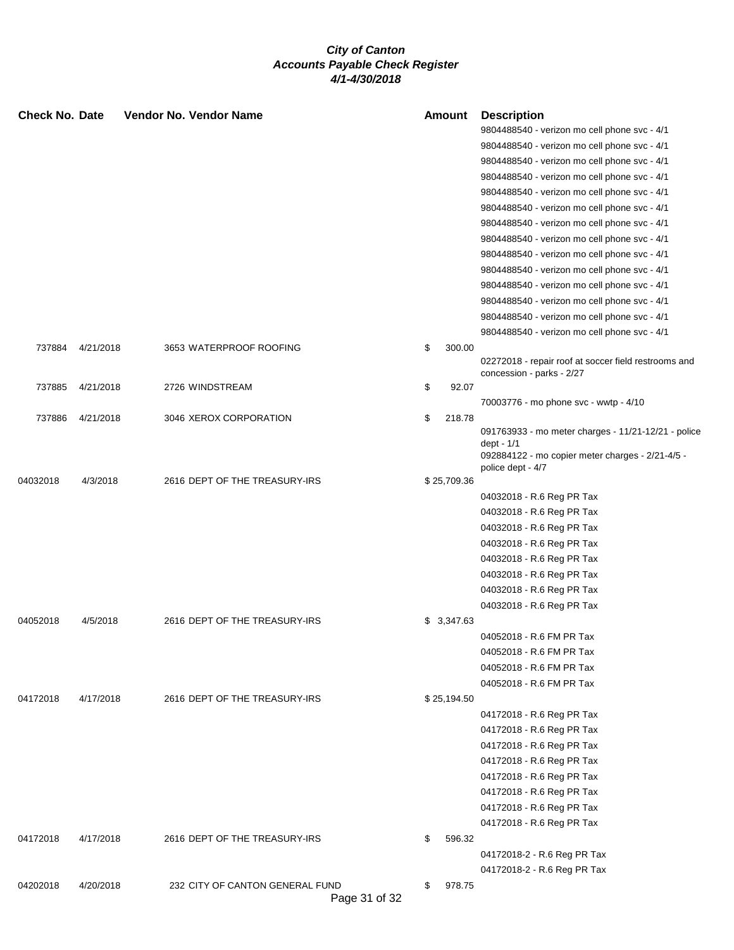| <b>Check No. Date</b> |           |  | Vendor No. Vendor Name          |               | <b>Amount</b> | <b>Description</b>                                                |
|-----------------------|-----------|--|---------------------------------|---------------|---------------|-------------------------------------------------------------------|
|                       |           |  |                                 |               |               | 9804488540 - verizon mo cell phone svc - 4/1                      |
|                       |           |  |                                 |               |               | 9804488540 - verizon mo cell phone svc - 4/1                      |
|                       |           |  |                                 |               |               | 9804488540 - verizon mo cell phone svc - 4/1                      |
|                       |           |  |                                 |               |               | 9804488540 - verizon mo cell phone svc - 4/1                      |
|                       |           |  |                                 |               |               | 9804488540 - verizon mo cell phone svc - 4/1                      |
|                       |           |  |                                 |               |               | 9804488540 - verizon mo cell phone svc - 4/1                      |
|                       |           |  |                                 |               |               | 9804488540 - verizon mo cell phone svc - 4/1                      |
|                       |           |  |                                 |               |               | 9804488540 - verizon mo cell phone svc - 4/1                      |
|                       |           |  |                                 |               |               | 9804488540 - verizon mo cell phone svc - 4/1                      |
|                       |           |  |                                 |               |               | 9804488540 - verizon mo cell phone svc - 4/1                      |
|                       |           |  |                                 |               |               | 9804488540 - verizon mo cell phone svc - 4/1                      |
|                       |           |  |                                 |               |               | 9804488540 - verizon mo cell phone svc - 4/1                      |
|                       |           |  |                                 |               |               | 9804488540 - verizon mo cell phone svc - 4/1                      |
|                       |           |  |                                 |               |               | 9804488540 - verizon mo cell phone svc - 4/1                      |
| 737884                | 4/21/2018 |  | 3653 WATERPROOF ROOFING         |               | \$<br>300.00  |                                                                   |
|                       |           |  |                                 |               |               | 02272018 - repair roof at soccer field restrooms and              |
|                       |           |  |                                 |               |               | concession - parks - 2/27                                         |
| 737885                | 4/21/2018 |  | 2726 WINDSTREAM                 |               | \$<br>92.07   |                                                                   |
|                       |           |  |                                 |               |               | 70003776 - mo phone svc - wwtp - 4/10                             |
| 737886                | 4/21/2018 |  | 3046 XEROX CORPORATION          |               | \$<br>218.78  |                                                                   |
|                       |           |  |                                 |               |               | 091763933 - mo meter charges - 11/21-12/21 - police<br>dept - 1/1 |
|                       |           |  |                                 |               |               | 092884122 - mo copier meter charges - 2/21-4/5 -                  |
|                       |           |  |                                 |               |               | police dept - 4/7                                                 |
| 04032018              | 4/3/2018  |  | 2616 DEPT OF THE TREASURY-IRS   |               | \$25,709.36   |                                                                   |
|                       |           |  |                                 |               |               | 04032018 - R.6 Reg PR Tax                                         |
|                       |           |  |                                 |               |               | 04032018 - R.6 Reg PR Tax                                         |
|                       |           |  |                                 |               |               | 04032018 - R.6 Reg PR Tax                                         |
|                       |           |  |                                 |               |               | 04032018 - R.6 Reg PR Tax                                         |
|                       |           |  |                                 |               |               | 04032018 - R.6 Reg PR Tax                                         |
|                       |           |  |                                 |               |               | 04032018 - R.6 Reg PR Tax                                         |
|                       |           |  |                                 |               |               | 04032018 - R.6 Reg PR Tax                                         |
|                       |           |  |                                 |               |               | 04032018 - R.6 Reg PR Tax                                         |
| 04052018              | 4/5/2018  |  | 2616 DEPT OF THE TREASURY-IRS   |               | \$3,347.63    |                                                                   |
|                       |           |  |                                 |               |               | 04052018 - R.6 FM PR Tax                                          |
|                       |           |  |                                 |               |               | 04052018 - R.6 FM PR Tax                                          |
|                       |           |  |                                 |               |               | 04052018 - R.6 FM PR Tax                                          |
|                       |           |  |                                 |               |               | 04052018 - R.6 FM PR Tax                                          |
| 04172018              | 4/17/2018 |  | 2616 DEPT OF THE TREASURY-IRS   |               | \$25,194.50   |                                                                   |
|                       |           |  |                                 |               |               | 04172018 - R.6 Reg PR Tax                                         |
|                       |           |  |                                 |               |               | 04172018 - R.6 Reg PR Tax                                         |
|                       |           |  |                                 |               |               | 04172018 - R.6 Reg PR Tax                                         |
|                       |           |  |                                 |               |               | 04172018 - R.6 Reg PR Tax                                         |
|                       |           |  |                                 |               |               | 04172018 - R.6 Reg PR Tax                                         |
|                       |           |  |                                 |               |               | 04172018 - R.6 Reg PR Tax                                         |
|                       |           |  |                                 |               |               | 04172018 - R.6 Reg PR Tax                                         |
|                       |           |  |                                 |               |               | 04172018 - R.6 Reg PR Tax                                         |
| 04172018              | 4/17/2018 |  | 2616 DEPT OF THE TREASURY-IRS   |               | \$<br>596.32  |                                                                   |
|                       |           |  |                                 |               |               | 04172018-2 - R.6 Reg PR Tax                                       |
|                       |           |  |                                 |               |               | 04172018-2 - R.6 Reg PR Tax                                       |
| 04202018              | 4/20/2018 |  | 232 CITY OF CANTON GENERAL FUND |               | \$<br>978.75  |                                                                   |
|                       |           |  |                                 | Page 31 of 32 |               |                                                                   |
|                       |           |  |                                 |               |               |                                                                   |